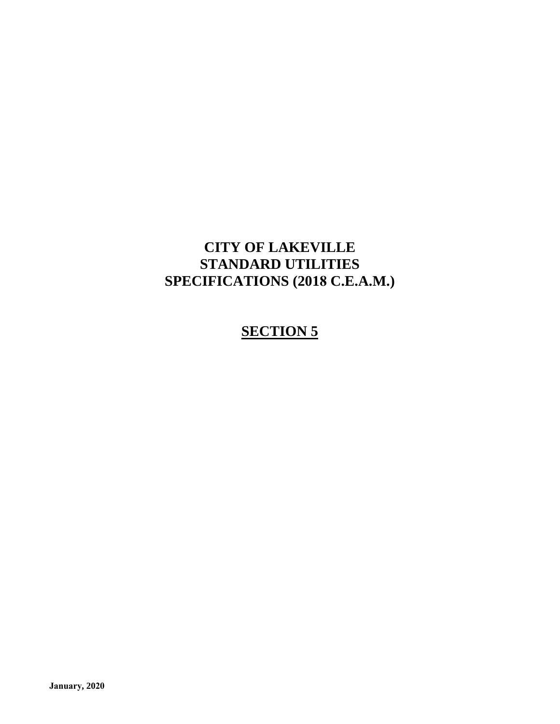### **CITY OF LAKEVILLE STANDARD UTILITIES SPECIFICATIONS (2018 C.E.A.M.)**

### **SECTION 5**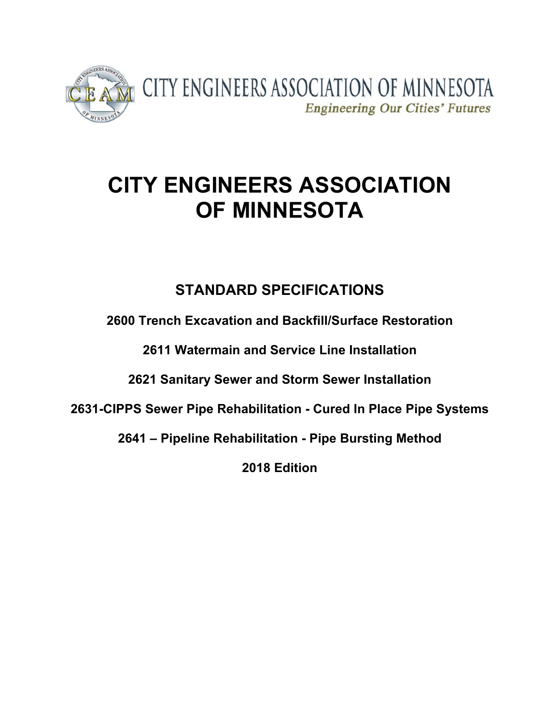

# **CITY ENGINEERS ASSOCIATION OF MINNESOTA**

## **STANDARD SPECIFICATIONS**

**2600 Trench Excavation and Backfill/Surface Restoration**

**2611 Watermain and Service Line Installation**

**2621 Sanitary Sewer and Storm Sewer Installation**

**2631-CIPPS Sewer Pipe Rehabilitation - Cured In Place Pipe Systems** 

**2641 – Pipeline Rehabilitation - Pipe Bursting Method**

**2018 Edition**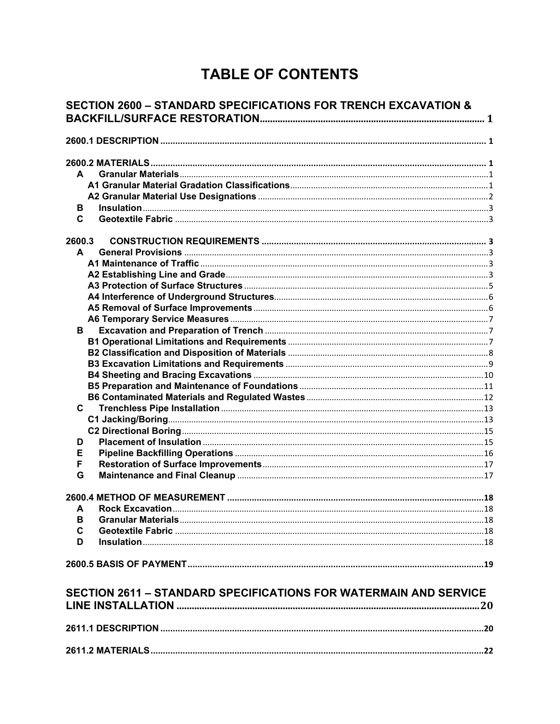# **TABLE OF CONTENTS**

| <b>SECTION 2600 - STANDARD SPECIFICATIONS FOR TRENCH EXCAVATION &amp;</b> |                                                                         |                 |
|---------------------------------------------------------------------------|-------------------------------------------------------------------------|-----------------|
|                                                                           |                                                                         |                 |
|                                                                           |                                                                         |                 |
|                                                                           |                                                                         |                 |
| A                                                                         |                                                                         |                 |
|                                                                           |                                                                         |                 |
|                                                                           |                                                                         |                 |
| В                                                                         |                                                                         |                 |
| C                                                                         |                                                                         |                 |
| 2600.3                                                                    |                                                                         |                 |
| $\mathbf{A}$                                                              |                                                                         |                 |
|                                                                           |                                                                         |                 |
|                                                                           |                                                                         |                 |
|                                                                           |                                                                         |                 |
|                                                                           |                                                                         |                 |
|                                                                           |                                                                         |                 |
|                                                                           |                                                                         |                 |
| в.                                                                        |                                                                         |                 |
|                                                                           |                                                                         |                 |
|                                                                           |                                                                         |                 |
|                                                                           |                                                                         |                 |
|                                                                           |                                                                         |                 |
|                                                                           |                                                                         |                 |
|                                                                           |                                                                         |                 |
| C                                                                         |                                                                         |                 |
|                                                                           |                                                                         |                 |
|                                                                           |                                                                         |                 |
| D                                                                         |                                                                         |                 |
| Е                                                                         |                                                                         |                 |
| F                                                                         |                                                                         |                 |
| G                                                                         |                                                                         |                 |
|                                                                           |                                                                         |                 |
|                                                                           |                                                                         |                 |
|                                                                           | <b>A</b> Rock Excavation                                                | $\overline{18}$ |
| в                                                                         |                                                                         |                 |
| C                                                                         |                                                                         |                 |
| D                                                                         |                                                                         |                 |
|                                                                           |                                                                         |                 |
|                                                                           | <b>SECTION 2611 - STANDARD SPECIFICATIONS FOR WATERMAIN AND SERVICE</b> |                 |
|                                                                           |                                                                         |                 |
|                                                                           |                                                                         |                 |
|                                                                           |                                                                         |                 |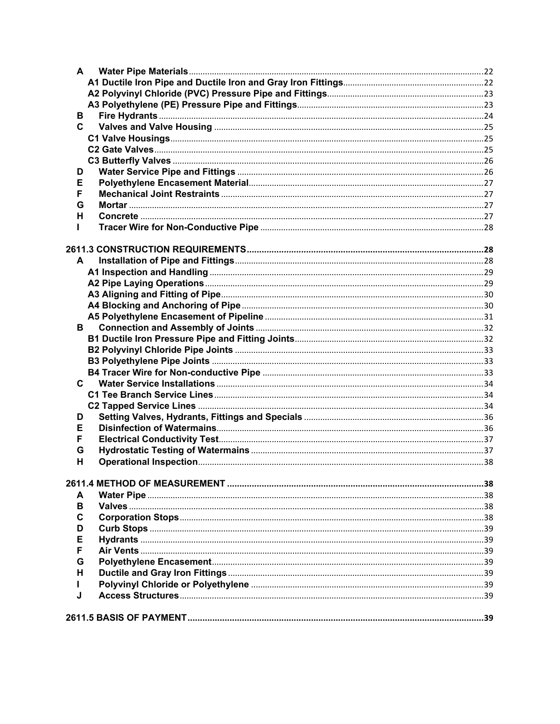| A |  |
|---|--|
|   |  |
|   |  |
|   |  |
| В |  |
| C |  |
|   |  |
|   |  |
|   |  |
| D |  |
| Е |  |
| F |  |
| G |  |
| н |  |
|   |  |
|   |  |
| A |  |
|   |  |
|   |  |
|   |  |
|   |  |
|   |  |
| В |  |
|   |  |
|   |  |
|   |  |
|   |  |
| C |  |
|   |  |
|   |  |
| D |  |
| Е |  |
| F |  |
| G |  |
| н |  |
|   |  |
| A |  |
| в |  |
| C |  |
|   |  |
| D |  |
| Ε |  |
| F |  |
| G |  |
| н |  |
|   |  |
| J |  |
|   |  |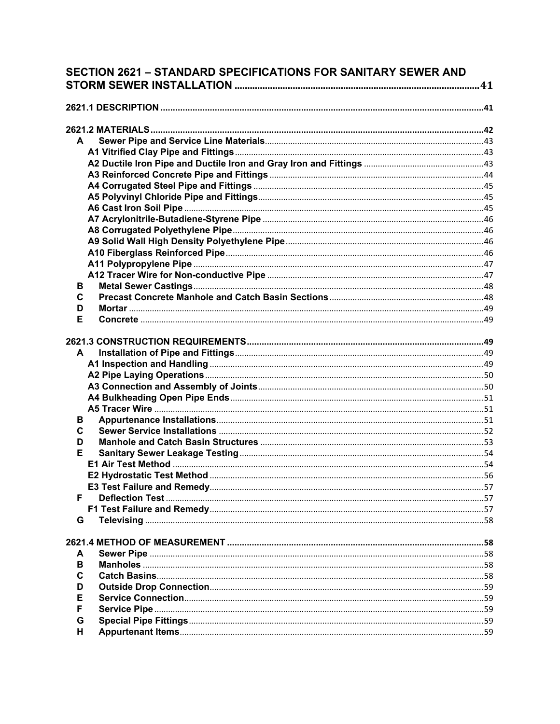| SECTION 2621 - STANDARD SPECIFICATIONS FOR SANITARY SEWER AND |   |  |
|---------------------------------------------------------------|---|--|
|                                                               |   |  |
|                                                               |   |  |
|                                                               |   |  |
|                                                               | A |  |
|                                                               |   |  |
|                                                               |   |  |
|                                                               |   |  |
|                                                               |   |  |
|                                                               |   |  |
|                                                               |   |  |
|                                                               |   |  |
|                                                               |   |  |
|                                                               |   |  |
|                                                               |   |  |
|                                                               |   |  |
|                                                               |   |  |
| в                                                             |   |  |
| C                                                             |   |  |
| D                                                             |   |  |
| Е                                                             |   |  |
| A                                                             |   |  |
|                                                               |   |  |
| В                                                             |   |  |
| C                                                             |   |  |
| D                                                             |   |  |
| Е                                                             |   |  |
|                                                               |   |  |
|                                                               |   |  |
|                                                               |   |  |
| F                                                             |   |  |
|                                                               |   |  |
| G                                                             |   |  |
|                                                               |   |  |
|                                                               |   |  |
| A                                                             |   |  |
| В                                                             |   |  |
| C                                                             |   |  |
| D                                                             |   |  |
| Е                                                             |   |  |
| F                                                             |   |  |
| G                                                             |   |  |
| н                                                             |   |  |
|                                                               |   |  |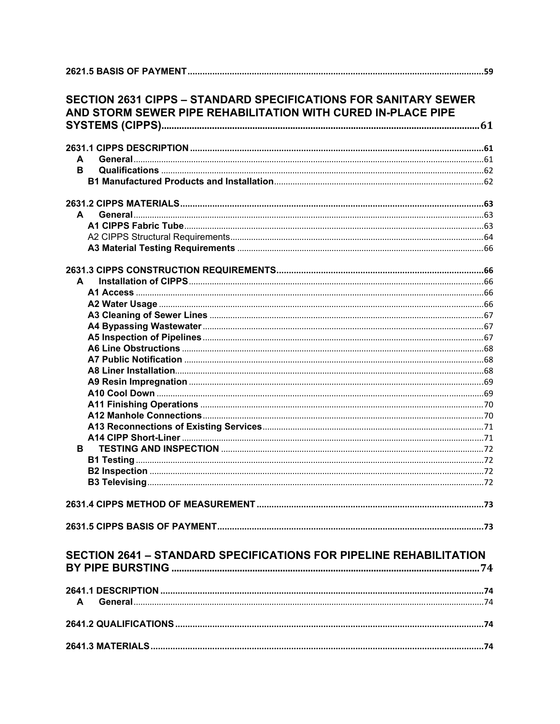|              | <b>SECTION 2631 CIPPS - STANDARD SPECIFICATIONS FOR SANITARY SEWER</b><br>AND STORM SEWER PIPE REHABILITATION WITH CURED IN-PLACE PIPE |  |
|--------------|----------------------------------------------------------------------------------------------------------------------------------------|--|
|              |                                                                                                                                        |  |
| A            |                                                                                                                                        |  |
| в            |                                                                                                                                        |  |
|              |                                                                                                                                        |  |
|              |                                                                                                                                        |  |
| A            |                                                                                                                                        |  |
|              |                                                                                                                                        |  |
|              |                                                                                                                                        |  |
|              |                                                                                                                                        |  |
|              |                                                                                                                                        |  |
| A            |                                                                                                                                        |  |
|              |                                                                                                                                        |  |
|              |                                                                                                                                        |  |
|              |                                                                                                                                        |  |
|              |                                                                                                                                        |  |
|              |                                                                                                                                        |  |
|              |                                                                                                                                        |  |
|              |                                                                                                                                        |  |
|              |                                                                                                                                        |  |
|              |                                                                                                                                        |  |
|              |                                                                                                                                        |  |
|              |                                                                                                                                        |  |
|              |                                                                                                                                        |  |
|              |                                                                                                                                        |  |
| в            |                                                                                                                                        |  |
|              |                                                                                                                                        |  |
|              |                                                                                                                                        |  |
|              |                                                                                                                                        |  |
|              |                                                                                                                                        |  |
|              |                                                                                                                                        |  |
|              |                                                                                                                                        |  |
|              |                                                                                                                                        |  |
|              | <b>SECTION 2641 - STANDARD SPECIFICATIONS FOR PIPELINE REHABILITATION</b>                                                              |  |
|              |                                                                                                                                        |  |
| $\mathbf{A}$ |                                                                                                                                        |  |
|              |                                                                                                                                        |  |
|              |                                                                                                                                        |  |
|              |                                                                                                                                        |  |
|              |                                                                                                                                        |  |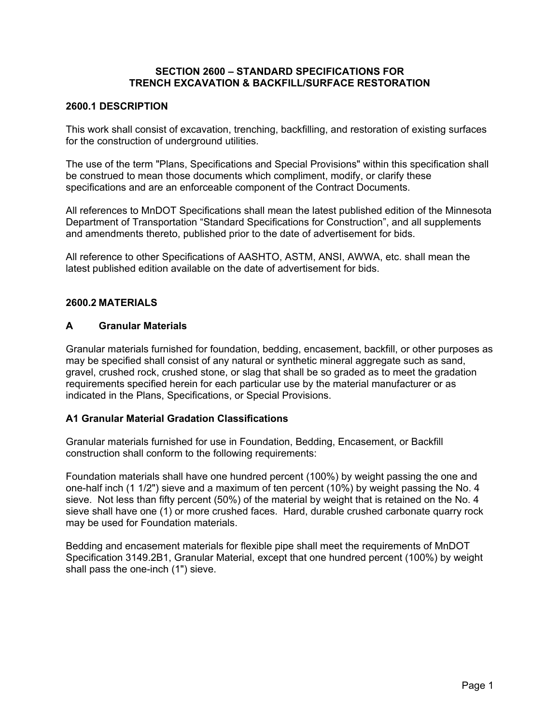#### **SECTION 2600 – STANDARD SPECIFICATIONS FOR TRENCH EXCAVATION & BACKFILL/SURFACE RESTORATION**

#### **2600.1 DESCRIPTION**

This work shall consist of excavation, trenching, backfilling, and restoration of existing surfaces for the construction of underground utilities.

The use of the term "Plans, Specifications and Special Provisions" within this specification shall be construed to mean those documents which compliment, modify, or clarify these specifications and are an enforceable component of the Contract Documents.

All references to MnDOT Specifications shall mean the latest published edition of the Minnesota Department of Transportation "Standard Specifications for Construction", and all supplements and amendments thereto, published prior to the date of advertisement for bids.

All reference to other Specifications of AASHTO, ASTM, ANSI, AWWA, etc. shall mean the latest published edition available on the date of advertisement for bids.

#### **2600.2 MATERIALS**

#### **A Granular Materials**

Granular materials furnished for foundation, bedding, encasement, backfill, or other purposes as may be specified shall consist of any natural or synthetic mineral aggregate such as sand, gravel, crushed rock, crushed stone, or slag that shall be so graded as to meet the gradation requirements specified herein for each particular use by the material manufacturer or as indicated in the Plans, Specifications, or Special Provisions.

#### **A1 Granular Material Gradation Classifications**

Granular materials furnished for use in Foundation, Bedding, Encasement, or Backfill construction shall conform to the following requirements:

Foundation materials shall have one hundred percent (100%) by weight passing the one and one-half inch (1 1/2") sieve and a maximum of ten percent (10%) by weight passing the No. 4 sieve. Not less than fifty percent (50%) of the material by weight that is retained on the No. 4 sieve shall have one (1) or more crushed faces. Hard, durable crushed carbonate quarry rock may be used for Foundation materials.

Bedding and encasement materials for flexible pipe shall meet the requirements of MnDOT Specification 3149.2B1, Granular Material, except that one hundred percent (100%) by weight shall pass the one-inch (1") sieve.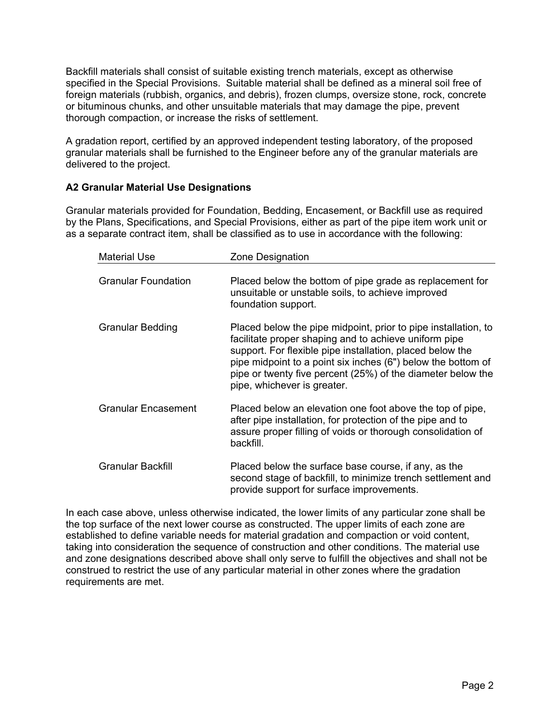Backfill materials shall consist of suitable existing trench materials, except as otherwise specified in the Special Provisions. Suitable material shall be defined as a mineral soil free of foreign materials (rubbish, organics, and debris), frozen clumps, oversize stone, rock, concrete or bituminous chunks, and other unsuitable materials that may damage the pipe, prevent thorough compaction, or increase the risks of settlement.

A gradation report, certified by an approved independent testing laboratory, of the proposed granular materials shall be furnished to the Engineer before any of the granular materials are delivered to the project.

#### **A2 Granular Material Use Designations**

Granular materials provided for Foundation, Bedding, Encasement, or Backfill use as required by the Plans, Specifications, and Special Provisions, either as part of the pipe item work unit or as a separate contract item, shall be classified as to use in accordance with the following:

| <b>Material Use</b>        | Zone Designation                                                                                                                                                                                                                                                                                                                                   |
|----------------------------|----------------------------------------------------------------------------------------------------------------------------------------------------------------------------------------------------------------------------------------------------------------------------------------------------------------------------------------------------|
| <b>Granular Foundation</b> | Placed below the bottom of pipe grade as replacement for<br>unsuitable or unstable soils, to achieve improved<br>foundation support.                                                                                                                                                                                                               |
| <b>Granular Bedding</b>    | Placed below the pipe midpoint, prior to pipe installation, to<br>facilitate proper shaping and to achieve uniform pipe<br>support. For flexible pipe installation, placed below the<br>pipe midpoint to a point six inches (6") below the bottom of<br>pipe or twenty five percent (25%) of the diameter below the<br>pipe, whichever is greater. |
| <b>Granular Encasement</b> | Placed below an elevation one foot above the top of pipe,<br>after pipe installation, for protection of the pipe and to<br>assure proper filling of voids or thorough consolidation of<br>backfill.                                                                                                                                                |
| <b>Granular Backfill</b>   | Placed below the surface base course, if any, as the<br>second stage of backfill, to minimize trench settlement and<br>provide support for surface improvements.                                                                                                                                                                                   |

In each case above, unless otherwise indicated, the lower limits of any particular zone shall be the top surface of the next lower course as constructed. The upper limits of each zone are established to define variable needs for material gradation and compaction or void content, taking into consideration the sequence of construction and other conditions. The material use and zone designations described above shall only serve to fulfill the objectives and shall not be construed to restrict the use of any particular material in other zones where the gradation requirements are met.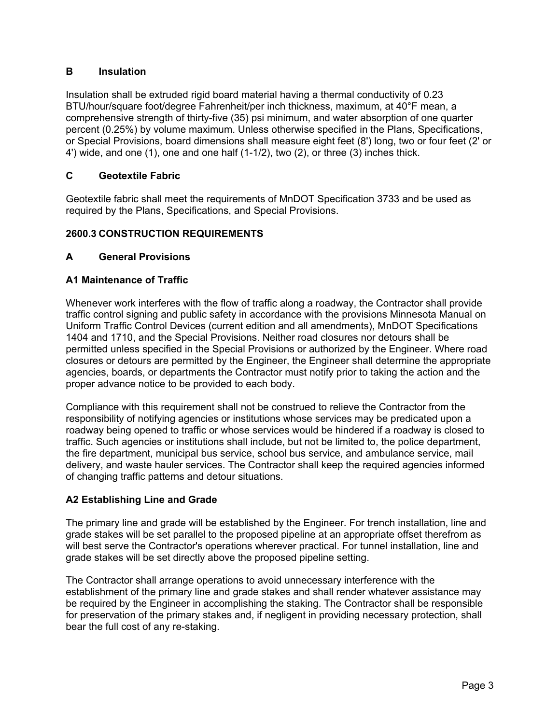#### **B Insulation**

Insulation shall be extruded rigid board material having a thermal conductivity of 0.23 BTU/hour/square foot/degree Fahrenheit/per inch thickness, maximum, at 40°F mean, a comprehensive strength of thirty-five (35) psi minimum, and water absorption of one quarter percent (0.25%) by volume maximum. Unless otherwise specified in the Plans, Specifications, or Special Provisions, board dimensions shall measure eight feet (8') long, two or four feet (2' or 4') wide, and one (1), one and one half (1-1/2), two (2), or three (3) inches thick.

#### **C Geotextile Fabric**

Geotextile fabric shall meet the requirements of MnDOT Specification 3733 and be used as required by the Plans, Specifications, and Special Provisions.

#### **2600.3 CONSTRUCTION REQUIREMENTS**

#### **A General Provisions**

#### **A1 Maintenance of Traffic**

Whenever work interferes with the flow of traffic along a roadway, the Contractor shall provide traffic control signing and public safety in accordance with the provisions Minnesota Manual on Uniform Traffic Control Devices (current edition and all amendments), MnDOT Specifications 1404 and 1710, and the Special Provisions. Neither road closures nor detours shall be permitted unless specified in the Special Provisions or authorized by the Engineer. Where road closures or detours are permitted by the Engineer, the Engineer shall determine the appropriate agencies, boards, or departments the Contractor must notify prior to taking the action and the proper advance notice to be provided to each body.

Compliance with this requirement shall not be construed to relieve the Contractor from the responsibility of notifying agencies or institutions whose services may be predicated upon a roadway being opened to traffic or whose services would be hindered if a roadway is closed to traffic. Such agencies or institutions shall include, but not be limited to, the police department, the fire department, municipal bus service, school bus service, and ambulance service, mail delivery, and waste hauler services. The Contractor shall keep the required agencies informed of changing traffic patterns and detour situations.

#### **A2 Establishing Line and Grade**

The primary line and grade will be established by the Engineer. For trench installation, line and grade stakes will be set parallel to the proposed pipeline at an appropriate offset therefrom as will best serve the Contractor's operations wherever practical. For tunnel installation, line and grade stakes will be set directly above the proposed pipeline setting.

The Contractor shall arrange operations to avoid unnecessary interference with the establishment of the primary line and grade stakes and shall render whatever assistance may be required by the Engineer in accomplishing the staking. The Contractor shall be responsible for preservation of the primary stakes and, if negligent in providing necessary protection, shall bear the full cost of any re-staking.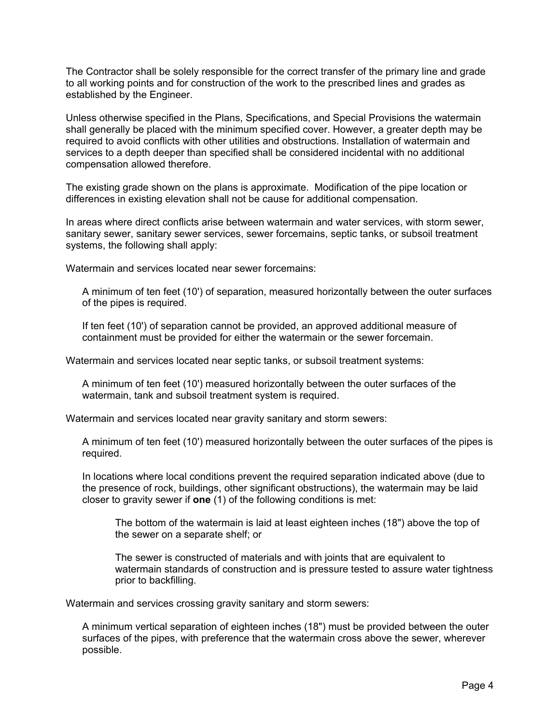The Contractor shall be solely responsible for the correct transfer of the primary line and grade to all working points and for construction of the work to the prescribed lines and grades as established by the Engineer.

Unless otherwise specified in the Plans, Specifications, and Special Provisions the watermain shall generally be placed with the minimum specified cover. However, a greater depth may be required to avoid conflicts with other utilities and obstructions. Installation of watermain and services to a depth deeper than specified shall be considered incidental with no additional compensation allowed therefore.

The existing grade shown on the plans is approximate. Modification of the pipe location or differences in existing elevation shall not be cause for additional compensation.

In areas where direct conflicts arise between watermain and water services, with storm sewer, sanitary sewer, sanitary sewer services, sewer forcemains, septic tanks, or subsoil treatment systems, the following shall apply:

Watermain and services located near sewer forcemains:

A minimum of ten feet (10') of separation, measured horizontally between the outer surfaces of the pipes is required.

If ten feet (10') of separation cannot be provided, an approved additional measure of containment must be provided for either the watermain or the sewer forcemain.

Watermain and services located near septic tanks, or subsoil treatment systems:

A minimum of ten feet (10') measured horizontally between the outer surfaces of the watermain, tank and subsoil treatment system is required.

Watermain and services located near gravity sanitary and storm sewers:

A minimum of ten feet (10') measured horizontally between the outer surfaces of the pipes is required.

In locations where local conditions prevent the required separation indicated above (due to the presence of rock, buildings, other significant obstructions), the watermain may be laid closer to gravity sewer if **one** (1) of the following conditions is met:

The bottom of the watermain is laid at least eighteen inches (18") above the top of the sewer on a separate shelf; or

The sewer is constructed of materials and with joints that are equivalent to watermain standards of construction and is pressure tested to assure water tightness prior to backfilling.

Watermain and services crossing gravity sanitary and storm sewers:

A minimum vertical separation of eighteen inches (18") must be provided between the outer surfaces of the pipes, with preference that the watermain cross above the sewer, wherever possible.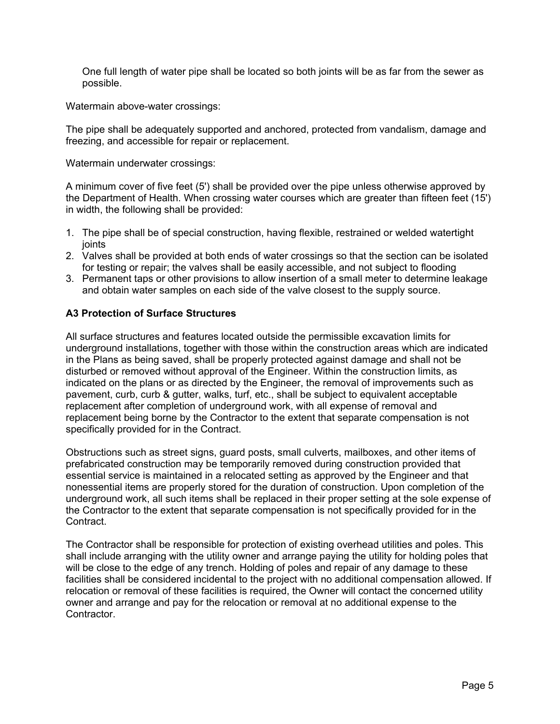One full length of water pipe shall be located so both joints will be as far from the sewer as possible.

Watermain above-water crossings:

The pipe shall be adequately supported and anchored, protected from vandalism, damage and freezing, and accessible for repair or replacement.

Watermain underwater crossings:

A minimum cover of five feet (5') shall be provided over the pipe unless otherwise approved by the Department of Health. When crossing water courses which are greater than fifteen feet (15') in width, the following shall be provided:

- 1. The pipe shall be of special construction, having flexible, restrained or welded watertight joints
- 2. Valves shall be provided at both ends of water crossings so that the section can be isolated for testing or repair; the valves shall be easily accessible, and not subject to flooding
- 3. Permanent taps or other provisions to allow insertion of a small meter to determine leakage and obtain water samples on each side of the valve closest to the supply source.

#### **A3 Protection of Surface Structures**

All surface structures and features located outside the permissible excavation limits for underground installations, together with those within the construction areas which are indicated in the Plans as being saved, shall be properly protected against damage and shall not be disturbed or removed without approval of the Engineer. Within the construction limits, as indicated on the plans or as directed by the Engineer, the removal of improvements such as pavement, curb, curb & gutter, walks, turf, etc., shall be subject to equivalent acceptable replacement after completion of underground work, with all expense of removal and replacement being borne by the Contractor to the extent that separate compensation is not specifically provided for in the Contract.

Obstructions such as street signs, guard posts, small culverts, mailboxes, and other items of prefabricated construction may be temporarily removed during construction provided that essential service is maintained in a relocated setting as approved by the Engineer and that nonessential items are properly stored for the duration of construction. Upon completion of the underground work, all such items shall be replaced in their proper setting at the sole expense of the Contractor to the extent that separate compensation is not specifically provided for in the Contract.

The Contractor shall be responsible for protection of existing overhead utilities and poles. This shall include arranging with the utility owner and arrange paying the utility for holding poles that will be close to the edge of any trench. Holding of poles and repair of any damage to these facilities shall be considered incidental to the project with no additional compensation allowed. If relocation or removal of these facilities is required, the Owner will contact the concerned utility owner and arrange and pay for the relocation or removal at no additional expense to the Contractor.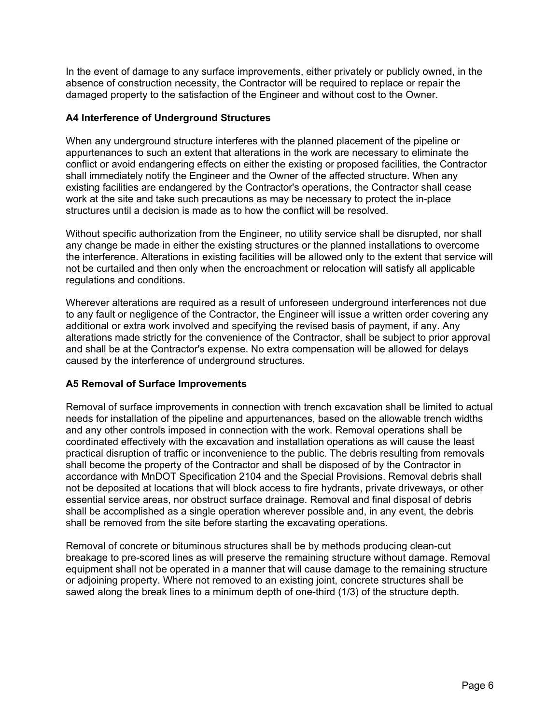In the event of damage to any surface improvements, either privately or publicly owned, in the absence of construction necessity, the Contractor will be required to replace or repair the damaged property to the satisfaction of the Engineer and without cost to the Owner.

#### **A4 Interference of Underground Structures**

When any underground structure interferes with the planned placement of the pipeline or appurtenances to such an extent that alterations in the work are necessary to eliminate the conflict or avoid endangering effects on either the existing or proposed facilities, the Contractor shall immediately notify the Engineer and the Owner of the affected structure. When any existing facilities are endangered by the Contractor's operations, the Contractor shall cease work at the site and take such precautions as may be necessary to protect the in-place structures until a decision is made as to how the conflict will be resolved.

Without specific authorization from the Engineer, no utility service shall be disrupted, nor shall any change be made in either the existing structures or the planned installations to overcome the interference. Alterations in existing facilities will be allowed only to the extent that service will not be curtailed and then only when the encroachment or relocation will satisfy all applicable regulations and conditions.

Wherever alterations are required as a result of unforeseen underground interferences not due to any fault or negligence of the Contractor, the Engineer will issue a written order covering any additional or extra work involved and specifying the revised basis of payment, if any. Any alterations made strictly for the convenience of the Contractor, shall be subject to prior approval and shall be at the Contractor's expense. No extra compensation will be allowed for delays caused by the interference of underground structures.

#### **A5 Removal of Surface Improvements**

Removal of surface improvements in connection with trench excavation shall be limited to actual needs for installation of the pipeline and appurtenances, based on the allowable trench widths and any other controls imposed in connection with the work. Removal operations shall be coordinated effectively with the excavation and installation operations as will cause the least practical disruption of traffic or inconvenience to the public. The debris resulting from removals shall become the property of the Contractor and shall be disposed of by the Contractor in accordance with MnDOT Specification 2104 and the Special Provisions. Removal debris shall not be deposited at locations that will block access to fire hydrants, private driveways, or other essential service areas, nor obstruct surface drainage. Removal and final disposal of debris shall be accomplished as a single operation wherever possible and, in any event, the debris shall be removed from the site before starting the excavating operations.

Removal of concrete or bituminous structures shall be by methods producing clean-cut breakage to pre-scored lines as will preserve the remaining structure without damage. Removal equipment shall not be operated in a manner that will cause damage to the remaining structure or adjoining property. Where not removed to an existing joint, concrete structures shall be sawed along the break lines to a minimum depth of one-third (1/3) of the structure depth.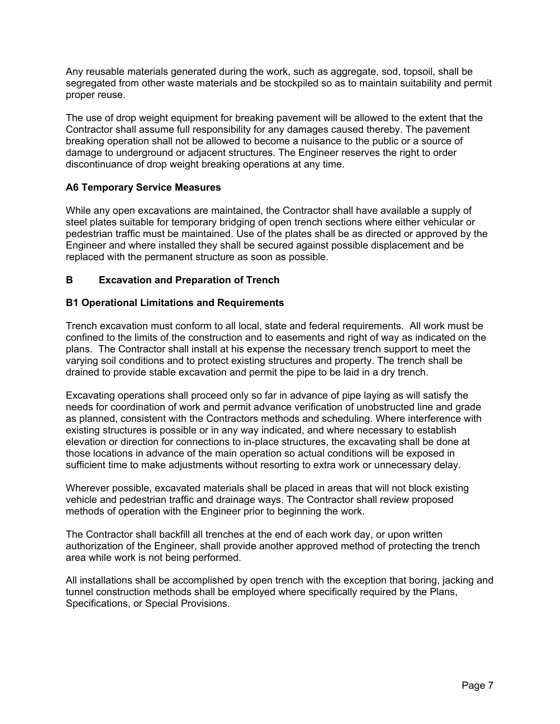Any reusable materials generated during the work, such as aggregate, sod, topsoil, shall be segregated from other waste materials and be stockpiled so as to maintain suitability and permit proper reuse.

The use of drop weight equipment for breaking pavement will be allowed to the extent that the Contractor shall assume full responsibility for any damages caused thereby. The pavement breaking operation shall not be allowed to become a nuisance to the public or a source of damage to underground or adjacent structures. The Engineer reserves the right to order discontinuance of drop weight breaking operations at any time.

#### **A6 Temporary Service Measures**

While any open excavations are maintained, the Contractor shall have available a supply of steel plates suitable for temporary bridging of open trench sections where either vehicular or pedestrian traffic must be maintained. Use of the plates shall be as directed or approved by the Engineer and where installed they shall be secured against possible displacement and be replaced with the permanent structure as soon as possible.

#### **B Excavation and Preparation of Trench**

#### **B1 Operational Limitations and Requirements**

Trench excavation must conform to all local, state and federal requirements. All work must be confined to the limits of the construction and to easements and right of way as indicated on the plans. The Contractor shall install at his expense the necessary trench support to meet the varying soil conditions and to protect existing structures and property. The trench shall be drained to provide stable excavation and permit the pipe to be laid in a dry trench.

Excavating operations shall proceed only so far in advance of pipe laying as will satisfy the needs for coordination of work and permit advance verification of unobstructed line and grade as planned, consistent with the Contractors methods and scheduling. Where interference with existing structures is possible or in any way indicated, and where necessary to establish elevation or direction for connections to in-place structures, the excavating shall be done at those locations in advance of the main operation so actual conditions will be exposed in sufficient time to make adjustments without resorting to extra work or unnecessary delay.

Wherever possible, excavated materials shall be placed in areas that will not block existing vehicle and pedestrian traffic and drainage ways. The Contractor shall review proposed methods of operation with the Engineer prior to beginning the work.

The Contractor shall backfill all trenches at the end of each work day, or upon written authorization of the Engineer, shall provide another approved method of protecting the trench area while work is not being performed.

All installations shall be accomplished by open trench with the exception that boring, jacking and tunnel construction methods shall be employed where specifically required by the Plans, Specifications, or Special Provisions.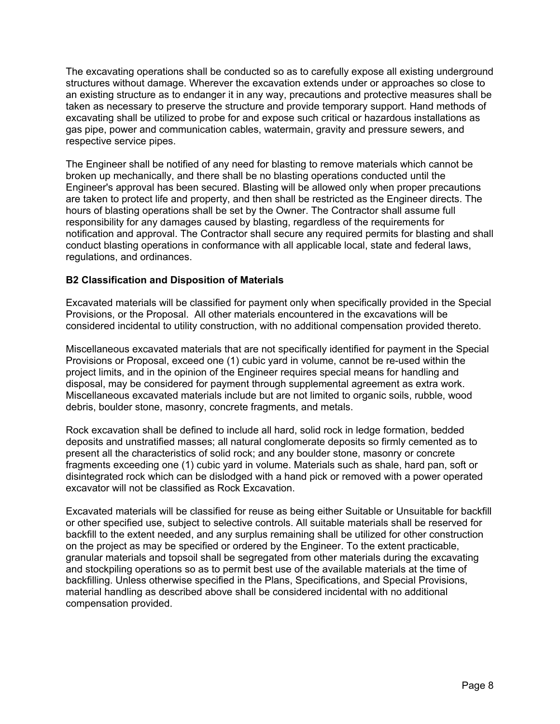The excavating operations shall be conducted so as to carefully expose all existing underground structures without damage. Wherever the excavation extends under or approaches so close to an existing structure as to endanger it in any way, precautions and protective measures shall be taken as necessary to preserve the structure and provide temporary support. Hand methods of excavating shall be utilized to probe for and expose such critical or hazardous installations as gas pipe, power and communication cables, watermain, gravity and pressure sewers, and respective service pipes.

The Engineer shall be notified of any need for blasting to remove materials which cannot be broken up mechanically, and there shall be no blasting operations conducted until the Engineer's approval has been secured. Blasting will be allowed only when proper precautions are taken to protect life and property, and then shall be restricted as the Engineer directs. The hours of blasting operations shall be set by the Owner. The Contractor shall assume full responsibility for any damages caused by blasting, regardless of the requirements for notification and approval. The Contractor shall secure any required permits for blasting and shall conduct blasting operations in conformance with all applicable local, state and federal laws, regulations, and ordinances.

#### **B2 Classification and Disposition of Materials**

Excavated materials will be classified for payment only when specifically provided in the Special Provisions, or the Proposal. All other materials encountered in the excavations will be considered incidental to utility construction, with no additional compensation provided thereto.

Miscellaneous excavated materials that are not specifically identified for payment in the Special Provisions or Proposal, exceed one (1) cubic yard in volume, cannot be re-used within the project limits, and in the opinion of the Engineer requires special means for handling and disposal, may be considered for payment through supplemental agreement as extra work. Miscellaneous excavated materials include but are not limited to organic soils, rubble, wood debris, boulder stone, masonry, concrete fragments, and metals.

Rock excavation shall be defined to include all hard, solid rock in ledge formation, bedded deposits and unstratified masses; all natural conglomerate deposits so firmly cemented as to present all the characteristics of solid rock; and any boulder stone, masonry or concrete fragments exceeding one (1) cubic yard in volume. Materials such as shale, hard pan, soft or disintegrated rock which can be dislodged with a hand pick or removed with a power operated excavator will not be classified as Rock Excavation.

Excavated materials will be classified for reuse as being either Suitable or Unsuitable for backfill or other specified use, subject to selective controls. All suitable materials shall be reserved for backfill to the extent needed, and any surplus remaining shall be utilized for other construction on the project as may be specified or ordered by the Engineer. To the extent practicable, granular materials and topsoil shall be segregated from other materials during the excavating and stockpiling operations so as to permit best use of the available materials at the time of backfilling. Unless otherwise specified in the Plans, Specifications, and Special Provisions, material handling as described above shall be considered incidental with no additional compensation provided.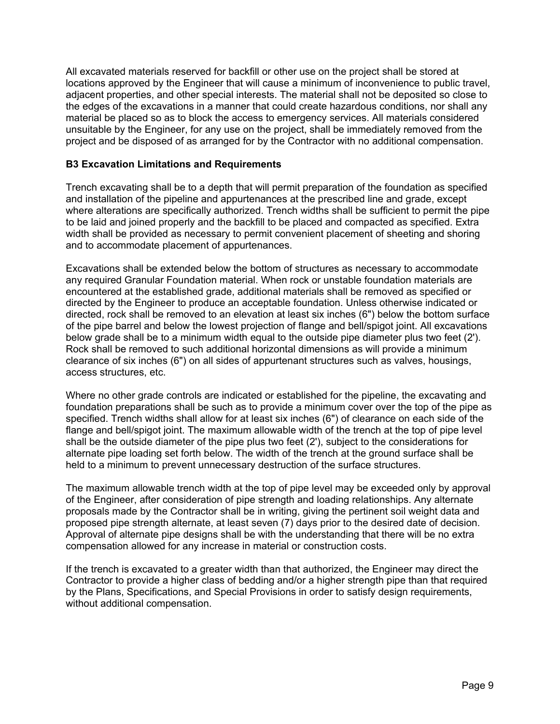All excavated materials reserved for backfill or other use on the project shall be stored at locations approved by the Engineer that will cause a minimum of inconvenience to public travel, adjacent properties, and other special interests. The material shall not be deposited so close to the edges of the excavations in a manner that could create hazardous conditions, nor shall any material be placed so as to block the access to emergency services. All materials considered unsuitable by the Engineer, for any use on the project, shall be immediately removed from the project and be disposed of as arranged for by the Contractor with no additional compensation.

#### **B3 Excavation Limitations and Requirements**

Trench excavating shall be to a depth that will permit preparation of the foundation as specified and installation of the pipeline and appurtenances at the prescribed line and grade, except where alterations are specifically authorized. Trench widths shall be sufficient to permit the pipe to be laid and joined properly and the backfill to be placed and compacted as specified. Extra width shall be provided as necessary to permit convenient placement of sheeting and shoring and to accommodate placement of appurtenances.

Excavations shall be extended below the bottom of structures as necessary to accommodate any required Granular Foundation material. When rock or unstable foundation materials are encountered at the established grade, additional materials shall be removed as specified or directed by the Engineer to produce an acceptable foundation. Unless otherwise indicated or directed, rock shall be removed to an elevation at least six inches (6") below the bottom surface of the pipe barrel and below the lowest projection of flange and bell/spigot joint. All excavations below grade shall be to a minimum width equal to the outside pipe diameter plus two feet (2'). Rock shall be removed to such additional horizontal dimensions as will provide a minimum clearance of six inches (6") on all sides of appurtenant structures such as valves, housings, access structures, etc.

Where no other grade controls are indicated or established for the pipeline, the excavating and foundation preparations shall be such as to provide a minimum cover over the top of the pipe as specified. Trench widths shall allow for at least six inches (6") of clearance on each side of the flange and bell/spigot joint. The maximum allowable width of the trench at the top of pipe level shall be the outside diameter of the pipe plus two feet (2'), subject to the considerations for alternate pipe loading set forth below. The width of the trench at the ground surface shall be held to a minimum to prevent unnecessary destruction of the surface structures.

The maximum allowable trench width at the top of pipe level may be exceeded only by approval of the Engineer, after consideration of pipe strength and loading relationships. Any alternate proposals made by the Contractor shall be in writing, giving the pertinent soil weight data and proposed pipe strength alternate, at least seven (7) days prior to the desired date of decision. Approval of alternate pipe designs shall be with the understanding that there will be no extra compensation allowed for any increase in material or construction costs.

If the trench is excavated to a greater width than that authorized, the Engineer may direct the Contractor to provide a higher class of bedding and/or a higher strength pipe than that required by the Plans, Specifications, and Special Provisions in order to satisfy design requirements, without additional compensation.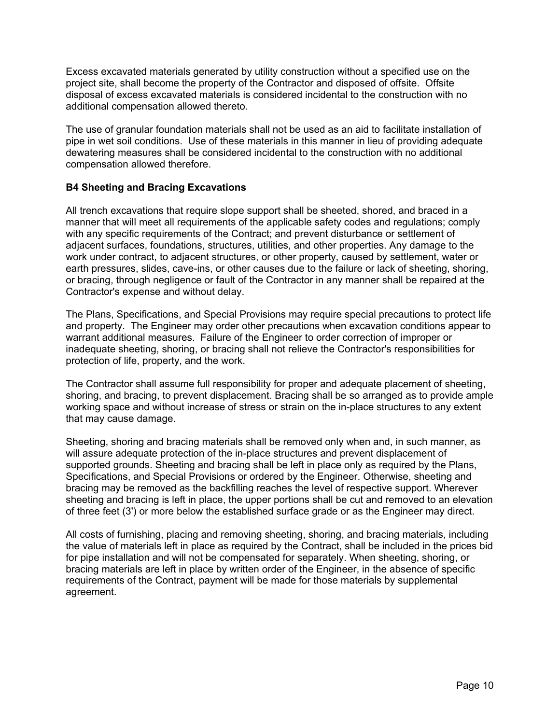Excess excavated materials generated by utility construction without a specified use on the project site, shall become the property of the Contractor and disposed of offsite. Offsite disposal of excess excavated materials is considered incidental to the construction with no additional compensation allowed thereto.

The use of granular foundation materials shall not be used as an aid to facilitate installation of pipe in wet soil conditions. Use of these materials in this manner in lieu of providing adequate dewatering measures shall be considered incidental to the construction with no additional compensation allowed therefore.

#### **B4 Sheeting and Bracing Excavations**

All trench excavations that require slope support shall be sheeted, shored, and braced in a manner that will meet all requirements of the applicable safety codes and regulations; comply with any specific requirements of the Contract; and prevent disturbance or settlement of adjacent surfaces, foundations, structures, utilities, and other properties. Any damage to the work under contract, to adjacent structures, or other property, caused by settlement, water or earth pressures, slides, cave-ins, or other causes due to the failure or lack of sheeting, shoring, or bracing, through negligence or fault of the Contractor in any manner shall be repaired at the Contractor's expense and without delay.

The Plans, Specifications, and Special Provisions may require special precautions to protect life and property. The Engineer may order other precautions when excavation conditions appear to warrant additional measures. Failure of the Engineer to order correction of improper or inadequate sheeting, shoring, or bracing shall not relieve the Contractor's responsibilities for protection of life, property, and the work.

The Contractor shall assume full responsibility for proper and adequate placement of sheeting, shoring, and bracing, to prevent displacement. Bracing shall be so arranged as to provide ample working space and without increase of stress or strain on the in-place structures to any extent that may cause damage.

Sheeting, shoring and bracing materials shall be removed only when and, in such manner, as will assure adequate protection of the in-place structures and prevent displacement of supported grounds. Sheeting and bracing shall be left in place only as required by the Plans, Specifications, and Special Provisions or ordered by the Engineer. Otherwise, sheeting and bracing may be removed as the backfilling reaches the level of respective support. Wherever sheeting and bracing is left in place, the upper portions shall be cut and removed to an elevation of three feet (3') or more below the established surface grade or as the Engineer may direct.

All costs of furnishing, placing and removing sheeting, shoring, and bracing materials, including the value of materials left in place as required by the Contract, shall be included in the prices bid for pipe installation and will not be compensated for separately. When sheeting, shoring, or bracing materials are left in place by written order of the Engineer, in the absence of specific requirements of the Contract, payment will be made for those materials by supplemental agreement.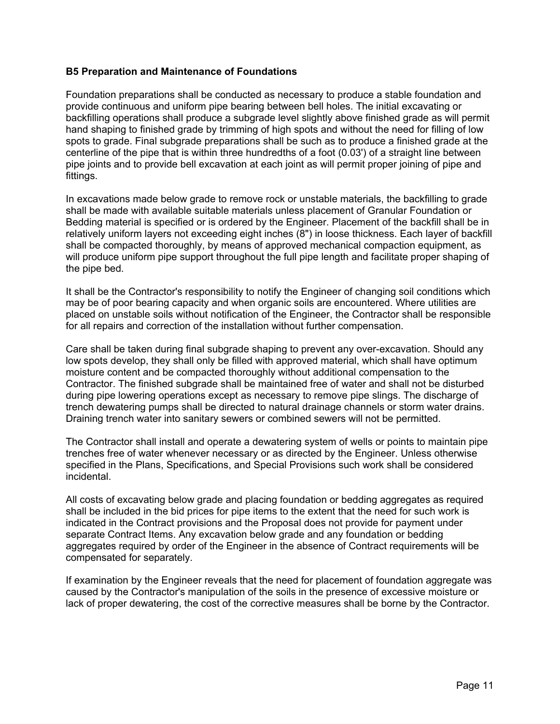#### **B5 Preparation and Maintenance of Foundations**

Foundation preparations shall be conducted as necessary to produce a stable foundation and provide continuous and uniform pipe bearing between bell holes. The initial excavating or backfilling operations shall produce a subgrade level slightly above finished grade as will permit hand shaping to finished grade by trimming of high spots and without the need for filling of low spots to grade. Final subgrade preparations shall be such as to produce a finished grade at the centerline of the pipe that is within three hundredths of a foot (0.03') of a straight line between pipe joints and to provide bell excavation at each joint as will permit proper joining of pipe and fittings.

In excavations made below grade to remove rock or unstable materials, the backfilling to grade shall be made with available suitable materials unless placement of Granular Foundation or Bedding material is specified or is ordered by the Engineer. Placement of the backfill shall be in relatively uniform layers not exceeding eight inches (8") in loose thickness. Each layer of backfill shall be compacted thoroughly, by means of approved mechanical compaction equipment, as will produce uniform pipe support throughout the full pipe length and facilitate proper shaping of the pipe bed.

It shall be the Contractor's responsibility to notify the Engineer of changing soil conditions which may be of poor bearing capacity and when organic soils are encountered. Where utilities are placed on unstable soils without notification of the Engineer, the Contractor shall be responsible for all repairs and correction of the installation without further compensation.

Care shall be taken during final subgrade shaping to prevent any over-excavation. Should any low spots develop, they shall only be filled with approved material, which shall have optimum moisture content and be compacted thoroughly without additional compensation to the Contractor. The finished subgrade shall be maintained free of water and shall not be disturbed during pipe lowering operations except as necessary to remove pipe slings. The discharge of trench dewatering pumps shall be directed to natural drainage channels or storm water drains. Draining trench water into sanitary sewers or combined sewers will not be permitted.

The Contractor shall install and operate a dewatering system of wells or points to maintain pipe trenches free of water whenever necessary or as directed by the Engineer. Unless otherwise specified in the Plans, Specifications, and Special Provisions such work shall be considered incidental.

All costs of excavating below grade and placing foundation or bedding aggregates as required shall be included in the bid prices for pipe items to the extent that the need for such work is indicated in the Contract provisions and the Proposal does not provide for payment under separate Contract Items. Any excavation below grade and any foundation or bedding aggregates required by order of the Engineer in the absence of Contract requirements will be compensated for separately.

If examination by the Engineer reveals that the need for placement of foundation aggregate was caused by the Contractor's manipulation of the soils in the presence of excessive moisture or lack of proper dewatering, the cost of the corrective measures shall be borne by the Contractor.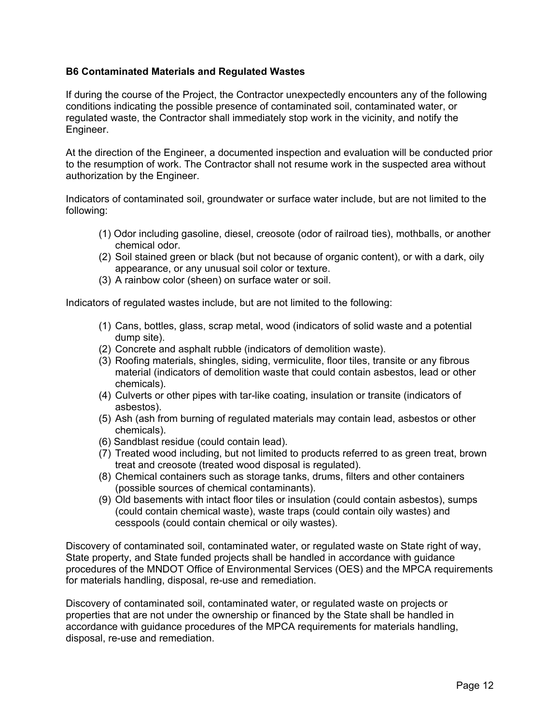#### **B6 Contaminated Materials and Regulated Wastes**

If during the course of the Project, the Contractor unexpectedly encounters any of the following conditions indicating the possible presence of contaminated soil, contaminated water, or regulated waste, the Contractor shall immediately stop work in the vicinity, and notify the Engineer.

At the direction of the Engineer, a documented inspection and evaluation will be conducted prior to the resumption of work. The Contractor shall not resume work in the suspected area without authorization by the Engineer.

Indicators of contaminated soil, groundwater or surface water include, but are not limited to the following:

- (1) Odor including gasoline, diesel, creosote (odor of railroad ties), mothballs, or another chemical odor.
- (2) Soil stained green or black (but not because of organic content), or with a dark, oily appearance, or any unusual soil color or texture.
- (3) A rainbow color (sheen) on surface water or soil.

Indicators of regulated wastes include, but are not limited to the following:

- (1) Cans, bottles, glass, scrap metal, wood (indicators of solid waste and a potential dump site).
- (2) Concrete and asphalt rubble (indicators of demolition waste).
- (3) Roofing materials, shingles, siding, vermiculite, floor tiles, transite or any fibrous material (indicators of demolition waste that could contain asbestos, lead or other chemicals).
- (4) Culverts or other pipes with tar-like coating, insulation or transite (indicators of asbestos).
- (5) Ash (ash from burning of regulated materials may contain lead, asbestos or other chemicals).
- (6) Sandblast residue (could contain lead).
- (7) Treated wood including, but not limited to products referred to as green treat, brown treat and creosote (treated wood disposal is regulated).
- (8) Chemical containers such as storage tanks, drums, filters and other containers (possible sources of chemical contaminants).
- (9) Old basements with intact floor tiles or insulation (could contain asbestos), sumps (could contain chemical waste), waste traps (could contain oily wastes) and cesspools (could contain chemical or oily wastes).

Discovery of contaminated soil, contaminated water, or regulated waste on State right of way, State property, and State funded projects shall be handled in accordance with guidance procedures of the MNDOT Office of Environmental Services (OES) and the MPCA requirements for materials handling, disposal, re-use and remediation.

Discovery of contaminated soil, contaminated water, or regulated waste on projects or properties that are not under the ownership or financed by the State shall be handled in accordance with guidance procedures of the MPCA requirements for materials handling, disposal, re-use and remediation.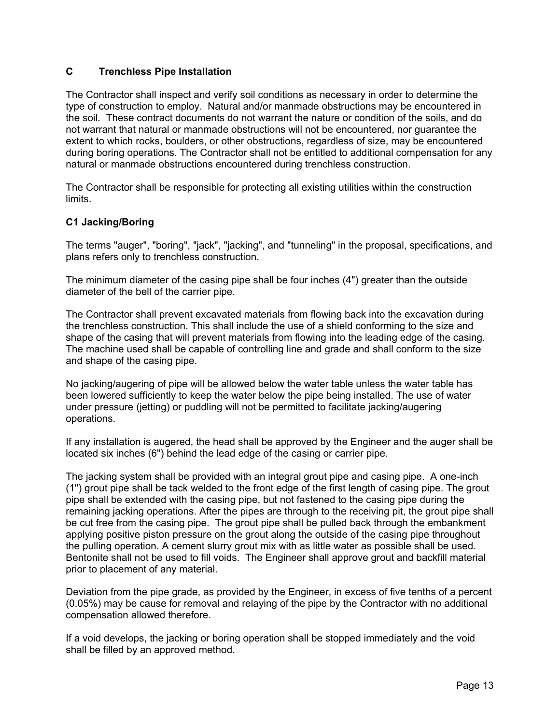#### **C Trenchless Pipe Installation**

The Contractor shall inspect and verify soil conditions as necessary in order to determine the type of construction to employ. Natural and/or manmade obstructions may be encountered in the soil. These contract documents do not warrant the nature or condition of the soils, and do not warrant that natural or manmade obstructions will not be encountered, nor guarantee the extent to which rocks, boulders, or other obstructions, regardless of size, may be encountered during boring operations. The Contractor shall not be entitled to additional compensation for any natural or manmade obstructions encountered during trenchless construction.

The Contractor shall be responsible for protecting all existing utilities within the construction limits.

#### **C1 Jacking/Boring**

The terms "auger", "boring", "jack", "jacking", and "tunneling" in the proposal, specifications, and plans refers only to trenchless construction.

The minimum diameter of the casing pipe shall be four inches (4") greater than the outside diameter of the bell of the carrier pipe.

The Contractor shall prevent excavated materials from flowing back into the excavation during the trenchless construction. This shall include the use of a shield conforming to the size and shape of the casing that will prevent materials from flowing into the leading edge of the casing. The machine used shall be capable of controlling line and grade and shall conform to the size and shape of the casing pipe.

No jacking/augering of pipe will be allowed below the water table unless the water table has been lowered sufficiently to keep the water below the pipe being installed. The use of water under pressure (jetting) or puddling will not be permitted to facilitate jacking/augering operations.

If any installation is augered, the head shall be approved by the Engineer and the auger shall be located six inches (6") behind the lead edge of the casing or carrier pipe.

The jacking system shall be provided with an integral grout pipe and casing pipe. A one-inch (1") grout pipe shall be tack welded to the front edge of the first length of casing pipe. The grout pipe shall be extended with the casing pipe, but not fastened to the casing pipe during the remaining jacking operations. After the pipes are through to the receiving pit, the grout pipe shall be cut free from the casing pipe. The grout pipe shall be pulled back through the embankment applying positive piston pressure on the grout along the outside of the casing pipe throughout the pulling operation. A cement slurry grout mix with as little water as possible shall be used. Bentonite shall not be used to fill voids. The Engineer shall approve grout and backfill material prior to placement of any material.

Deviation from the pipe grade, as provided by the Engineer, in excess of five tenths of a percent (0.05%) may be cause for removal and relaying of the pipe by the Contractor with no additional compensation allowed therefore.

If a void develops, the jacking or boring operation shall be stopped immediately and the void shall be filled by an approved method.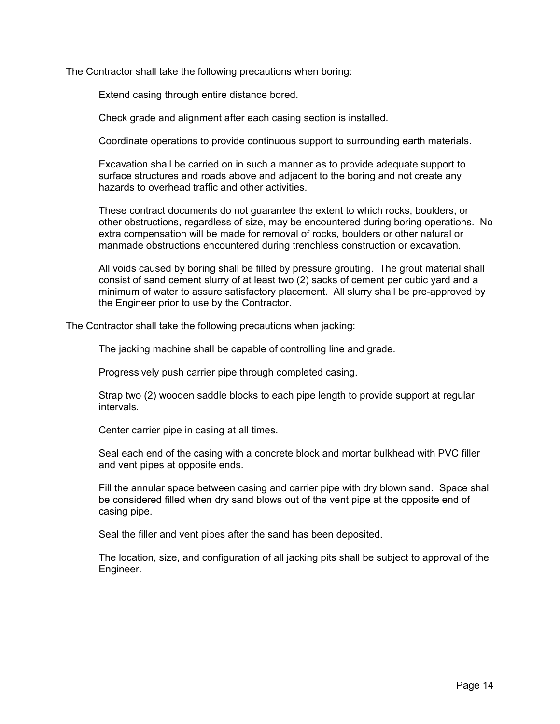The Contractor shall take the following precautions when boring:

Extend casing through entire distance bored.

Check grade and alignment after each casing section is installed.

Coordinate operations to provide continuous support to surrounding earth materials.

Excavation shall be carried on in such a manner as to provide adequate support to surface structures and roads above and adjacent to the boring and not create any hazards to overhead traffic and other activities.

These contract documents do not guarantee the extent to which rocks, boulders, or other obstructions, regardless of size, may be encountered during boring operations. No extra compensation will be made for removal of rocks, boulders or other natural or manmade obstructions encountered during trenchless construction or excavation.

All voids caused by boring shall be filled by pressure grouting. The grout material shall consist of sand cement slurry of at least two (2) sacks of cement per cubic yard and a minimum of water to assure satisfactory placement. All slurry shall be pre-approved by the Engineer prior to use by the Contractor.

The Contractor shall take the following precautions when jacking:

The jacking machine shall be capable of controlling line and grade.

Progressively push carrier pipe through completed casing.

Strap two (2) wooden saddle blocks to each pipe length to provide support at regular intervals.

Center carrier pipe in casing at all times.

Seal each end of the casing with a concrete block and mortar bulkhead with PVC filler and vent pipes at opposite ends.

Fill the annular space between casing and carrier pipe with dry blown sand. Space shall be considered filled when dry sand blows out of the vent pipe at the opposite end of casing pipe.

Seal the filler and vent pipes after the sand has been deposited.

The location, size, and configuration of all jacking pits shall be subject to approval of the Engineer.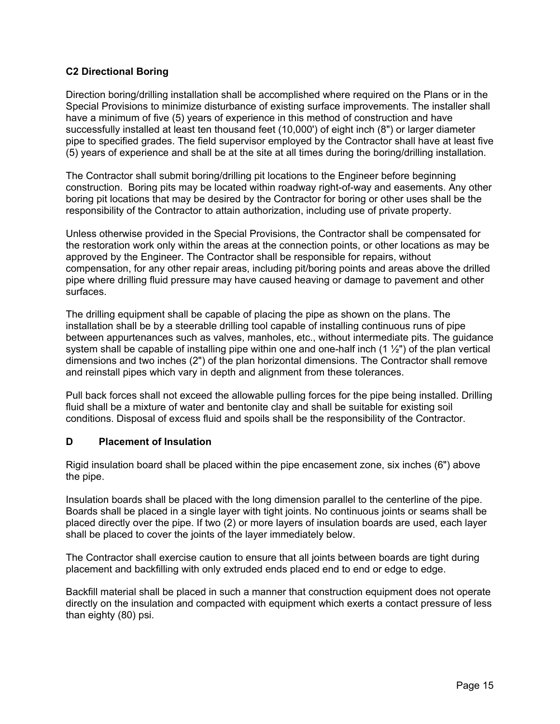#### **C2 Directional Boring**

Direction boring/drilling installation shall be accomplished where required on the Plans or in the Special Provisions to minimize disturbance of existing surface improvements. The installer shall have a minimum of five (5) years of experience in this method of construction and have successfully installed at least ten thousand feet (10,000') of eight inch (8") or larger diameter pipe to specified grades. The field supervisor employed by the Contractor shall have at least five (5) years of experience and shall be at the site at all times during the boring/drilling installation.

The Contractor shall submit boring/drilling pit locations to the Engineer before beginning construction. Boring pits may be located within roadway right-of-way and easements. Any other boring pit locations that may be desired by the Contractor for boring or other uses shall be the responsibility of the Contractor to attain authorization, including use of private property.

Unless otherwise provided in the Special Provisions, the Contractor shall be compensated for the restoration work only within the areas at the connection points, or other locations as may be approved by the Engineer. The Contractor shall be responsible for repairs, without compensation, for any other repair areas, including pit/boring points and areas above the drilled pipe where drilling fluid pressure may have caused heaving or damage to pavement and other surfaces.

The drilling equipment shall be capable of placing the pipe as shown on the plans. The installation shall be by a steerable drilling tool capable of installing continuous runs of pipe between appurtenances such as valves, manholes, etc., without intermediate pits. The guidance system shall be capable of installing pipe within one and one-half inch  $(1 \frac{1}{2})$  of the plan vertical dimensions and two inches (2") of the plan horizontal dimensions. The Contractor shall remove and reinstall pipes which vary in depth and alignment from these tolerances.

Pull back forces shall not exceed the allowable pulling forces for the pipe being installed. Drilling fluid shall be a mixture of water and bentonite clay and shall be suitable for existing soil conditions. Disposal of excess fluid and spoils shall be the responsibility of the Contractor.

#### **D Placement of Insulation**

Rigid insulation board shall be placed within the pipe encasement zone, six inches (6") above the pipe.

Insulation boards shall be placed with the long dimension parallel to the centerline of the pipe. Boards shall be placed in a single layer with tight joints. No continuous joints or seams shall be placed directly over the pipe. If two (2) or more layers of insulation boards are used, each layer shall be placed to cover the joints of the layer immediately below.

The Contractor shall exercise caution to ensure that all joints between boards are tight during placement and backfilling with only extruded ends placed end to end or edge to edge.

Backfill material shall be placed in such a manner that construction equipment does not operate directly on the insulation and compacted with equipment which exerts a contact pressure of less than eighty (80) psi.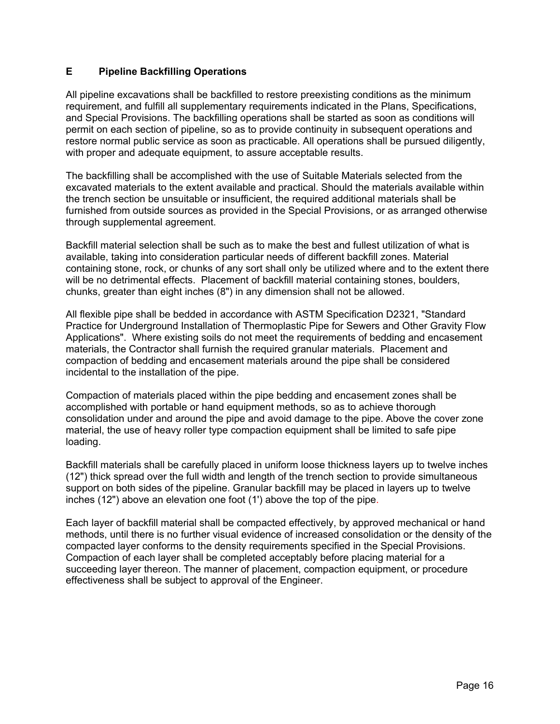#### **E Pipeline Backfilling Operations**

All pipeline excavations shall be backfilled to restore preexisting conditions as the minimum requirement, and fulfill all supplementary requirements indicated in the Plans, Specifications, and Special Provisions. The backfilling operations shall be started as soon as conditions will permit on each section of pipeline, so as to provide continuity in subsequent operations and restore normal public service as soon as practicable. All operations shall be pursued diligently, with proper and adequate equipment, to assure acceptable results.

The backfilling shall be accomplished with the use of Suitable Materials selected from the excavated materials to the extent available and practical. Should the materials available within the trench section be unsuitable or insufficient, the required additional materials shall be furnished from outside sources as provided in the Special Provisions, or as arranged otherwise through supplemental agreement.

Backfill material selection shall be such as to make the best and fullest utilization of what is available, taking into consideration particular needs of different backfill zones. Material containing stone, rock, or chunks of any sort shall only be utilized where and to the extent there will be no detrimental effects. Placement of backfill material containing stones, boulders, chunks, greater than eight inches (8") in any dimension shall not be allowed.

All flexible pipe shall be bedded in accordance with ASTM Specification D2321, "Standard Practice for Underground Installation of Thermoplastic Pipe for Sewers and Other Gravity Flow Applications". Where existing soils do not meet the requirements of bedding and encasement materials, the Contractor shall furnish the required granular materials. Placement and compaction of bedding and encasement materials around the pipe shall be considered incidental to the installation of the pipe.

Compaction of materials placed within the pipe bedding and encasement zones shall be accomplished with portable or hand equipment methods, so as to achieve thorough consolidation under and around the pipe and avoid damage to the pipe. Above the cover zone material, the use of heavy roller type compaction equipment shall be limited to safe pipe loading.

Backfill materials shall be carefully placed in uniform loose thickness layers up to twelve inches (12") thick spread over the full width and length of the trench section to provide simultaneous support on both sides of the pipeline. Granular backfill may be placed in layers up to twelve inches (12") above an elevation one foot (1') above the top of the pipe.

Each layer of backfill material shall be compacted effectively, by approved mechanical or hand methods, until there is no further visual evidence of increased consolidation or the density of the compacted layer conforms to the density requirements specified in the Special Provisions. Compaction of each layer shall be completed acceptably before placing material for a succeeding layer thereon. The manner of placement, compaction equipment, or procedure effectiveness shall be subject to approval of the Engineer.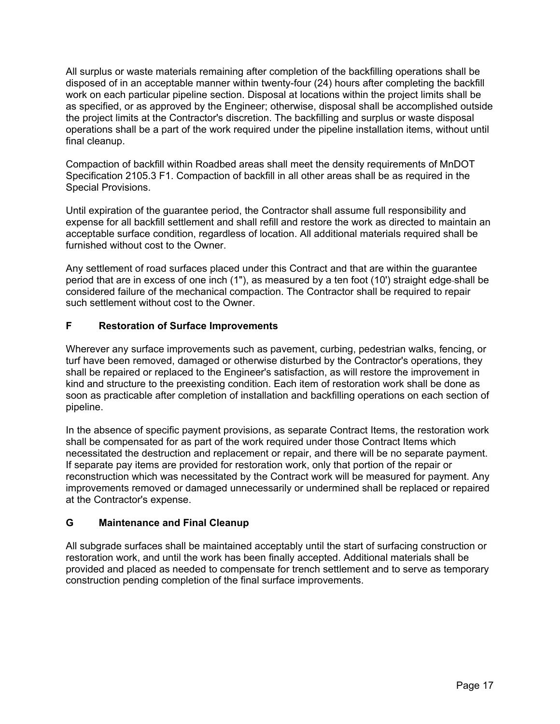All surplus or waste materials remaining after completion of the backfilling operations shall be disposed of in an acceptable manner within twenty-four (24) hours after completing the backfill work on each particular pipeline section. Disposal at locations within the project limits shall be as specified, or as approved by the Engineer; otherwise, disposal shall be accomplished outside the project limits at the Contractor's discretion. The backfilling and surplus or waste disposal operations shall be a part of the work required under the pipeline installation items, without until final cleanup.

Compaction of backfill within Roadbed areas shall meet the density requirements of MnDOT Specification 2105.3 F1. Compaction of backfill in all other areas shall be as required in the Special Provisions.

Until expiration of the guarantee period, the Contractor shall assume full responsibility and expense for all backfill settlement and shall refill and restore the work as directed to maintain an acceptable surface condition, regardless of location. All additional materials required shall be furnished without cost to the Owner.

Any settlement of road surfaces placed under this Contract and that are within the guarantee period that are in excess of one inch (1"), as measured by a ten foot (10') straight edge shall be considered failure of the mechanical compaction. The Contractor shall be required to repair such settlement without cost to the Owner.

#### **F Restoration of Surface Improvements**

Wherever any surface improvements such as pavement, curbing, pedestrian walks, fencing, or turf have been removed, damaged or otherwise disturbed by the Contractor's operations, they shall be repaired or replaced to the Engineer's satisfaction, as will restore the improvement in kind and structure to the preexisting condition. Each item of restoration work shall be done as soon as practicable after completion of installation and backfilling operations on each section of pipeline.

In the absence of specific payment provisions, as separate Contract Items, the restoration work shall be compensated for as part of the work required under those Contract Items which necessitated the destruction and replacement or repair, and there will be no separate payment. If separate pay items are provided for restoration work, only that portion of the repair or reconstruction which was necessitated by the Contract work will be measured for payment. Any improvements removed or damaged unnecessarily or undermined shall be replaced or repaired at the Contractor's expense.

#### **G Maintenance and Final Cleanup**

All subgrade surfaces shall be maintained acceptably until the start of surfacing construction or restoration work, and until the work has been finally accepted. Additional materials shall be provided and placed as needed to compensate for trench settlement and to serve as temporary construction pending completion of the final surface improvements.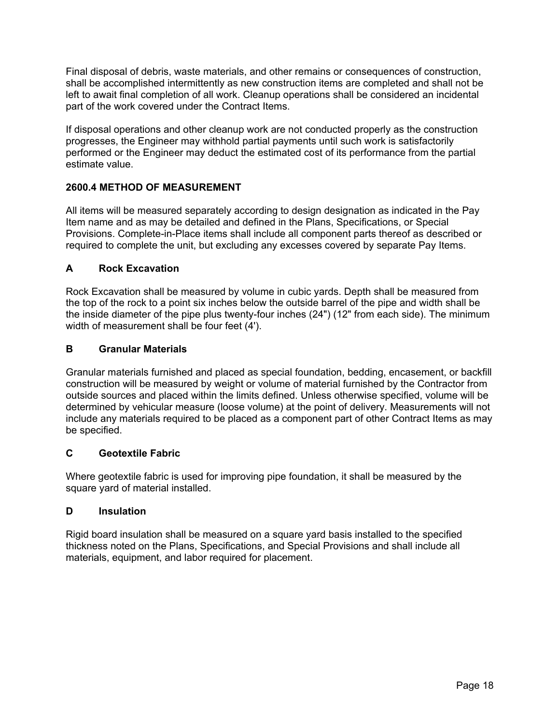Final disposal of debris, waste materials, and other remains or consequences of construction, shall be accomplished intermittently as new construction items are completed and shall not be left to await final completion of all work. Cleanup operations shall be considered an incidental part of the work covered under the Contract Items.

If disposal operations and other cleanup work are not conducted properly as the construction progresses, the Engineer may withhold partial payments until such work is satisfactorily performed or the Engineer may deduct the estimated cost of its performance from the partial estimate value.

#### **2600.4 METHOD OF MEASUREMENT**

All items will be measured separately according to design designation as indicated in the Pay Item name and as may be detailed and defined in the Plans, Specifications, or Special Provisions. Complete-in-Place items shall include all component parts thereof as described or required to complete the unit, but excluding any excesses covered by separate Pay Items.

#### **A Rock Excavation**

Rock Excavation shall be measured by volume in cubic yards. Depth shall be measured from the top of the rock to a point six inches below the outside barrel of the pipe and width shall be the inside diameter of the pipe plus twenty-four inches (24") (12" from each side). The minimum width of measurement shall be four feet (4').

#### **B Granular Materials**

Granular materials furnished and placed as special foundation, bedding, encasement, or backfill construction will be measured by weight or volume of material furnished by the Contractor from outside sources and placed within the limits defined. Unless otherwise specified, volume will be determined by vehicular measure (loose volume) at the point of delivery. Measurements will not include any materials required to be placed as a component part of other Contract Items as may be specified.

#### **C Geotextile Fabric**

Where geotextile fabric is used for improving pipe foundation, it shall be measured by the square yard of material installed.

#### **D Insulation**

Rigid board insulation shall be measured on a square yard basis installed to the specified thickness noted on the Plans, Specifications, and Special Provisions and shall include all materials, equipment, and labor required for placement.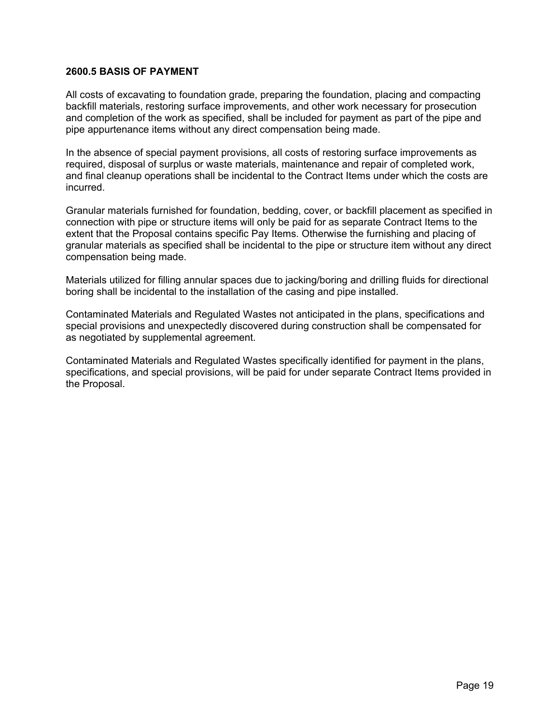#### **2600.5 BASIS OF PAYMENT**

All costs of excavating to foundation grade, preparing the foundation, placing and compacting backfill materials, restoring surface improvements, and other work necessary for prosecution and completion of the work as specified, shall be included for payment as part of the pipe and pipe appurtenance items without any direct compensation being made.

In the absence of special payment provisions, all costs of restoring surface improvements as required, disposal of surplus or waste materials, maintenance and repair of completed work, and final cleanup operations shall be incidental to the Contract Items under which the costs are incurred.

Granular materials furnished for foundation, bedding, cover, or backfill placement as specified in connection with pipe or structure items will only be paid for as separate Contract Items to the extent that the Proposal contains specific Pay Items. Otherwise the furnishing and placing of granular materials as specified shall be incidental to the pipe or structure item without any direct compensation being made.

Materials utilized for filling annular spaces due to jacking/boring and drilling fluids for directional boring shall be incidental to the installation of the casing and pipe installed.

Contaminated Materials and Regulated Wastes not anticipated in the plans, specifications and special provisions and unexpectedly discovered during construction shall be compensated for as negotiated by supplemental agreement.

Contaminated Materials and Regulated Wastes specifically identified for payment in the plans, specifications, and special provisions, will be paid for under separate Contract Items provided in the Proposal.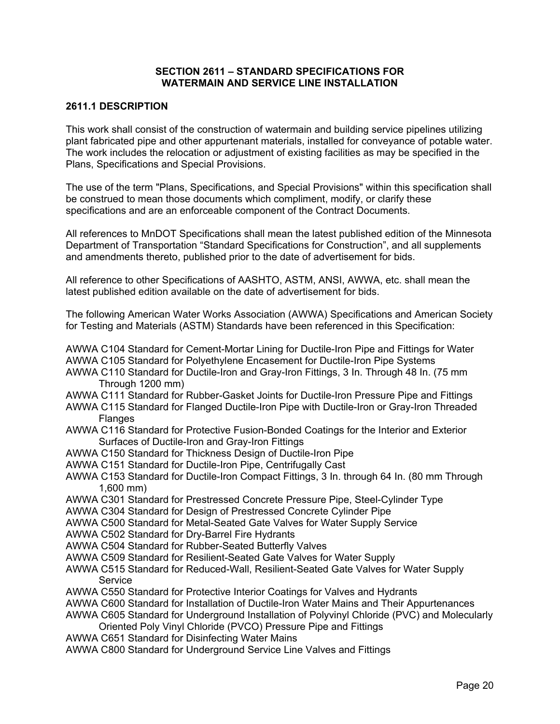#### **SECTION 2611 – STANDARD SPECIFICATIONS FOR WATERMAIN AND SERVICE LINE INSTALLATION**

#### **2611.1 DESCRIPTION**

This work shall consist of the construction of watermain and building service pipelines utilizing plant fabricated pipe and other appurtenant materials, installed for conveyance of potable water. The work includes the relocation or adjustment of existing facilities as may be specified in the Plans, Specifications and Special Provisions.

The use of the term "Plans, Specifications, and Special Provisions" within this specification shall be construed to mean those documents which compliment, modify, or clarify these specifications and are an enforceable component of the Contract Documents.

All references to MnDOT Specifications shall mean the latest published edition of the Minnesota Department of Transportation "Standard Specifications for Construction", and all supplements and amendments thereto, published prior to the date of advertisement for bids.

All reference to other Specifications of AASHTO, ASTM, ANSI, AWWA, etc. shall mean the latest published edition available on the date of advertisement for bids.

The following American Water Works Association (AWWA) Specifications and American Society for Testing and Materials (ASTM) Standards have been referenced in this Specification:

AWWA C104 Standard for Cement-Mortar Lining for Ductile-Iron Pipe and Fittings for Water AWWA C105 Standard for Polyethylene Encasement for Ductile-Iron Pipe Systems

- AWWA C110 Standard for Ductile-Iron and Gray-Iron Fittings, 3 In. Through 48 In. (75 mm Through 1200 mm)
- AWWA C111 Standard for Rubber-Gasket Joints for Ductile-Iron Pressure Pipe and Fittings
- AWWA C115 Standard for Flanged Ductile-Iron Pipe with Ductile-Iron or Gray-Iron Threaded Flanges
- AWWA C116 Standard for Protective Fusion-Bonded Coatings for the Interior and Exterior Surfaces of Ductile-Iron and Gray-Iron Fittings
- AWWA C150 Standard for Thickness Design of Ductile-Iron Pipe
- AWWA C151 Standard for Ductile-Iron Pipe, Centrifugally Cast
- AWWA C153 Standard for Ductile-Iron Compact Fittings, 3 In. through 64 In. (80 mm Through 1,600 mm)
- AWWA C301 Standard for Prestressed Concrete Pressure Pipe, Steel-Cylinder Type
- AWWA C304 Standard for Design of Prestressed Concrete Cylinder Pipe
- AWWA C500 Standard for Metal-Seated Gate Valves for Water Supply Service
- AWWA C502 Standard for Dry-Barrel Fire Hydrants
- AWWA C504 Standard for Rubber-Seated Butterfly Valves
- AWWA C509 Standard for Resilient-Seated Gate Valves for Water Supply
- AWWA C515 Standard for Reduced-Wall, Resilient-Seated Gate Valves for Water Supply **Service**
- AWWA C550 Standard for Protective Interior Coatings for Valves and Hydrants
- AWWA C600 Standard for Installation of Ductile-Iron Water Mains and Their Appurtenances
- AWWA C605 Standard for Underground Installation of Polyvinyl Chloride (PVC) and Molecularly Oriented Poly Vinyl Chloride (PVCO) Pressure Pipe and Fittings
- AWWA C651 Standard for Disinfecting Water Mains
- AWWA C800 Standard for Underground Service Line Valves and Fittings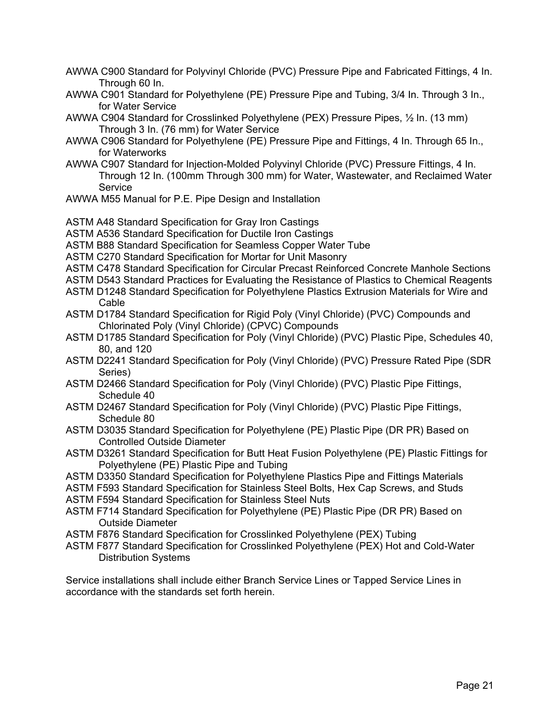- AWWA C900 Standard for Polyvinyl Chloride (PVC) Pressure Pipe and Fabricated Fittings, 4 In. Through 60 In.
- AWWA C901 Standard for Polyethylene (PE) Pressure Pipe and Tubing, 3/4 In. Through 3 In., for Water Service
- AWWA C904 Standard for Crosslinked Polyethylene (PEX) Pressure Pipes, ½ In. (13 mm) Through 3 In. (76 mm) for Water Service
- AWWA C906 Standard for Polyethylene (PE) Pressure Pipe and Fittings, 4 In. Through 65 In., for Waterworks
- AWWA C907 Standard for Injection-Molded Polyvinyl Chloride (PVC) Pressure Fittings, 4 In. Through 12 In. (100mm Through 300 mm) for Water, Wastewater, and Reclaimed Water **Service**
- AWWA M55 Manual for P.E. Pipe Design and Installation
- ASTM A48 Standard Specification for Gray Iron Castings
- ASTM A536 Standard Specification for Ductile Iron Castings
- ASTM B88 Standard Specification for Seamless Copper Water Tube
- ASTM C270 Standard Specification for Mortar for Unit Masonry
- ASTM C478 Standard Specification for Circular Precast Reinforced Concrete Manhole Sections
- ASTM D543 Standard Practices for Evaluating the Resistance of Plastics to Chemical Reagents
- ASTM D1248 Standard Specification for Polyethylene Plastics Extrusion Materials for Wire and **Cable**
- ASTM D1784 Standard Specification for Rigid Poly (Vinyl Chloride) (PVC) Compounds and Chlorinated Poly (Vinyl Chloride) (CPVC) Compounds
- ASTM D1785 Standard Specification for Poly (Vinyl Chloride) (PVC) Plastic Pipe, Schedules 40, 80, and 120
- ASTM D2241 Standard Specification for Poly (Vinyl Chloride) (PVC) Pressure Rated Pipe (SDR Series)
- ASTM D2466 Standard Specification for Poly (Vinyl Chloride) (PVC) Plastic Pipe Fittings, Schedule 40
- ASTM D2467 Standard Specification for Poly (Vinyl Chloride) (PVC) Plastic Pipe Fittings, Schedule 80
- ASTM D3035 Standard Specification for Polyethylene (PE) Plastic Pipe (DR PR) Based on Controlled Outside Diameter
- ASTM D3261 Standard Specification for Butt Heat Fusion Polyethylene (PE) Plastic Fittings for Polyethylene (PE) Plastic Pipe and Tubing
- ASTM D3350 Standard Specification for Polyethylene Plastics Pipe and Fittings Materials
- ASTM F593 Standard Specification for Stainless Steel Bolts, Hex Cap Screws, and Studs
- ASTM F594 Standard Specification for Stainless Steel Nuts
- ASTM F714 Standard Specification for Polyethylene (PE) Plastic Pipe (DR PR) Based on Outside Diameter
- ASTM F876 Standard Specification for Crosslinked Polyethylene (PEX) Tubing
- ASTM F877 Standard Specification for Crosslinked Polyethylene (PEX) Hot and Cold-Water Distribution Systems

Service installations shall include either Branch Service Lines or Tapped Service Lines in accordance with the standards set forth herein.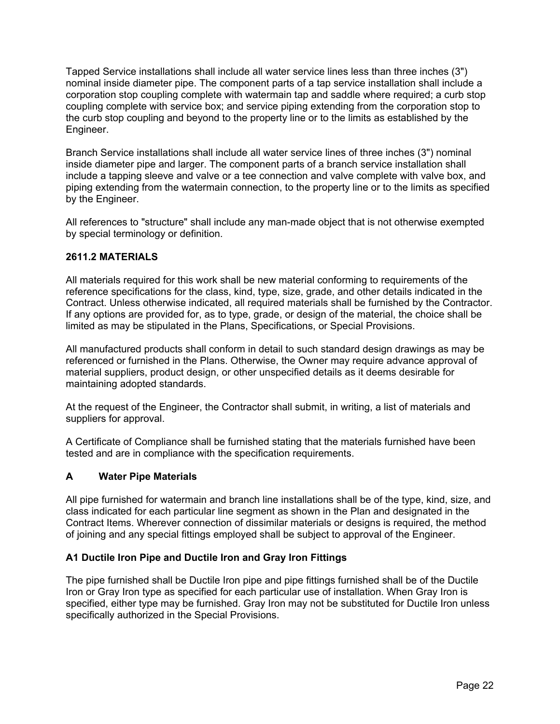Tapped Service installations shall include all water service lines less than three inches (3") nominal inside diameter pipe. The component parts of a tap service installation shall include a corporation stop coupling complete with watermain tap and saddle where required; a curb stop coupling complete with service box; and service piping extending from the corporation stop to the curb stop coupling and beyond to the property line or to the limits as established by the Engineer.

Branch Service installations shall include all water service lines of three inches (3") nominal inside diameter pipe and larger. The component parts of a branch service installation shall include a tapping sleeve and valve or a tee connection and valve complete with valve box, and piping extending from the watermain connection, to the property line or to the limits as specified by the Engineer.

All references to "structure" shall include any man-made object that is not otherwise exempted by special terminology or definition.

#### **2611.2 MATERIALS**

All materials required for this work shall be new material conforming to requirements of the reference specifications for the class, kind, type, size, grade, and other details indicated in the Contract. Unless otherwise indicated, all required materials shall be furnished by the Contractor. If any options are provided for, as to type, grade, or design of the material, the choice shall be limited as may be stipulated in the Plans, Specifications, or Special Provisions.

All manufactured products shall conform in detail to such standard design drawings as may be referenced or furnished in the Plans. Otherwise, the Owner may require advance approval of material suppliers, product design, or other unspecified details as it deems desirable for maintaining adopted standards.

At the request of the Engineer, the Contractor shall submit, in writing, a list of materials and suppliers for approval.

A Certificate of Compliance shall be furnished stating that the materials furnished have been tested and are in compliance with the specification requirements.

#### **A Water Pipe Materials**

All pipe furnished for watermain and branch line installations shall be of the type, kind, size, and class indicated for each particular line segment as shown in the Plan and designated in the Contract Items. Wherever connection of dissimilar materials or designs is required, the method of joining and any special fittings employed shall be subject to approval of the Engineer.

#### **A1 Ductile Iron Pipe and Ductile Iron and Gray Iron Fittings**

The pipe furnished shall be Ductile Iron pipe and pipe fittings furnished shall be of the Ductile Iron or Gray Iron type as specified for each particular use of installation. When Gray Iron is specified, either type may be furnished. Gray Iron may not be substituted for Ductile Iron unless specifically authorized in the Special Provisions.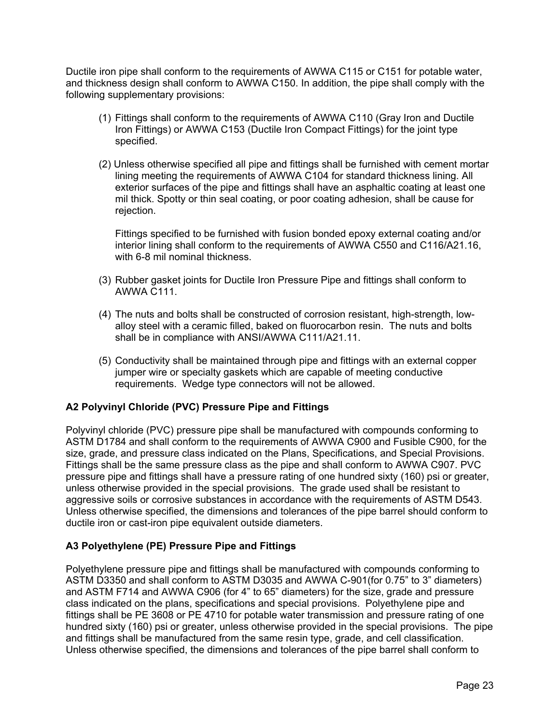Ductile iron pipe shall conform to the requirements of AWWA C115 or C151 for potable water, and thickness design shall conform to AWWA C150. In addition, the pipe shall comply with the following supplementary provisions:

- (1) Fittings shall conform to the requirements of AWWA C110 (Gray Iron and Ductile Iron Fittings) or AWWA C153 (Ductile Iron Compact Fittings) for the joint type specified.
- (2) Unless otherwise specified all pipe and fittings shall be furnished with cement mortar lining meeting the requirements of AWWA C104 for standard thickness lining. All exterior surfaces of the pipe and fittings shall have an asphaltic coating at least one mil thick. Spotty or thin seal coating, or poor coating adhesion, shall be cause for rejection.

Fittings specified to be furnished with fusion bonded epoxy external coating and/or interior lining shall conform to the requirements of AWWA C550 and C116/A21.16, with 6-8 mil nominal thickness.

- (3) Rubber gasket joints for Ductile Iron Pressure Pipe and fittings shall conform to AWWA C111.
- (4) The nuts and bolts shall be constructed of corrosion resistant, high-strength, lowalloy steel with a ceramic filled, baked on fluorocarbon resin. The nuts and bolts shall be in compliance with ANSI/AWWA C111/A21.11.
- (5) Conductivity shall be maintained through pipe and fittings with an external copper jumper wire or specialty gaskets which are capable of meeting conductive requirements. Wedge type connectors will not be allowed.

#### **A2 Polyvinyl Chloride (PVC) Pressure Pipe and Fittings**

Polyvinyl chloride (PVC) pressure pipe shall be manufactured with compounds conforming to ASTM D1784 and shall conform to the requirements of AWWA C900 and Fusible C900, for the size, grade, and pressure class indicated on the Plans, Specifications, and Special Provisions. Fittings shall be the same pressure class as the pipe and shall conform to AWWA C907. PVC pressure pipe and fittings shall have a pressure rating of one hundred sixty (160) psi or greater, unless otherwise provided in the special provisions. The grade used shall be resistant to aggressive soils or corrosive substances in accordance with the requirements of ASTM D543. Unless otherwise specified, the dimensions and tolerances of the pipe barrel should conform to ductile iron or cast-iron pipe equivalent outside diameters.

#### **A3 Polyethylene (PE) Pressure Pipe and Fittings**

Polyethylene pressure pipe and fittings shall be manufactured with compounds conforming to ASTM D3350 and shall conform to ASTM D3035 and AWWA C-901(for 0.75" to 3" diameters) and ASTM F714 and AWWA C906 (for 4" to 65" diameters) for the size, grade and pressure class indicated on the plans, specifications and special provisions. Polyethylene pipe and fittings shall be PE 3608 or PE 4710 for potable water transmission and pressure rating of one hundred sixty (160) psi or greater, unless otherwise provided in the special provisions. The pipe and fittings shall be manufactured from the same resin type, grade, and cell classification. Unless otherwise specified, the dimensions and tolerances of the pipe barrel shall conform to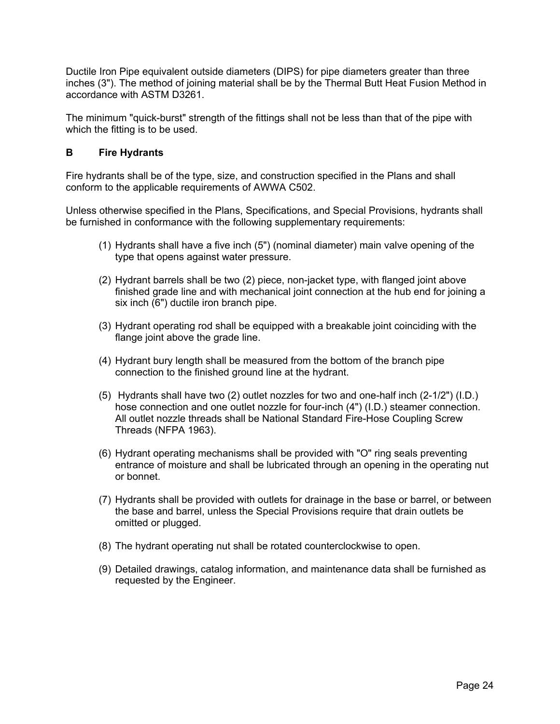Ductile Iron Pipe equivalent outside diameters (DIPS) for pipe diameters greater than three inches (3"). The method of joining material shall be by the Thermal Butt Heat Fusion Method in accordance with ASTM D3261.

The minimum "quick-burst" strength of the fittings shall not be less than that of the pipe with which the fitting is to be used.

#### **B Fire Hydrants**

Fire hydrants shall be of the type, size, and construction specified in the Plans and shall conform to the applicable requirements of AWWA C502.

Unless otherwise specified in the Plans, Specifications, and Special Provisions, hydrants shall be furnished in conformance with the following supplementary requirements:

- (1) Hydrants shall have a five inch (5") (nominal diameter) main valve opening of the type that opens against water pressure.
- (2) Hydrant barrels shall be two (2) piece, non-jacket type, with flanged joint above finished grade line and with mechanical joint connection at the hub end for joining a six inch (6") ductile iron branch pipe.
- (3) Hydrant operating rod shall be equipped with a breakable joint coinciding with the flange joint above the grade line.
- (4) Hydrant bury length shall be measured from the bottom of the branch pipe connection to the finished ground line at the hydrant.
- (5) Hydrants shall have two (2) outlet nozzles for two and one-half inch (2-1/2") (I.D.) hose connection and one outlet nozzle for four-inch (4") (I.D.) steamer connection. All outlet nozzle threads shall be National Standard Fire-Hose Coupling Screw Threads (NFPA 1963).
- (6) Hydrant operating mechanisms shall be provided with "O" ring seals preventing entrance of moisture and shall be lubricated through an opening in the operating nut or bonnet.
- (7) Hydrants shall be provided with outlets for drainage in the base or barrel, or between the base and barrel, unless the Special Provisions require that drain outlets be omitted or plugged.
- (8) The hydrant operating nut shall be rotated counterclockwise to open.
- (9) Detailed drawings, catalog information, and maintenance data shall be furnished as requested by the Engineer.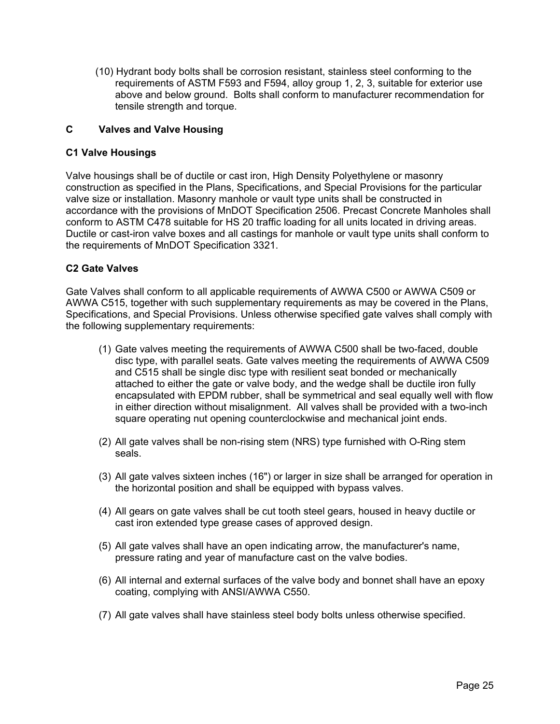(10) Hydrant body bolts shall be corrosion resistant, stainless steel conforming to the requirements of ASTM F593 and F594, alloy group 1, 2, 3, suitable for exterior use above and below ground. Bolts shall conform to manufacturer recommendation for tensile strength and torque.

#### **C Valves and Valve Housing**

#### **C1 Valve Housings**

Valve housings shall be of ductile or cast iron, High Density Polyethylene or masonry construction as specified in the Plans, Specifications, and Special Provisions for the particular valve size or installation. Masonry manhole or vault type units shall be constructed in accordance with the provisions of MnDOT Specification 2506. Precast Concrete Manholes shall conform to ASTM C478 suitable for HS 20 traffic loading for all units located in driving areas. Ductile or cast-iron valve boxes and all castings for manhole or vault type units shall conform to the requirements of MnDOT Specification 3321.

#### **C2 Gate Valves**

Gate Valves shall conform to all applicable requirements of AWWA C500 or AWWA C509 or AWWA C515, together with such supplementary requirements as may be covered in the Plans, Specifications, and Special Provisions. Unless otherwise specified gate valves shall comply with the following supplementary requirements:

- (1) Gate valves meeting the requirements of AWWA C500 shall be two-faced, double disc type, with parallel seats. Gate valves meeting the requirements of AWWA C509 and C515 shall be single disc type with resilient seat bonded or mechanically attached to either the gate or valve body, and the wedge shall be ductile iron fully encapsulated with EPDM rubber, shall be symmetrical and seal equally well with flow in either direction without misalignment. All valves shall be provided with a two-inch square operating nut opening counterclockwise and mechanical joint ends.
- (2) All gate valves shall be non-rising stem (NRS) type furnished with O-Ring stem seals.
- (3) All gate valves sixteen inches (16") or larger in size shall be arranged for operation in the horizontal position and shall be equipped with bypass valves.
- (4) All gears on gate valves shall be cut tooth steel gears, housed in heavy ductile or cast iron extended type grease cases of approved design.
- (5) All gate valves shall have an open indicating arrow, the manufacturer's name, pressure rating and year of manufacture cast on the valve bodies.
- (6) All internal and external surfaces of the valve body and bonnet shall have an epoxy coating, complying with ANSI/AWWA C550.
- (7) All gate valves shall have stainless steel body bolts unless otherwise specified.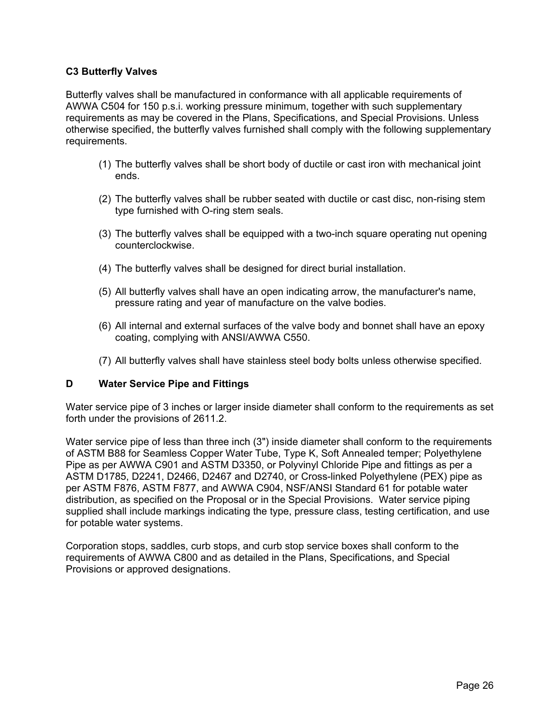#### **C3 Butterfly Valves**

Butterfly valves shall be manufactured in conformance with all applicable requirements of AWWA C504 for 150 p.s.i. working pressure minimum, together with such supplementary requirements as may be covered in the Plans, Specifications, and Special Provisions. Unless otherwise specified, the butterfly valves furnished shall comply with the following supplementary requirements.

- (1) The butterfly valves shall be short body of ductile or cast iron with mechanical joint ends.
- (2) The butterfly valves shall be rubber seated with ductile or cast disc, non-rising stem type furnished with O-ring stem seals.
- (3) The butterfly valves shall be equipped with a two-inch square operating nut opening counterclockwise.
- (4) The butterfly valves shall be designed for direct burial installation.
- (5) All butterfly valves shall have an open indicating arrow, the manufacturer's name, pressure rating and year of manufacture on the valve bodies.
- (6) All internal and external surfaces of the valve body and bonnet shall have an epoxy coating, complying with ANSI/AWWA C550.
- (7) All butterfly valves shall have stainless steel body bolts unless otherwise specified.

#### **D Water Service Pipe and Fittings**

Water service pipe of 3 inches or larger inside diameter shall conform to the requirements as set forth under the provisions of 2611.2.

Water service pipe of less than three inch (3") inside diameter shall conform to the requirements of ASTM B88 for Seamless Copper Water Tube, Type K, Soft Annealed temper; Polyethylene Pipe as per AWWA C901 and ASTM D3350, or Polyvinyl Chloride Pipe and fittings as per a ASTM D1785, D2241, D2466, D2467 and D2740, or Cross-linked Polyethylene (PEX) pipe as per ASTM F876, ASTM F877, and AWWA C904, NSF/ANSI Standard 61 for potable water distribution, as specified on the Proposal or in the Special Provisions. Water service piping supplied shall include markings indicating the type, pressure class, testing certification, and use for potable water systems.

Corporation stops, saddles, curb stops, and curb stop service boxes shall conform to the requirements of AWWA C800 and as detailed in the Plans, Specifications, and Special Provisions or approved designations.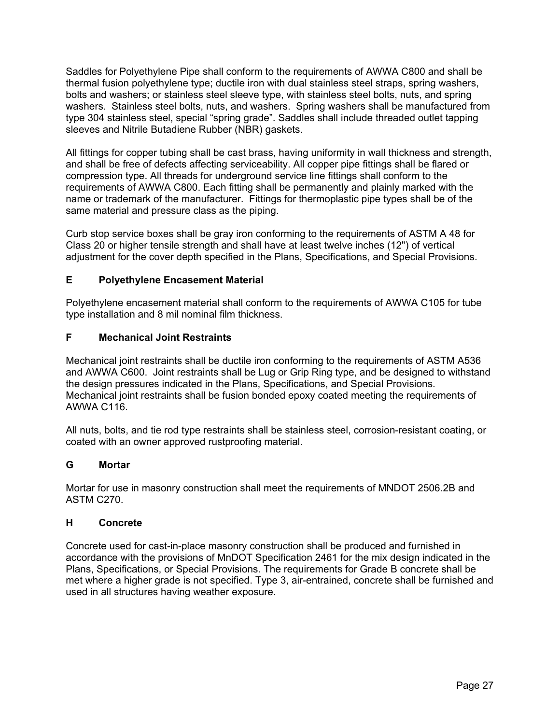Saddles for Polyethylene Pipe shall conform to the requirements of AWWA C800 and shall be thermal fusion polyethylene type; ductile iron with dual stainless steel straps, spring washers, bolts and washers; or stainless steel sleeve type, with stainless steel bolts, nuts, and spring washers. Stainless steel bolts, nuts, and washers. Spring washers shall be manufactured from type 304 stainless steel, special "spring grade". Saddles shall include threaded outlet tapping sleeves and Nitrile Butadiene Rubber (NBR) gaskets.

All fittings for copper tubing shall be cast brass, having uniformity in wall thickness and strength, and shall be free of defects affecting serviceability. All copper pipe fittings shall be flared or compression type. All threads for underground service line fittings shall conform to the requirements of AWWA C800. Each fitting shall be permanently and plainly marked with the name or trademark of the manufacturer. Fittings for thermoplastic pipe types shall be of the same material and pressure class as the piping.

Curb stop service boxes shall be gray iron conforming to the requirements of ASTM A 48 for Class 20 or higher tensile strength and shall have at least twelve inches (12") of vertical adjustment for the cover depth specified in the Plans, Specifications, and Special Provisions.

#### **E Polyethylene Encasement Material**

Polyethylene encasement material shall conform to the requirements of AWWA C105 for tube type installation and 8 mil nominal film thickness.

#### **F Mechanical Joint Restraints**

Mechanical joint restraints shall be ductile iron conforming to the requirements of ASTM A536 and AWWA C600. Joint restraints shall be Lug or Grip Ring type, and be designed to withstand the design pressures indicated in the Plans, Specifications, and Special Provisions. Mechanical joint restraints shall be fusion bonded epoxy coated meeting the requirements of AWWA C116.

All nuts, bolts, and tie rod type restraints shall be stainless steel, corrosion-resistant coating, or coated with an owner approved rustproofing material.

#### **G Mortar**

Mortar for use in masonry construction shall meet the requirements of MNDOT 2506.2B and ASTM C270.

#### **H Concrete**

Concrete used for cast-in-place masonry construction shall be produced and furnished in accordance with the provisions of MnDOT Specification 2461 for the mix design indicated in the Plans, Specifications, or Special Provisions. The requirements for Grade B concrete shall be met where a higher grade is not specified. Type 3, air-entrained, concrete shall be furnished and used in all structures having weather exposure.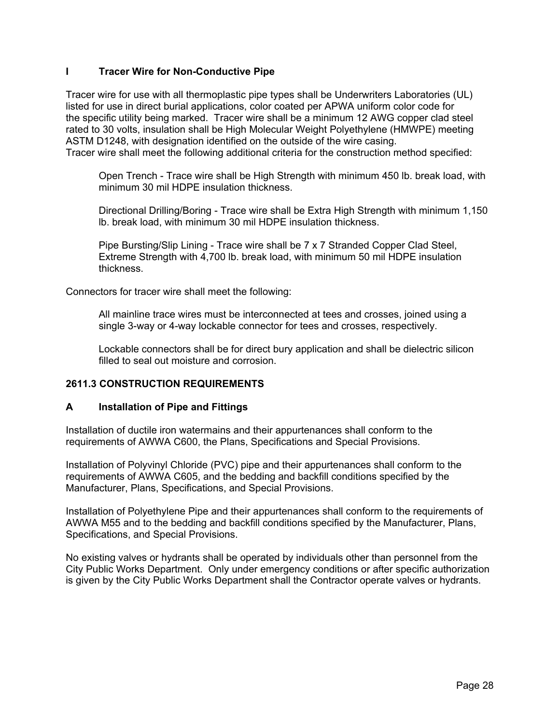#### **I Tracer Wire for Non-Conductive Pipe**

Tracer wire for use with all thermoplastic pipe types shall be Underwriters Laboratories (UL) listed for use in direct burial applications, color coated per APWA uniform color code for the specific utility being marked. Tracer wire shall be a minimum 12 AWG copper clad steel rated to 30 volts, insulation shall be High Molecular Weight Polyethylene (HMWPE) meeting ASTM D1248, with designation identified on the outside of the wire casing. Tracer wire shall meet the following additional criteria for the construction method specified:

Open Trench - Trace wire shall be High Strength with minimum 450 lb. break load, with minimum 30 mil HDPE insulation thickness.

Directional Drilling/Boring - Trace wire shall be Extra High Strength with minimum 1,150 lb. break load, with minimum 30 mil HDPE insulation thickness.

Pipe Bursting/Slip Lining - Trace wire shall be 7 x 7 Stranded Copper Clad Steel, Extreme Strength with 4,700 lb. break load, with minimum 50 mil HDPE insulation thickness.

Connectors for tracer wire shall meet the following:

All mainline trace wires must be interconnected at tees and crosses, joined using a single 3-way or 4-way lockable connector for tees and crosses, respectively.

Lockable connectors shall be for direct bury application and shall be dielectric silicon filled to seal out moisture and corrosion.

#### **2611.3 CONSTRUCTION REQUIREMENTS**

#### **A Installation of Pipe and Fittings**

Installation of ductile iron watermains and their appurtenances shall conform to the requirements of AWWA C600, the Plans, Specifications and Special Provisions.

Installation of Polyvinyl Chloride (PVC) pipe and their appurtenances shall conform to the requirements of AWWA C605, and the bedding and backfill conditions specified by the Manufacturer, Plans, Specifications, and Special Provisions.

Installation of Polyethylene Pipe and their appurtenances shall conform to the requirements of AWWA M55 and to the bedding and backfill conditions specified by the Manufacturer, Plans, Specifications, and Special Provisions.

No existing valves or hydrants shall be operated by individuals other than personnel from the City Public Works Department. Only under emergency conditions or after specific authorization is given by the City Public Works Department shall the Contractor operate valves or hydrants.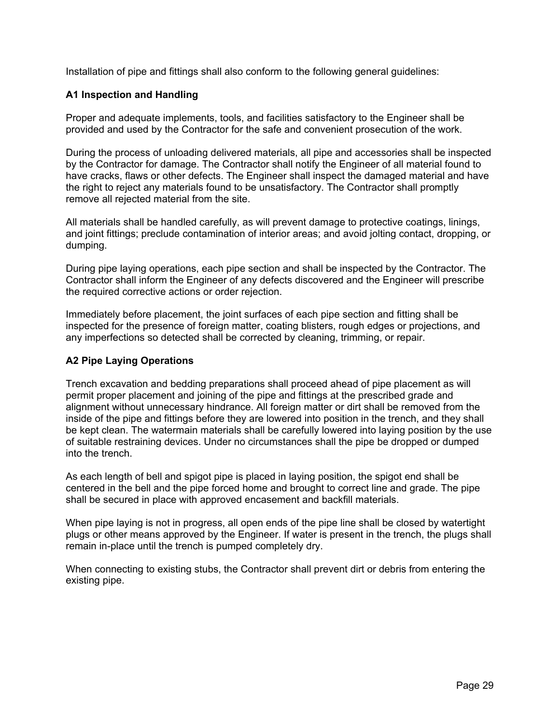Installation of pipe and fittings shall also conform to the following general guidelines:

#### **A1 Inspection and Handling**

Proper and adequate implements, tools, and facilities satisfactory to the Engineer shall be provided and used by the Contractor for the safe and convenient prosecution of the work.

During the process of unloading delivered materials, all pipe and accessories shall be inspected by the Contractor for damage. The Contractor shall notify the Engineer of all material found to have cracks, flaws or other defects. The Engineer shall inspect the damaged material and have the right to reject any materials found to be unsatisfactory. The Contractor shall promptly remove all rejected material from the site.

All materials shall be handled carefully, as will prevent damage to protective coatings, linings, and joint fittings; preclude contamination of interior areas; and avoid jolting contact, dropping, or dumping.

During pipe laying operations, each pipe section and shall be inspected by the Contractor. The Contractor shall inform the Engineer of any defects discovered and the Engineer will prescribe the required corrective actions or order rejection.

Immediately before placement, the joint surfaces of each pipe section and fitting shall be inspected for the presence of foreign matter, coating blisters, rough edges or projections, and any imperfections so detected shall be corrected by cleaning, trimming, or repair.

#### **A2 Pipe Laying Operations**

Trench excavation and bedding preparations shall proceed ahead of pipe placement as will permit proper placement and joining of the pipe and fittings at the prescribed grade and alignment without unnecessary hindrance. All foreign matter or dirt shall be removed from the inside of the pipe and fittings before they are lowered into position in the trench, and they shall be kept clean. The watermain materials shall be carefully lowered into laying position by the use of suitable restraining devices. Under no circumstances shall the pipe be dropped or dumped into the trench.

As each length of bell and spigot pipe is placed in laying position, the spigot end shall be centered in the bell and the pipe forced home and brought to correct line and grade. The pipe shall be secured in place with approved encasement and backfill materials.

When pipe laying is not in progress, all open ends of the pipe line shall be closed by watertight plugs or other means approved by the Engineer. If water is present in the trench, the plugs shall remain in-place until the trench is pumped completely dry.

When connecting to existing stubs, the Contractor shall prevent dirt or debris from entering the existing pipe.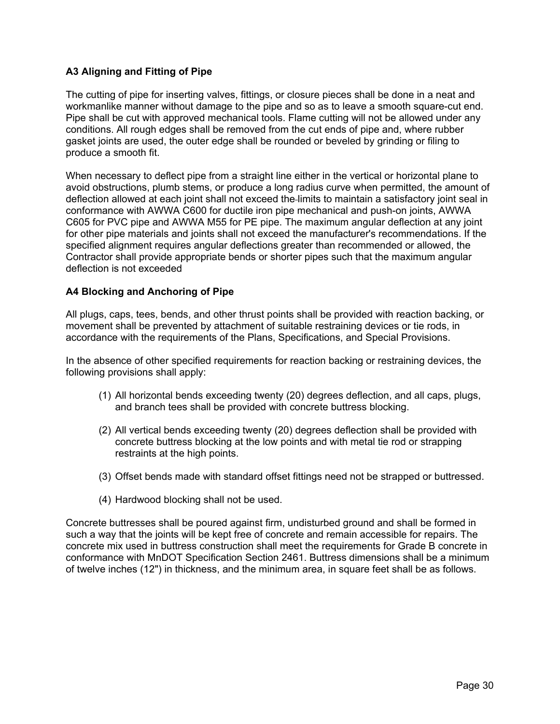# **A3 Aligning and Fitting of Pipe**

The cutting of pipe for inserting valves, fittings, or closure pieces shall be done in a neat and workmanlike manner without damage to the pipe and so as to leave a smooth square-cut end. Pipe shall be cut with approved mechanical tools. Flame cutting will not be allowed under any conditions. All rough edges shall be removed from the cut ends of pipe and, where rubber gasket joints are used, the outer edge shall be rounded or beveled by grinding or filing to produce a smooth fit.

When necessary to deflect pipe from a straight line either in the vertical or horizontal plane to avoid obstructions, plumb stems, or produce a long radius curve when permitted, the amount of deflection allowed at each joint shall not exceed the-limits to maintain a satisfactory joint seal in conformance with AWWA C600 for ductile iron pipe mechanical and push-on joints, AWWA C605 for PVC pipe and AWWA M55 for PE pipe. The maximum angular deflection at any joint for other pipe materials and joints shall not exceed the manufacturer's recommendations. If the specified alignment requires angular deflections greater than recommended or allowed, the Contractor shall provide appropriate bends or shorter pipes such that the maximum angular deflection is not exceeded

## **A4 Blocking and Anchoring of Pipe**

All plugs, caps, tees, bends, and other thrust points shall be provided with reaction backing, or movement shall be prevented by attachment of suitable restraining devices or tie rods, in accordance with the requirements of the Plans, Specifications, and Special Provisions.

In the absence of other specified requirements for reaction backing or restraining devices, the following provisions shall apply:

- (1) All horizontal bends exceeding twenty (20) degrees deflection, and all caps, plugs, and branch tees shall be provided with concrete buttress blocking.
- (2) All vertical bends exceeding twenty (20) degrees deflection shall be provided with concrete buttress blocking at the low points and with metal tie rod or strapping restraints at the high points.
- (3) Offset bends made with standard offset fittings need not be strapped or buttressed.
- (4) Hardwood blocking shall not be used.

Concrete buttresses shall be poured against firm, undisturbed ground and shall be formed in such a way that the joints will be kept free of concrete and remain accessible for repairs. The concrete mix used in buttress construction shall meet the requirements for Grade B concrete in conformance with MnDOT Specification Section 2461. Buttress dimensions shall be a minimum of twelve inches (12") in thickness, and the minimum area, in square feet shall be as follows.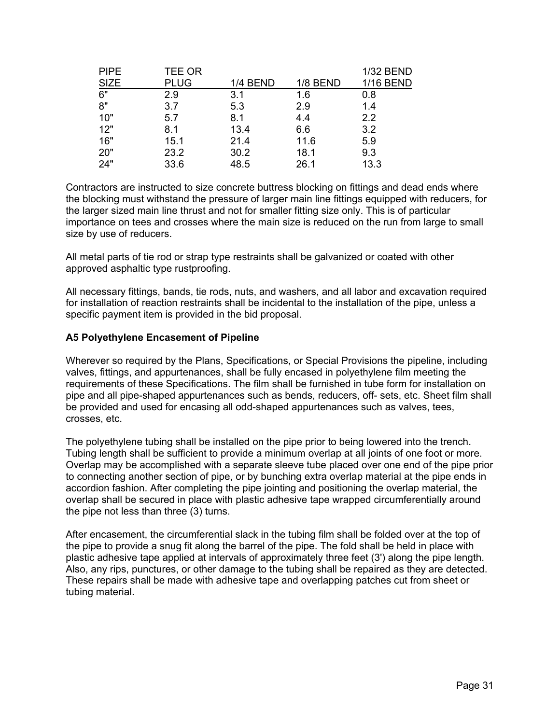| <b>PIPE</b> | <b>TEE OR</b> |                 |                 | 1/32 BEND |
|-------------|---------------|-----------------|-----------------|-----------|
| <b>SIZE</b> | <b>PLUG</b>   | <b>1/4 BEND</b> | <b>1/8 BEND</b> | 1/16 BEND |
| 6"          | 2.9           | 3.1             | 1.6             | 0.8       |
| 8"          | 3.7           | 5.3             | 2.9             | 1.4       |
| 10"         | 5.7           | 8.1             | 4.4             | 2.2       |
| 12"         | 8.1           | 13.4            | 6.6             | 3.2       |
| 16"         | 15.1          | 21.4            | 11.6            | 5.9       |
| 20"         | 23.2          | 30.2            | 18.1            | 9.3       |
| 24"         | 33.6          | 48.5            | 26.1            | 13.3      |

Contractors are instructed to size concrete buttress blocking on fittings and dead ends where the blocking must withstand the pressure of larger main line fittings equipped with reducers, for the larger sized main line thrust and not for smaller fitting size only. This is of particular importance on tees and crosses where the main size is reduced on the run from large to small size by use of reducers.

All metal parts of tie rod or strap type restraints shall be galvanized or coated with other approved asphaltic type rustproofing.

All necessary fittings, bands, tie rods, nuts, and washers, and all labor and excavation required for installation of reaction restraints shall be incidental to the installation of the pipe, unless a specific payment item is provided in the bid proposal.

### **A5 Polyethylene Encasement of Pipeline**

Wherever so required by the Plans, Specifications, or Special Provisions the pipeline, including valves, fittings, and appurtenances, shall be fully encased in polyethylene film meeting the requirements of these Specifications. The film shall be furnished in tube form for installation on pipe and all pipe-shaped appurtenances such as bends, reducers, off- sets, etc. Sheet film shall be provided and used for encasing all odd-shaped appurtenances such as valves, tees, crosses, etc.

The polyethylene tubing shall be installed on the pipe prior to being lowered into the trench. Tubing length shall be sufficient to provide a minimum overlap at all joints of one foot or more. Overlap may be accomplished with a separate sleeve tube placed over one end of the pipe prior to connecting another section of pipe, or by bunching extra overlap material at the pipe ends in accordion fashion. After completing the pipe jointing and positioning the overlap material, the overlap shall be secured in place with plastic adhesive tape wrapped circumferentially around the pipe not less than three (3) turns.

After encasement, the circumferential slack in the tubing film shall be folded over at the top of the pipe to provide a snug fit along the barrel of the pipe. The fold shall be held in place with plastic adhesive tape applied at intervals of approximately three feet (3') along the pipe length. Also, any rips, punctures, or other damage to the tubing shall be repaired as they are detected. These repairs shall be made with adhesive tape and overlapping patches cut from sheet or tubing material.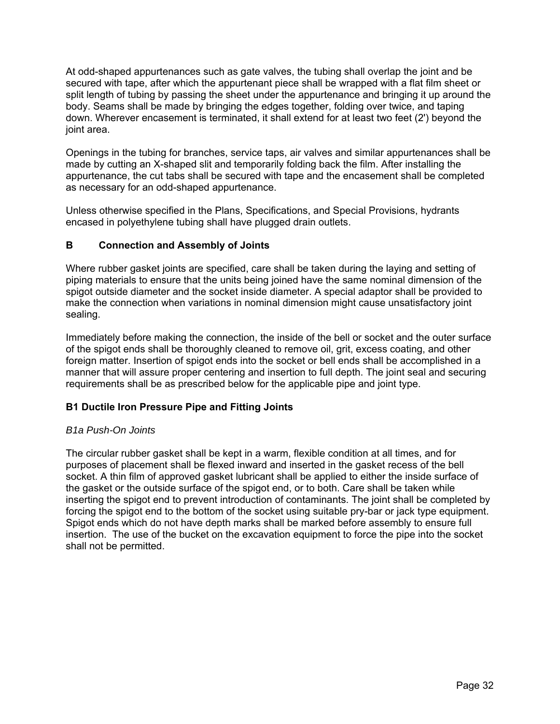At odd-shaped appurtenances such as gate valves, the tubing shall overlap the joint and be secured with tape, after which the appurtenant piece shall be wrapped with a flat film sheet or split length of tubing by passing the sheet under the appurtenance and bringing it up around the body. Seams shall be made by bringing the edges together, folding over twice, and taping down. Wherever encasement is terminated, it shall extend for at least two feet (2') beyond the joint area.

Openings in the tubing for branches, service taps, air valves and similar appurtenances shall be made by cutting an X-shaped slit and temporarily folding back the film. After installing the appurtenance, the cut tabs shall be secured with tape and the encasement shall be completed as necessary for an odd-shaped appurtenance.

Unless otherwise specified in the Plans, Specifications, and Special Provisions, hydrants encased in polyethylene tubing shall have plugged drain outlets.

## **B Connection and Assembly of Joints**

Where rubber gasket joints are specified, care shall be taken during the laying and setting of piping materials to ensure that the units being joined have the same nominal dimension of the spigot outside diameter and the socket inside diameter. A special adaptor shall be provided to make the connection when variations in nominal dimension might cause unsatisfactory joint sealing.

Immediately before making the connection, the inside of the bell or socket and the outer surface of the spigot ends shall be thoroughly cleaned to remove oil, grit, excess coating, and other foreign matter. Insertion of spigot ends into the socket or bell ends shall be accomplished in a manner that will assure proper centering and insertion to full depth. The joint seal and securing requirements shall be as prescribed below for the applicable pipe and joint type.

# **B1 Ductile Iron Pressure Pipe and Fitting Joints**

## *B1a Push-On Joints*

The circular rubber gasket shall be kept in a warm, flexible condition at all times, and for purposes of placement shall be flexed inward and inserted in the gasket recess of the bell socket. A thin film of approved gasket lubricant shall be applied to either the inside surface of the gasket or the outside surface of the spigot end, or to both. Care shall be taken while inserting the spigot end to prevent introduction of contaminants. The joint shall be completed by forcing the spigot end to the bottom of the socket using suitable pry-bar or jack type equipment. Spigot ends which do not have depth marks shall be marked before assembly to ensure full insertion. The use of the bucket on the excavation equipment to force the pipe into the socket shall not be permitted.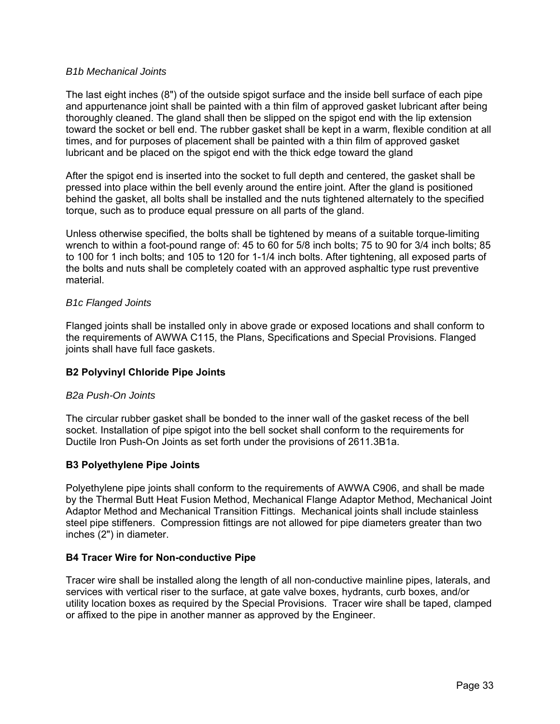#### *B1b Mechanical Joints*

The last eight inches (8") of the outside spigot surface and the inside bell surface of each pipe and appurtenance joint shall be painted with a thin film of approved gasket lubricant after being thoroughly cleaned. The gland shall then be slipped on the spigot end with the lip extension toward the socket or bell end. The rubber gasket shall be kept in a warm, flexible condition at all times, and for purposes of placement shall be painted with a thin film of approved gasket lubricant and be placed on the spigot end with the thick edge toward the gland

After the spigot end is inserted into the socket to full depth and centered, the gasket shall be pressed into place within the bell evenly around the entire joint. After the gland is positioned behind the gasket, all bolts shall be installed and the nuts tightened alternately to the specified torque, such as to produce equal pressure on all parts of the gland.

Unless otherwise specified, the bolts shall be tightened by means of a suitable torque-limiting wrench to within a foot-pound range of: 45 to 60 for 5/8 inch bolts; 75 to 90 for 3/4 inch bolts; 85 to 100 for 1 inch bolts; and 105 to 120 for 1-1/4 inch bolts. After tightening, all exposed parts of the bolts and nuts shall be completely coated with an approved asphaltic type rust preventive material.

### *B1c Flanged Joints*

Flanged joints shall be installed only in above grade or exposed locations and shall conform to the requirements of AWWA C115, the Plans, Specifications and Special Provisions. Flanged joints shall have full face gaskets.

## **B2 Polyvinyl Chloride Pipe Joints**

## *B2a Push-On Joints*

The circular rubber gasket shall be bonded to the inner wall of the gasket recess of the bell socket. Installation of pipe spigot into the bell socket shall conform to the requirements for Ductile Iron Push-On Joints as set forth under the provisions of 2611.3B1a.

## **B3 Polyethylene Pipe Joints**

Polyethylene pipe joints shall conform to the requirements of AWWA C906, and shall be made by the Thermal Butt Heat Fusion Method, Mechanical Flange Adaptor Method, Mechanical Joint Adaptor Method and Mechanical Transition Fittings. Mechanical joints shall include stainless steel pipe stiffeners. Compression fittings are not allowed for pipe diameters greater than two inches (2") in diameter.

## **B4 Tracer Wire for Non-conductive Pipe**

Tracer wire shall be installed along the length of all non-conductive mainline pipes, laterals, and services with vertical riser to the surface, at gate valve boxes, hydrants, curb boxes, and/or utility location boxes as required by the Special Provisions. Tracer wire shall be taped, clamped or affixed to the pipe in another manner as approved by the Engineer.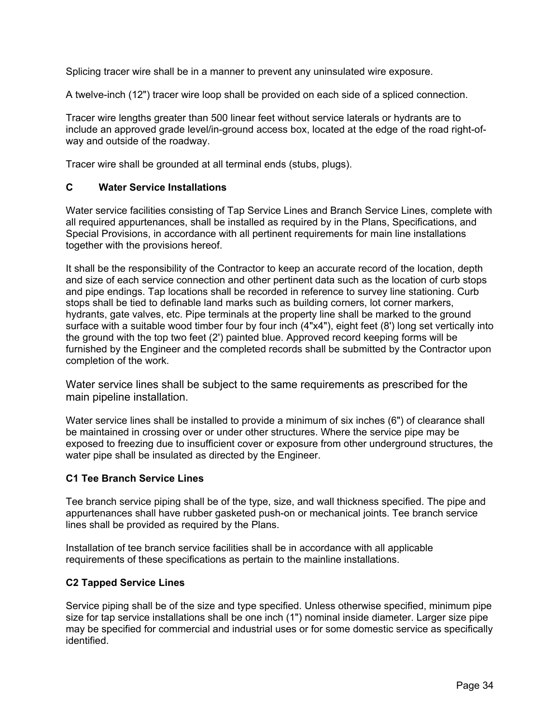Splicing tracer wire shall be in a manner to prevent any uninsulated wire exposure.

A twelve-inch (12") tracer wire loop shall be provided on each side of a spliced connection.

Tracer wire lengths greater than 500 linear feet without service laterals or hydrants are to include an approved grade level/in-ground access box, located at the edge of the road right-ofway and outside of the roadway.

Tracer wire shall be grounded at all terminal ends (stubs, plugs).

## **C Water Service Installations**

Water service facilities consisting of Tap Service Lines and Branch Service Lines, complete with all required appurtenances, shall be installed as required by in the Plans, Specifications, and Special Provisions, in accordance with all pertinent requirements for main line installations together with the provisions hereof.

It shall be the responsibility of the Contractor to keep an accurate record of the location, depth and size of each service connection and other pertinent data such as the location of curb stops and pipe endings. Tap locations shall be recorded in reference to survey line stationing. Curb stops shall be tied to definable land marks such as building corners, lot corner markers, hydrants, gate valves, etc. Pipe terminals at the property line shall be marked to the ground surface with a suitable wood timber four by four inch (4"x4"), eight feet (8') long set vertically into the ground with the top two feet (2') painted blue. Approved record keeping forms will be furnished by the Engineer and the completed records shall be submitted by the Contractor upon completion of the work.

Water service lines shall be subject to the same requirements as prescribed for the main pipeline installation.

Water service lines shall be installed to provide a minimum of six inches (6") of clearance shall be maintained in crossing over or under other structures. Where the service pipe may be exposed to freezing due to insufficient cover or exposure from other underground structures, the water pipe shall be insulated as directed by the Engineer.

## **C1 Tee Branch Service Lines**

Tee branch service piping shall be of the type, size, and wall thickness specified. The pipe and appurtenances shall have rubber gasketed push-on or mechanical joints. Tee branch service lines shall be provided as required by the Plans.

Installation of tee branch service facilities shall be in accordance with all applicable requirements of these specifications as pertain to the mainline installations.

#### **C2 Tapped Service Lines**

Service piping shall be of the size and type specified. Unless otherwise specified, minimum pipe size for tap service installations shall be one inch (1") nominal inside diameter. Larger size pipe may be specified for commercial and industrial uses or for some domestic service as specifically identified.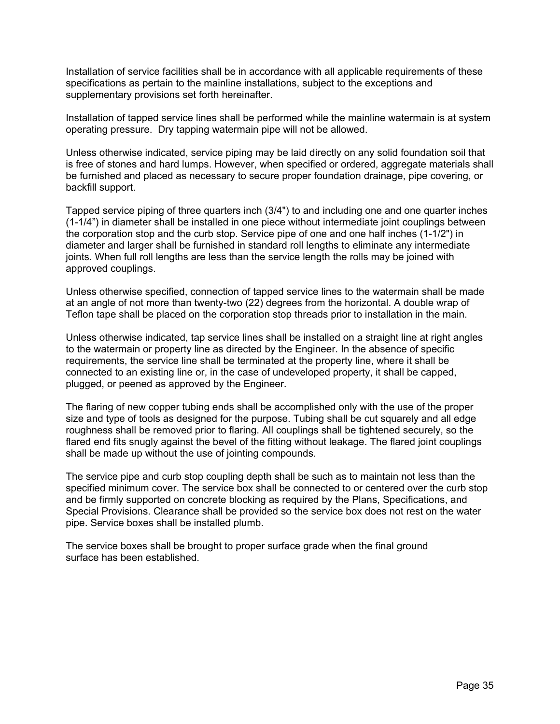Installation of service facilities shall be in accordance with all applicable requirements of these specifications as pertain to the mainline installations, subject to the exceptions and supplementary provisions set forth hereinafter.

Installation of tapped service lines shall be performed while the mainline watermain is at system operating pressure. Dry tapping watermain pipe will not be allowed.

Unless otherwise indicated, service piping may be laid directly on any solid foundation soil that is free of stones and hard lumps. However, when specified or ordered, aggregate materials shall be furnished and placed as necessary to secure proper foundation drainage, pipe covering, or backfill support.

Tapped service piping of three quarters inch (3/4") to and including one and one quarter inches (1-1/4") in diameter shall be installed in one piece without intermediate joint couplings between the corporation stop and the curb stop. Service pipe of one and one half inches (1-1/2") in diameter and larger shall be furnished in standard roll lengths to eliminate any intermediate joints. When full roll lengths are less than the service length the rolls may be joined with approved couplings.

Unless otherwise specified, connection of tapped service lines to the watermain shall be made at an angle of not more than twenty-two (22) degrees from the horizontal. A double wrap of Teflon tape shall be placed on the corporation stop threads prior to installation in the main.

Unless otherwise indicated, tap service lines shall be installed on a straight line at right angles to the watermain or property line as directed by the Engineer. In the absence of specific requirements, the service line shall be terminated at the property line, where it shall be connected to an existing line or, in the case of undeveloped property, it shall be capped, plugged, or peened as approved by the Engineer.

The flaring of new copper tubing ends shall be accomplished only with the use of the proper size and type of tools as designed for the purpose. Tubing shall be cut squarely and all edge roughness shall be removed prior to flaring. All couplings shall be tightened securely, so the flared end fits snugly against the bevel of the fitting without leakage. The flared joint couplings shall be made up without the use of jointing compounds.

The service pipe and curb stop coupling depth shall be such as to maintain not less than the specified minimum cover. The service box shall be connected to or centered over the curb stop and be firmly supported on concrete blocking as required by the Plans, Specifications, and Special Provisions. Clearance shall be provided so the service box does not rest on the water pipe. Service boxes shall be installed plumb.

The service boxes shall be brought to proper surface grade when the final ground surface has been established.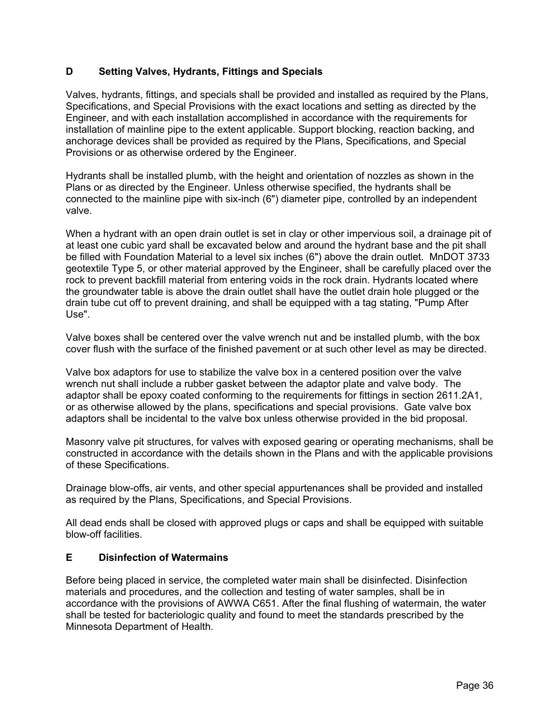## **D Setting Valves, Hydrants, Fittings and Specials**

Valves, hydrants, fittings, and specials shall be provided and installed as required by the Plans, Specifications, and Special Provisions with the exact locations and setting as directed by the Engineer, and with each installation accomplished in accordance with the requirements for installation of mainline pipe to the extent applicable. Support blocking, reaction backing, and anchorage devices shall be provided as required by the Plans, Specifications, and Special Provisions or as otherwise ordered by the Engineer.

Hydrants shall be installed plumb, with the height and orientation of nozzles as shown in the Plans or as directed by the Engineer. Unless otherwise specified, the hydrants shall be connected to the mainline pipe with six-inch (6") diameter pipe, controlled by an independent valve.

When a hydrant with an open drain outlet is set in clay or other impervious soil, a drainage pit of at least one cubic yard shall be excavated below and around the hydrant base and the pit shall be filled with Foundation Material to a level six inches (6") above the drain outlet. MnDOT 3733 geotextile Type 5, or other material approved by the Engineer, shall be carefully placed over the rock to prevent backfill material from entering voids in the rock drain. Hydrants located where the groundwater table is above the drain outlet shall have the outlet drain hole plugged or the drain tube cut off to prevent draining, and shall be equipped with a tag stating, "Pump After Use".

Valve boxes shall be centered over the valve wrench nut and be installed plumb, with the box cover flush with the surface of the finished pavement or at such other level as may be directed.

Valve box adaptors for use to stabilize the valve box in a centered position over the valve wrench nut shall include a rubber gasket between the adaptor plate and valve body. The adaptor shall be epoxy coated conforming to the requirements for fittings in section 2611.2A1, or as otherwise allowed by the plans, specifications and special provisions. Gate valve box adaptors shall be incidental to the valve box unless otherwise provided in the bid proposal.

Masonry valve pit structures, for valves with exposed gearing or operating mechanisms, shall be constructed in accordance with the details shown in the Plans and with the applicable provisions of these Specifications.

Drainage blow-offs, air vents, and other special appurtenances shall be provided and installed as required by the Plans, Specifications, and Special Provisions.

All dead ends shall be closed with approved plugs or caps and shall be equipped with suitable blow-off facilities.

## **E Disinfection of Watermains**

Before being placed in service, the completed water main shall be disinfected. Disinfection materials and procedures, and the collection and testing of water samples, shall be in accordance with the provisions of AWWA C651. After the final flushing of watermain, the water shall be tested for bacteriologic quality and found to meet the standards prescribed by the Minnesota Department of Health.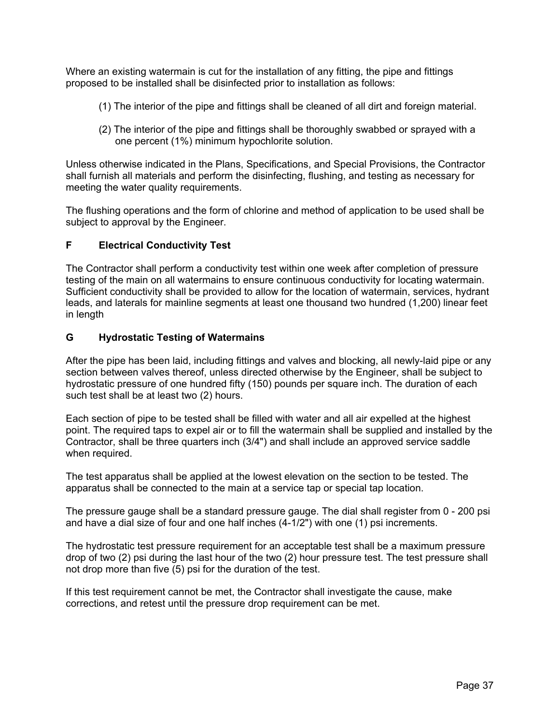Where an existing watermain is cut for the installation of any fitting, the pipe and fittings proposed to be installed shall be disinfected prior to installation as follows:

- (1) The interior of the pipe and fittings shall be cleaned of all dirt and foreign material.
- (2) The interior of the pipe and fittings shall be thoroughly swabbed or sprayed with a one percent (1%) minimum hypochlorite solution.

Unless otherwise indicated in the Plans, Specifications, and Special Provisions, the Contractor shall furnish all materials and perform the disinfecting, flushing, and testing as necessary for meeting the water quality requirements.

The flushing operations and the form of chlorine and method of application to be used shall be subject to approval by the Engineer.

## **F Electrical Conductivity Test**

The Contractor shall perform a conductivity test within one week after completion of pressure testing of the main on all watermains to ensure continuous conductivity for locating watermain. Sufficient conductivity shall be provided to allow for the location of watermain, services, hydrant leads, and laterals for mainline segments at least one thousand two hundred (1,200) linear feet in length

## **G Hydrostatic Testing of Watermains**

After the pipe has been laid, including fittings and valves and blocking, all newly-laid pipe or any section between valves thereof, unless directed otherwise by the Engineer, shall be subject to hydrostatic pressure of one hundred fifty (150) pounds per square inch. The duration of each such test shall be at least two (2) hours.

Each section of pipe to be tested shall be filled with water and all air expelled at the highest point. The required taps to expel air or to fill the watermain shall be supplied and installed by the Contractor, shall be three quarters inch (3/4") and shall include an approved service saddle when required.

The test apparatus shall be applied at the lowest elevation on the section to be tested. The apparatus shall be connected to the main at a service tap or special tap location.

The pressure gauge shall be a standard pressure gauge. The dial shall register from 0 - 200 psi and have a dial size of four and one half inches (4-1/2") with one (1) psi increments.

The hydrostatic test pressure requirement for an acceptable test shall be a maximum pressure drop of two (2) psi during the last hour of the two (2) hour pressure test. The test pressure shall not drop more than five (5) psi for the duration of the test.

If this test requirement cannot be met, the Contractor shall investigate the cause, make corrections, and retest until the pressure drop requirement can be met.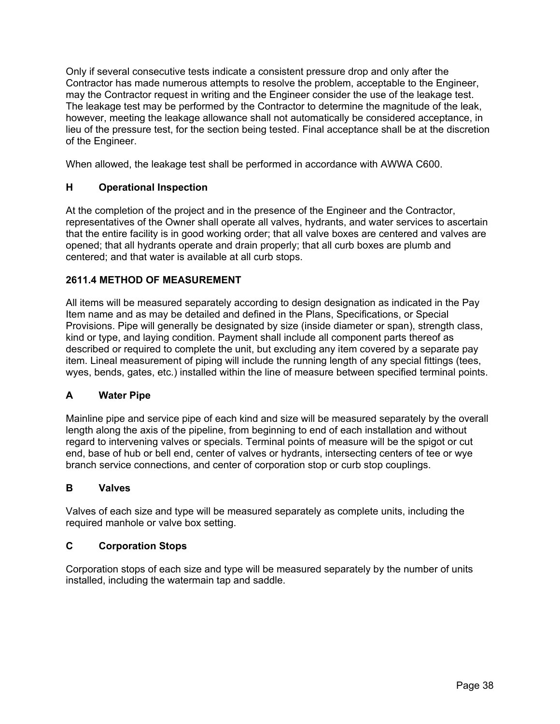Only if several consecutive tests indicate a consistent pressure drop and only after the Contractor has made numerous attempts to resolve the problem, acceptable to the Engineer, may the Contractor request in writing and the Engineer consider the use of the leakage test. The leakage test may be performed by the Contractor to determine the magnitude of the leak, however, meeting the leakage allowance shall not automatically be considered acceptance, in lieu of the pressure test, for the section being tested. Final acceptance shall be at the discretion of the Engineer.

When allowed, the leakage test shall be performed in accordance with AWWA C600.

# **H Operational Inspection**

At the completion of the project and in the presence of the Engineer and the Contractor, representatives of the Owner shall operate all valves, hydrants, and water services to ascertain that the entire facility is in good working order; that all valve boxes are centered and valves are opened; that all hydrants operate and drain properly; that all curb boxes are plumb and centered; and that water is available at all curb stops.

# **2611.4 METHOD OF MEASUREMENT**

All items will be measured separately according to design designation as indicated in the Pay Item name and as may be detailed and defined in the Plans, Specifications, or Special Provisions. Pipe will generally be designated by size (inside diameter or span), strength class, kind or type, and laying condition. Payment shall include all component parts thereof as described or required to complete the unit, but excluding any item covered by a separate pay item. Lineal measurement of piping will include the running length of any special fittings (tees, wyes, bends, gates, etc.) installed within the line of measure between specified terminal points.

# **A Water Pipe**

Mainline pipe and service pipe of each kind and size will be measured separately by the overall length along the axis of the pipeline, from beginning to end of each installation and without regard to intervening valves or specials. Terminal points of measure will be the spigot or cut end, base of hub or bell end, center of valves or hydrants, intersecting centers of tee or wye branch service connections, and center of corporation stop or curb stop couplings.

# **B Valves**

Valves of each size and type will be measured separately as complete units, including the required manhole or valve box setting.

# **C Corporation Stops**

Corporation stops of each size and type will be measured separately by the number of units installed, including the watermain tap and saddle.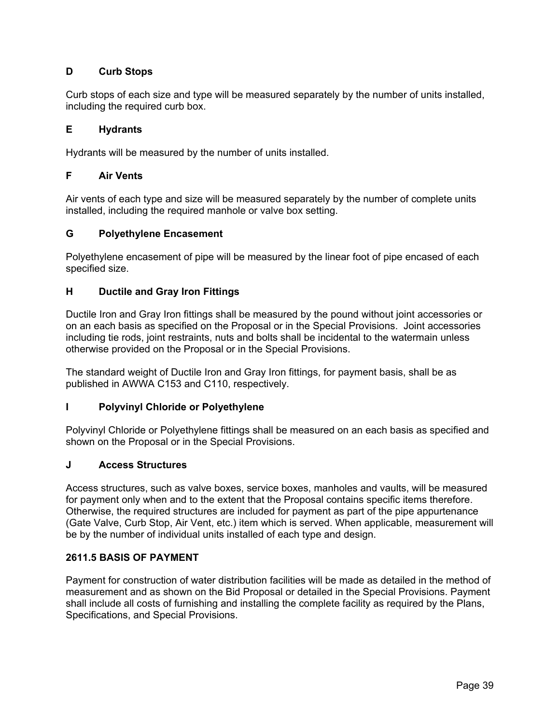# **D Curb Stops**

Curb stops of each size and type will be measured separately by the number of units installed, including the required curb box.

### **E Hydrants**

Hydrants will be measured by the number of units installed.

### **F Air Vents**

Air vents of each type and size will be measured separately by the number of complete units installed, including the required manhole or valve box setting.

### **G Polyethylene Encasement**

Polyethylene encasement of pipe will be measured by the linear foot of pipe encased of each specified size.

### **H Ductile and Gray Iron Fittings**

Ductile Iron and Gray Iron fittings shall be measured by the pound without joint accessories or on an each basis as specified on the Proposal or in the Special Provisions. Joint accessories including tie rods, joint restraints, nuts and bolts shall be incidental to the watermain unless otherwise provided on the Proposal or in the Special Provisions.

The standard weight of Ductile Iron and Gray Iron fittings, for payment basis, shall be as published in AWWA C153 and C110, respectively.

## **I Polyvinyl Chloride or Polyethylene**

Polyvinyl Chloride or Polyethylene fittings shall be measured on an each basis as specified and shown on the Proposal or in the Special Provisions.

#### **J Access Structures**

Access structures, such as valve boxes, service boxes, manholes and vaults, will be measured for payment only when and to the extent that the Proposal contains specific items therefore. Otherwise, the required structures are included for payment as part of the pipe appurtenance (Gate Valve, Curb Stop, Air Vent, etc.) item which is served. When applicable, measurement will be by the number of individual units installed of each type and design.

#### **2611.5 BASIS OF PAYMENT**

Payment for construction of water distribution facilities will be made as detailed in the method of measurement and as shown on the Bid Proposal or detailed in the Special Provisions. Payment shall include all costs of furnishing and installing the complete facility as required by the Plans, Specifications, and Special Provisions.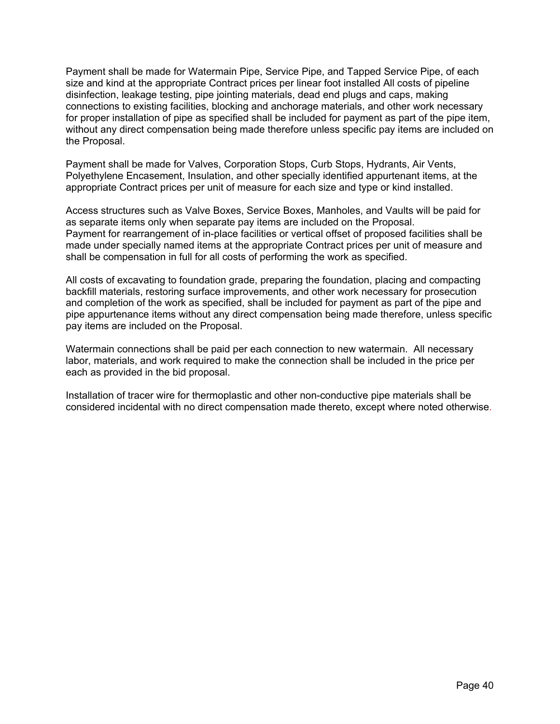Payment shall be made for Watermain Pipe, Service Pipe, and Tapped Service Pipe, of each size and kind at the appropriate Contract prices per linear foot installed All costs of pipeline disinfection, leakage testing, pipe jointing materials, dead end plugs and caps, making connections to existing facilities, blocking and anchorage materials, and other work necessary for proper installation of pipe as specified shall be included for payment as part of the pipe item, without any direct compensation being made therefore unless specific pay items are included on the Proposal.

Payment shall be made for Valves, Corporation Stops, Curb Stops, Hydrants, Air Vents, Polyethylene Encasement, Insulation, and other specially identified appurtenant items, at the appropriate Contract prices per unit of measure for each size and type or kind installed.

Access structures such as Valve Boxes, Service Boxes, Manholes, and Vaults will be paid for as separate items only when separate pay items are included on the Proposal. Payment for rearrangement of in-place facilities or vertical offset of proposed facilities shall be made under specially named items at the appropriate Contract prices per unit of measure and shall be compensation in full for all costs of performing the work as specified.

All costs of excavating to foundation grade, preparing the foundation, placing and compacting backfill materials, restoring surface improvements, and other work necessary for prosecution and completion of the work as specified, shall be included for payment as part of the pipe and pipe appurtenance items without any direct compensation being made therefore, unless specific pay items are included on the Proposal.

Watermain connections shall be paid per each connection to new watermain. All necessary labor, materials, and work required to make the connection shall be included in the price per each as provided in the bid proposal.

Installation of tracer wire for thermoplastic and other non-conductive pipe materials shall be considered incidental with no direct compensation made thereto, except where noted otherwise.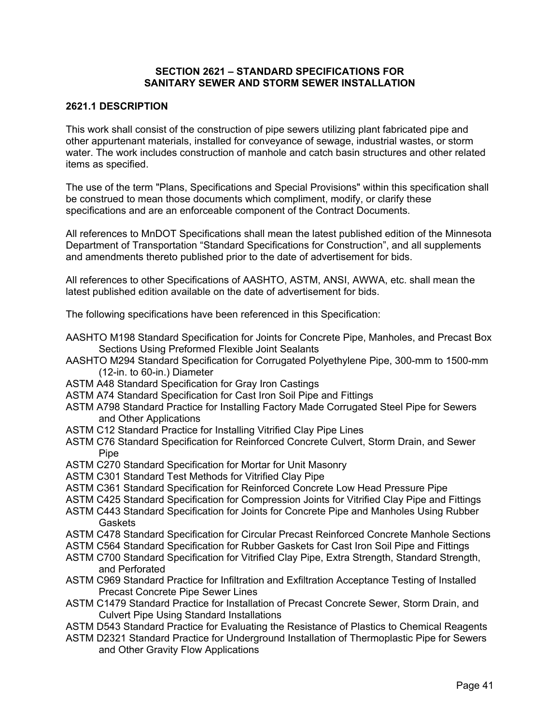### **SECTION 2621 – STANDARD SPECIFICATIONS FOR SANITARY SEWER AND STORM SEWER INSTALLATION**

### **2621.1 DESCRIPTION**

This work shall consist of the construction of pipe sewers utilizing plant fabricated pipe and other appurtenant materials, installed for conveyance of sewage, industrial wastes, or storm water. The work includes construction of manhole and catch basin structures and other related items as specified.

The use of the term "Plans, Specifications and Special Provisions" within this specification shall be construed to mean those documents which compliment, modify, or clarify these specifications and are an enforceable component of the Contract Documents.

All references to MnDOT Specifications shall mean the latest published edition of the Minnesota Department of Transportation "Standard Specifications for Construction", and all supplements and amendments thereto published prior to the date of advertisement for bids.

All references to other Specifications of AASHTO, ASTM, ANSI, AWWA, etc. shall mean the latest published edition available on the date of advertisement for bids.

The following specifications have been referenced in this Specification:

- AASHTO M198 Standard Specification for Joints for Concrete Pipe, Manholes, and Precast Box Sections Using Preformed Flexible Joint Sealants
- AASHTO M294 Standard Specification for Corrugated Polyethylene Pipe, 300-mm to 1500-mm (12-in. to 60-in.) Diameter
- ASTM A48 Standard Specification for Gray Iron Castings
- ASTM A74 Standard Specification for Cast Iron Soil Pipe and Fittings
- ASTM A798 Standard Practice for Installing Factory Made Corrugated Steel Pipe for Sewers and Other Applications
- ASTM C12 Standard Practice for Installing Vitrified Clay Pipe Lines
- ASTM C76 Standard Specification for Reinforced Concrete Culvert, Storm Drain, and Sewer **Pipe**
- ASTM C270 Standard Specification for Mortar for Unit Masonry
- ASTM C301 Standard Test Methods for Vitrified Clay Pipe
- ASTM C361 Standard Specification for Reinforced Concrete Low Head Pressure Pipe
- ASTM C425 Standard Specification for Compression Joints for Vitrified Clay Pipe and Fittings
- ASTM C443 Standard Specification for Joints for Concrete Pipe and Manholes Using Rubber **Gaskets**
- ASTM C478 Standard Specification for Circular Precast Reinforced Concrete Manhole Sections
- ASTM C564 Standard Specification for Rubber Gaskets for Cast Iron Soil Pipe and Fittings
- ASTM C700 Standard Specification for Vitrified Clay Pipe, Extra Strength, Standard Strength, and Perforated
- ASTM C969 Standard Practice for Infiltration and Exfiltration Acceptance Testing of Installed Precast Concrete Pipe Sewer Lines
- ASTM C1479 Standard Practice for Installation of Precast Concrete Sewer, Storm Drain, and Culvert Pipe Using Standard Installations
- ASTM D543 Standard Practice for Evaluating the Resistance of Plastics to Chemical Reagents
- ASTM D2321 Standard Practice for Underground Installation of Thermoplastic Pipe for Sewers and Other Gravity Flow Applications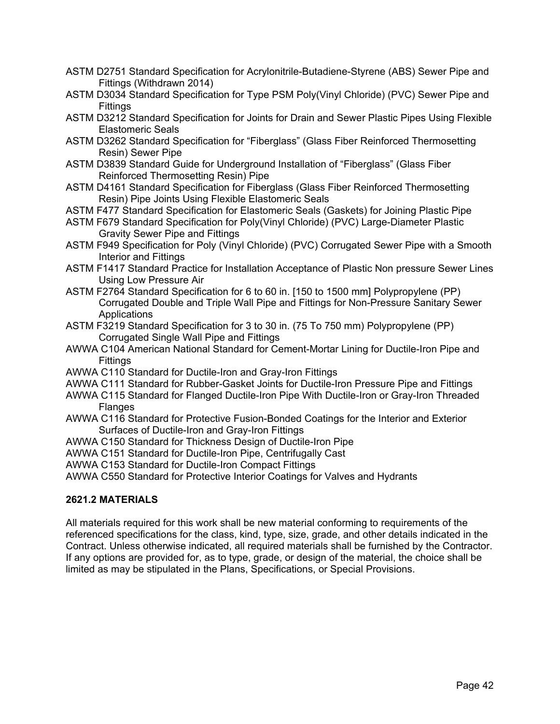- ASTM D2751 Standard Specification for Acrylonitrile-Butadiene-Styrene (ABS) Sewer Pipe and Fittings (Withdrawn 2014)
- ASTM D3034 Standard Specification for Type PSM Poly(Vinyl Chloride) (PVC) Sewer Pipe and **Fittings**
- ASTM D3212 Standard Specification for Joints for Drain and Sewer Plastic Pipes Using Flexible Elastomeric Seals
- ASTM D3262 Standard Specification for "Fiberglass" (Glass Fiber Reinforced Thermosetting Resin) Sewer Pipe
- ASTM D3839 Standard Guide for Underground Installation of "Fiberglass" (Glass Fiber Reinforced Thermosetting Resin) Pipe
- ASTM D4161 Standard Specification for Fiberglass (Glass Fiber Reinforced Thermosetting Resin) Pipe Joints Using Flexible Elastomeric Seals
- ASTM F477 Standard Specification for Elastomeric Seals (Gaskets) for Joining Plastic Pipe
- ASTM F679 Standard Specification for Poly(Vinyl Chloride) (PVC) Large-Diameter Plastic Gravity Sewer Pipe and Fittings
- ASTM F949 Specification for Poly (Vinyl Chloride) (PVC) Corrugated Sewer Pipe with a Smooth Interior and Fittings
- ASTM F1417 Standard Practice for Installation Acceptance of Plastic Non pressure Sewer Lines Using Low Pressure Air
- ASTM F2764 Standard Specification for 6 to 60 in. [150 to 1500 mm] Polypropylene (PP) Corrugated Double and Triple Wall Pipe and Fittings for Non-Pressure Sanitary Sewer **Applications**
- ASTM F3219 Standard Specification for 3 to 30 in. (75 To 750 mm) Polypropylene (PP) Corrugated Single Wall Pipe and Fittings
- AWWA C104 American National Standard for Cement-Mortar Lining for Ductile-Iron Pipe and **Fittings**
- AWWA C110 Standard for Ductile-Iron and Gray-Iron Fittings
- AWWA C111 Standard for Rubber-Gasket Joints for Ductile-Iron Pressure Pipe and Fittings
- AWWA C115 Standard for Flanged Ductile-Iron Pipe With Ductile-Iron or Gray-Iron Threaded Flanges
- AWWA C116 Standard for Protective Fusion-Bonded Coatings for the Interior and Exterior Surfaces of Ductile-Iron and Gray-Iron Fittings
- AWWA C150 Standard for Thickness Design of Ductile-Iron Pipe
- AWWA C151 Standard for Ductile-Iron Pipe, Centrifugally Cast
- AWWA C153 Standard for Ductile-Iron Compact Fittings
- AWWA C550 Standard for Protective Interior Coatings for Valves and Hydrants

# **2621.2 MATERIALS**

All materials required for this work shall be new material conforming to requirements of the referenced specifications for the class, kind, type, size, grade, and other details indicated in the Contract. Unless otherwise indicated, all required materials shall be furnished by the Contractor. If any options are provided for, as to type, grade, or design of the material, the choice shall be limited as may be stipulated in the Plans, Specifications, or Special Provisions.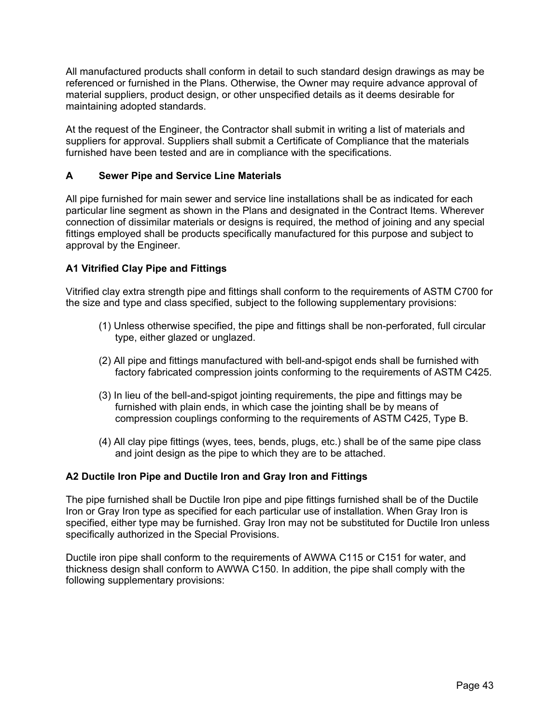All manufactured products shall conform in detail to such standard design drawings as may be referenced or furnished in the Plans. Otherwise, the Owner may require advance approval of material suppliers, product design, or other unspecified details as it deems desirable for maintaining adopted standards.

At the request of the Engineer, the Contractor shall submit in writing a list of materials and suppliers for approval. Suppliers shall submit a Certificate of Compliance that the materials furnished have been tested and are in compliance with the specifications.

## **A Sewer Pipe and Service Line Materials**

All pipe furnished for main sewer and service line installations shall be as indicated for each particular line segment as shown in the Plans and designated in the Contract Items. Wherever connection of dissimilar materials or designs is required, the method of joining and any special fittings employed shall be products specifically manufactured for this purpose and subject to approval by the Engineer.

## **A1 Vitrified Clay Pipe and Fittings**

Vitrified clay extra strength pipe and fittings shall conform to the requirements of ASTM C700 for the size and type and class specified, subject to the following supplementary provisions:

- (1) Unless otherwise specified, the pipe and fittings shall be non-perforated, full circular type, either glazed or unglazed.
- (2) All pipe and fittings manufactured with bell-and-spigot ends shall be furnished with factory fabricated compression joints conforming to the requirements of ASTM C425.
- (3) In lieu of the bell-and-spigot jointing requirements, the pipe and fittings may be furnished with plain ends, in which case the jointing shall be by means of compression couplings conforming to the requirements of ASTM C425, Type B.
- (4) All clay pipe fittings (wyes, tees, bends, plugs, etc.) shall be of the same pipe class and joint design as the pipe to which they are to be attached.

#### **A2 Ductile Iron Pipe and Ductile Iron and Gray Iron and Fittings**

The pipe furnished shall be Ductile Iron pipe and pipe fittings furnished shall be of the Ductile Iron or Gray Iron type as specified for each particular use of installation. When Gray Iron is specified, either type may be furnished. Gray Iron may not be substituted for Ductile Iron unless specifically authorized in the Special Provisions.

Ductile iron pipe shall conform to the requirements of AWWA C115 or C151 for water, and thickness design shall conform to AWWA C150. In addition, the pipe shall comply with the following supplementary provisions: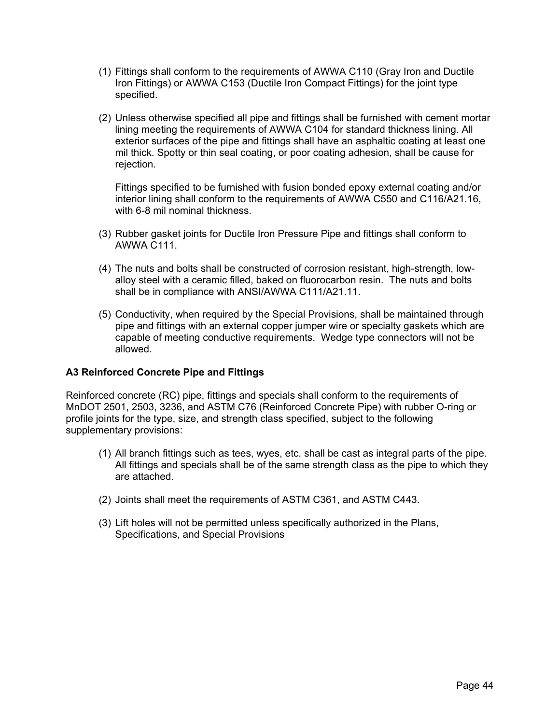- (1) Fittings shall conform to the requirements of AWWA C110 (Gray Iron and Ductile Iron Fittings) or AWWA C153 (Ductile Iron Compact Fittings) for the joint type specified.
- (2) Unless otherwise specified all pipe and fittings shall be furnished with cement mortar lining meeting the requirements of AWWA C104 for standard thickness lining. All exterior surfaces of the pipe and fittings shall have an asphaltic coating at least one mil thick. Spotty or thin seal coating, or poor coating adhesion, shall be cause for rejection.

Fittings specified to be furnished with fusion bonded epoxy external coating and/or interior lining shall conform to the requirements of AWWA C550 and C116/A21.16, with 6-8 mil nominal thickness.

- (3) Rubber gasket joints for Ductile Iron Pressure Pipe and fittings shall conform to AWWA C111.
- (4) The nuts and bolts shall be constructed of corrosion resistant, high-strength, lowalloy steel with a ceramic filled, baked on fluorocarbon resin. The nuts and bolts shall be in compliance with ANSI/AWWA C111/A21.11.
- (5) Conductivity, when required by the Special Provisions, shall be maintained through pipe and fittings with an external copper jumper wire or specialty gaskets which are capable of meeting conductive requirements. Wedge type connectors will not be allowed.

## **A3 Reinforced Concrete Pipe and Fittings**

Reinforced concrete (RC) pipe, fittings and specials shall conform to the requirements of MnDOT 2501, 2503, 3236, and ASTM C76 (Reinforced Concrete Pipe) with rubber O-ring or profile joints for the type, size, and strength class specified, subject to the following supplementary provisions:

- (1) All branch fittings such as tees, wyes, etc. shall be cast as integral parts of the pipe. All fittings and specials shall be of the same strength class as the pipe to which they are attached.
- (2) Joints shall meet the requirements of ASTM C361, and ASTM C443.
- (3) Lift holes will not be permitted unless specifically authorized in the Plans, Specifications, and Special Provisions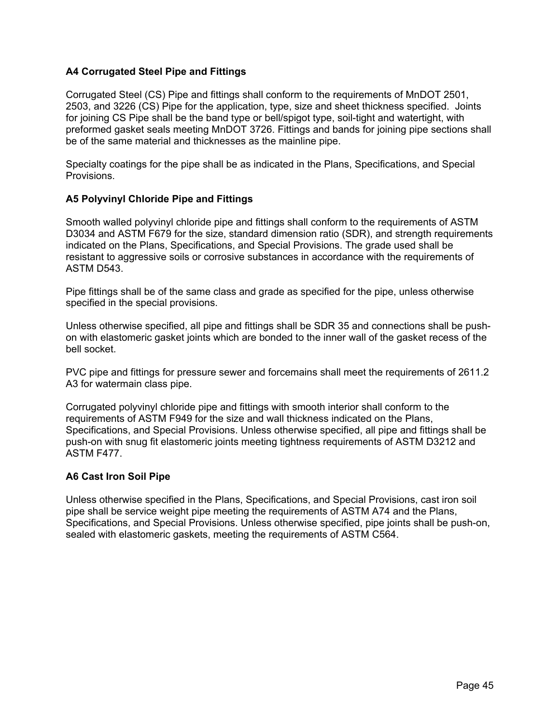## **A4 Corrugated Steel Pipe and Fittings**

Corrugated Steel (CS) Pipe and fittings shall conform to the requirements of MnDOT 2501, 2503, and 3226 (CS) Pipe for the application, type, size and sheet thickness specified. Joints for joining CS Pipe shall be the band type or bell/spigot type, soil-tight and watertight, with preformed gasket seals meeting MnDOT 3726. Fittings and bands for joining pipe sections shall be of the same material and thicknesses as the mainline pipe.

Specialty coatings for the pipe shall be as indicated in the Plans, Specifications, and Special Provisions.

## **A5 Polyvinyl Chloride Pipe and Fittings**

Smooth walled polyvinyl chloride pipe and fittings shall conform to the requirements of ASTM D3034 and ASTM F679 for the size, standard dimension ratio (SDR), and strength requirements indicated on the Plans, Specifications, and Special Provisions. The grade used shall be resistant to aggressive soils or corrosive substances in accordance with the requirements of ASTM D543.

Pipe fittings shall be of the same class and grade as specified for the pipe, unless otherwise specified in the special provisions.

Unless otherwise specified, all pipe and fittings shall be SDR 35 and connections shall be pushon with elastomeric gasket joints which are bonded to the inner wall of the gasket recess of the bell socket.

PVC pipe and fittings for pressure sewer and forcemains shall meet the requirements of 2611.2 A3 for watermain class pipe.

Corrugated polyvinyl chloride pipe and fittings with smooth interior shall conform to the requirements of ASTM F949 for the size and wall thickness indicated on the Plans, Specifications, and Special Provisions. Unless otherwise specified, all pipe and fittings shall be push-on with snug fit elastomeric joints meeting tightness requirements of ASTM D3212 and ASTM F477.

## **A6 Cast Iron Soil Pipe**

Unless otherwise specified in the Plans, Specifications, and Special Provisions, cast iron soil pipe shall be service weight pipe meeting the requirements of ASTM A74 and the Plans, Specifications, and Special Provisions. Unless otherwise specified, pipe joints shall be push-on, sealed with elastomeric gaskets, meeting the requirements of ASTM C564.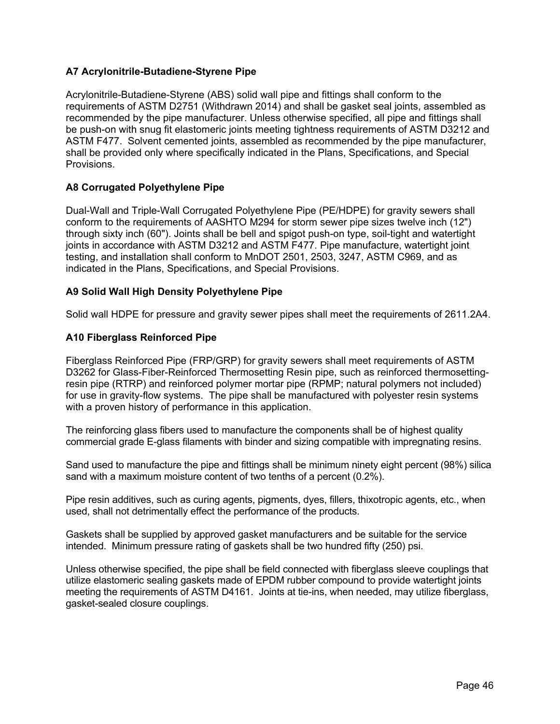## **A7 Acrylonitrile-Butadiene-Styrene Pipe**

Acrylonitrile-Butadiene-Styrene (ABS) solid wall pipe and fittings shall conform to the requirements of ASTM D2751 (Withdrawn 2014) and shall be gasket seal joints, assembled as recommended by the pipe manufacturer. Unless otherwise specified, all pipe and fittings shall be push-on with snug fit elastomeric joints meeting tightness requirements of ASTM D3212 and ASTM F477. Solvent cemented joints, assembled as recommended by the pipe manufacturer, shall be provided only where specifically indicated in the Plans, Specifications, and Special Provisions.

## **A8 Corrugated Polyethylene Pipe**

Dual-Wall and Triple-Wall Corrugated Polyethylene Pipe (PE/HDPE) for gravity sewers shall conform to the requirements of AASHTO M294 for storm sewer pipe sizes twelve inch (12") through sixty inch (60"). Joints shall be bell and spigot push-on type, soil-tight and watertight joints in accordance with ASTM D3212 and ASTM F477. Pipe manufacture, watertight joint testing, and installation shall conform to MnDOT 2501, 2503, 3247, ASTM C969, and as indicated in the Plans, Specifications, and Special Provisions.

## **A9 Solid Wall High Density Polyethylene Pipe**

Solid wall HDPE for pressure and gravity sewer pipes shall meet the requirements of 2611.2A4.

## **A10 Fiberglass Reinforced Pipe**

Fiberglass Reinforced Pipe (FRP/GRP) for gravity sewers shall meet requirements of ASTM D3262 for Glass-Fiber-Reinforced Thermosetting Resin pipe, such as reinforced thermosettingresin pipe (RTRP) and reinforced polymer mortar pipe (RPMP; natural polymers not included) for use in gravity-flow systems. The pipe shall be manufactured with polyester resin systems with a proven history of performance in this application.

The reinforcing glass fibers used to manufacture the components shall be of highest quality commercial grade E-glass filaments with binder and sizing compatible with impregnating resins.

Sand used to manufacture the pipe and fittings shall be minimum ninety eight percent (98%) silica sand with a maximum moisture content of two tenths of a percent (0.2%).

Pipe resin additives, such as curing agents, pigments, dyes, fillers, thixotropic agents, etc., when used, shall not detrimentally effect the performance of the products.

Gaskets shall be supplied by approved gasket manufacturers and be suitable for the service intended. Minimum pressure rating of gaskets shall be two hundred fifty (250) psi.

Unless otherwise specified, the pipe shall be field connected with fiberglass sleeve couplings that utilize elastomeric sealing gaskets made of EPDM rubber compound to provide watertight joints meeting the requirements of ASTM D4161. Joints at tie-ins, when needed, may utilize fiberglass, gasket-sealed closure couplings.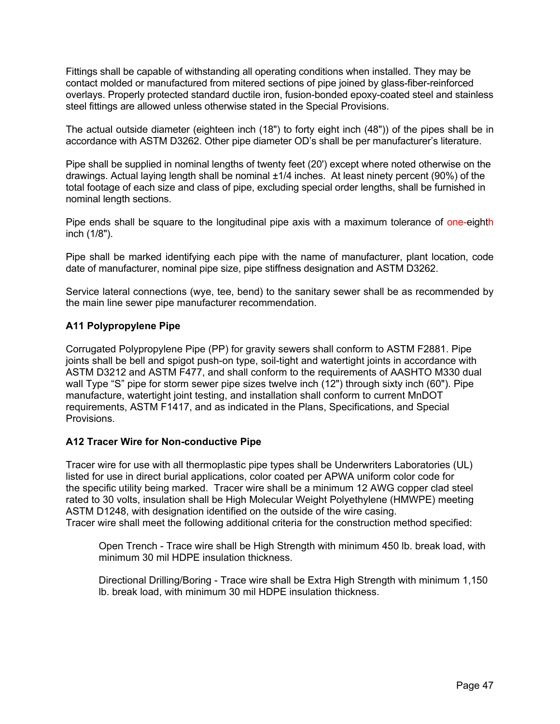Fittings shall be capable of withstanding all operating conditions when installed. They may be contact molded or manufactured from mitered sections of pipe joined by glass-fiber-reinforced overlays. Properly protected standard ductile iron, fusion-bonded epoxy-coated steel and stainless steel fittings are allowed unless otherwise stated in the Special Provisions.

The actual outside diameter (eighteen inch (18") to forty eight inch (48")) of the pipes shall be in accordance with ASTM D3262. Other pipe diameter OD's shall be per manufacturer's literature.

Pipe shall be supplied in nominal lengths of twenty feet (20') except where noted otherwise on the drawings. Actual laying length shall be nominal ±1/4 inches. At least ninety percent (90%) of the total footage of each size and class of pipe, excluding special order lengths, shall be furnished in nominal length sections.

Pipe ends shall be square to the longitudinal pipe axis with a maximum tolerance of one-eighth inch (1/8").

Pipe shall be marked identifying each pipe with the name of manufacturer, plant location, code date of manufacturer, nominal pipe size, pipe stiffness designation and ASTM D3262.

Service lateral connections (wye, tee, bend) to the sanitary sewer shall be as recommended by the main line sewer pipe manufacturer recommendation.

### **A11 Polypropylene Pipe**

Corrugated Polypropylene Pipe (PP) for gravity sewers shall conform to ASTM F2881. Pipe joints shall be bell and spigot push-on type, soil-tight and watertight joints in accordance with ASTM D3212 and ASTM F477, and shall conform to the requirements of AASHTO M330 dual wall Type "S" pipe for storm sewer pipe sizes twelve inch (12") through sixty inch (60"). Pipe manufacture, watertight joint testing, and installation shall conform to current MnDOT requirements, ASTM F1417, and as indicated in the Plans, Specifications, and Special Provisions.

#### **A12 Tracer Wire for Non-conductive Pipe**

Tracer wire for use with all thermoplastic pipe types shall be Underwriters Laboratories (UL) listed for use in direct burial applications, color coated per APWA uniform color code for the specific utility being marked. Tracer wire shall be a minimum 12 AWG copper clad steel rated to 30 volts, insulation shall be High Molecular Weight Polyethylene (HMWPE) meeting ASTM D1248, with designation identified on the outside of the wire casing. Tracer wire shall meet the following additional criteria for the construction method specified:

Open Trench - Trace wire shall be High Strength with minimum 450 lb. break load, with minimum 30 mil HDPE insulation thickness.

Directional Drilling/Boring - Trace wire shall be Extra High Strength with minimum 1,150 lb. break load, with minimum 30 mil HDPE insulation thickness.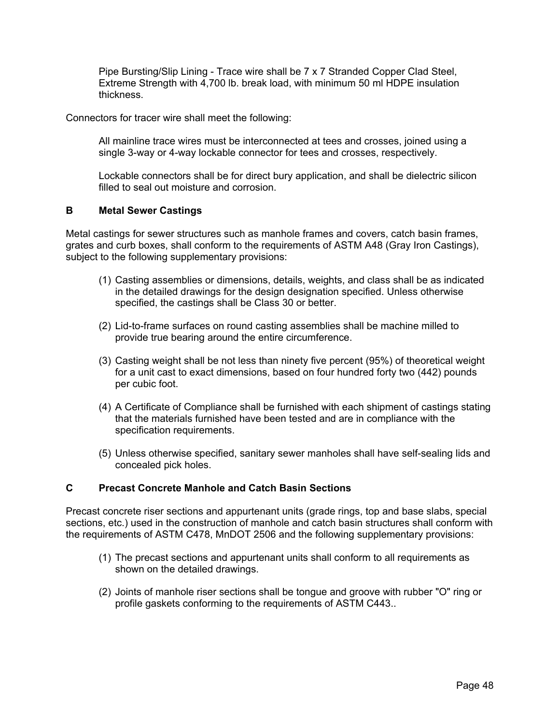Pipe Bursting/Slip Lining - Trace wire shall be 7 x 7 Stranded Copper Clad Steel, Extreme Strength with 4,700 lb. break load, with minimum 50 ml HDPE insulation thickness.

Connectors for tracer wire shall meet the following:

All mainline trace wires must be interconnected at tees and crosses, joined using a single 3-way or 4-way lockable connector for tees and crosses, respectively.

Lockable connectors shall be for direct bury application, and shall be dielectric silicon filled to seal out moisture and corrosion.

### **B Metal Sewer Castings**

Metal castings for sewer structures such as manhole frames and covers, catch basin frames, grates and curb boxes, shall conform to the requirements of ASTM A48 (Gray Iron Castings), subject to the following supplementary provisions:

- (1) Casting assemblies or dimensions, details, weights, and class shall be as indicated in the detailed drawings for the design designation specified. Unless otherwise specified, the castings shall be Class 30 or better.
- (2) Lid-to-frame surfaces on round casting assemblies shall be machine milled to provide true bearing around the entire circumference.
- (3) Casting weight shall be not less than ninety five percent (95%) of theoretical weight for a unit cast to exact dimensions, based on four hundred forty two (442) pounds per cubic foot.
- (4) A Certificate of Compliance shall be furnished with each shipment of castings stating that the materials furnished have been tested and are in compliance with the specification requirements.
- (5) Unless otherwise specified, sanitary sewer manholes shall have self-sealing lids and concealed pick holes.

## **C Precast Concrete Manhole and Catch Basin Sections**

Precast concrete riser sections and appurtenant units (grade rings, top and base slabs, special sections, etc.) used in the construction of manhole and catch basin structures shall conform with the requirements of ASTM C478, MnDOT 2506 and the following supplementary provisions:

- (1) The precast sections and appurtenant units shall conform to all requirements as shown on the detailed drawings.
- (2) Joints of manhole riser sections shall be tongue and groove with rubber "O" ring or profile gaskets conforming to the requirements of ASTM C443..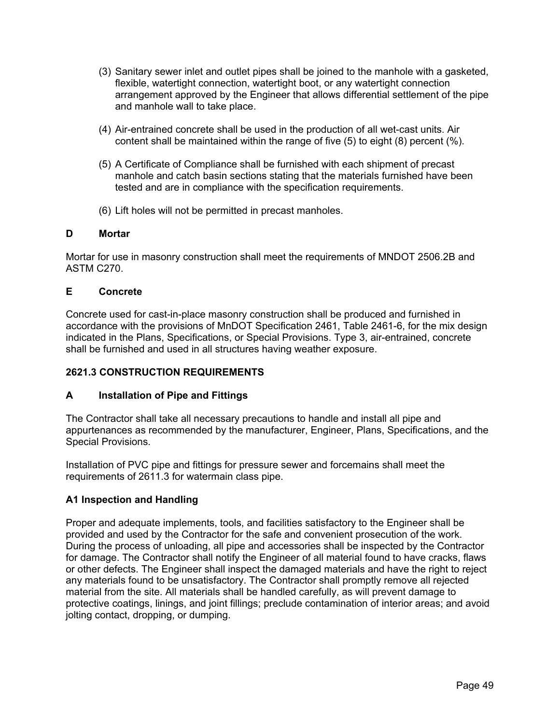- (3) Sanitary sewer inlet and outlet pipes shall be joined to the manhole with a gasketed, flexible, watertight connection, watertight boot, or any watertight connection arrangement approved by the Engineer that allows differential settlement of the pipe and manhole wall to take place.
- (4) Air-entrained concrete shall be used in the production of all wet-cast units. Air content shall be maintained within the range of five (5) to eight (8) percent (%).
- (5) A Certificate of Compliance shall be furnished with each shipment of precast manhole and catch basin sections stating that the materials furnished have been tested and are in compliance with the specification requirements.
- (6) Lift holes will not be permitted in precast manholes.

## **D Mortar**

Mortar for use in masonry construction shall meet the requirements of MNDOT 2506.2B and ASTM C270.

## **E Concrete**

Concrete used for cast-in-place masonry construction shall be produced and furnished in accordance with the provisions of MnDOT Specification 2461, Table 2461-6, for the mix design indicated in the Plans, Specifications, or Special Provisions. Type 3, air-entrained, concrete shall be furnished and used in all structures having weather exposure.

# **2621.3 CONSTRUCTION REQUIREMENTS**

## **A Installation of Pipe and Fittings**

The Contractor shall take all necessary precautions to handle and install all pipe and appurtenances as recommended by the manufacturer, Engineer, Plans, Specifications, and the Special Provisions.

Installation of PVC pipe and fittings for pressure sewer and forcemains shall meet the requirements of 2611.3 for watermain class pipe.

# **A1 Inspection and Handling**

Proper and adequate implements, tools, and facilities satisfactory to the Engineer shall be provided and used by the Contractor for the safe and convenient prosecution of the work. During the process of unloading, all pipe and accessories shall be inspected by the Contractor for damage. The Contractor shall notify the Engineer of all material found to have cracks, flaws or other defects. The Engineer shall inspect the damaged materials and have the right to reject any materials found to be unsatisfactory. The Contractor shall promptly remove all rejected material from the site. All materials shall be handled carefully, as will prevent damage to protective coatings, linings, and joint fillings; preclude contamination of interior areas; and avoid jolting contact, dropping, or dumping.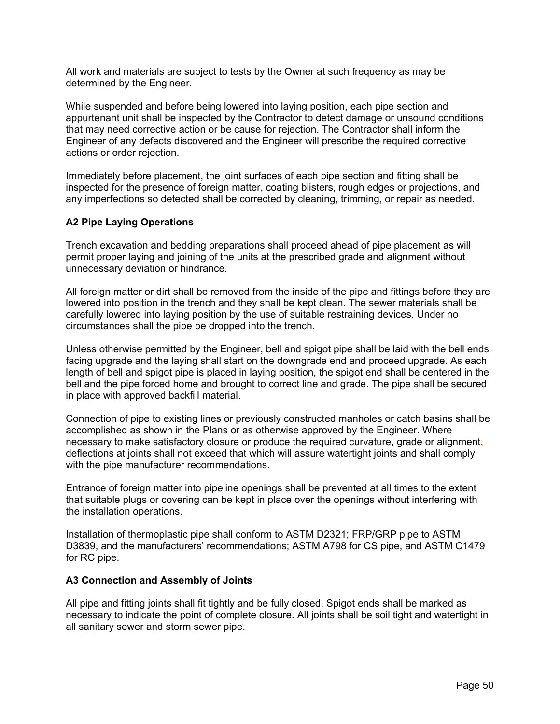All work and materials are subject to tests by the Owner at such frequency as may be determined by the Engineer.

While suspended and before being lowered into laying position, each pipe section and appurtenant unit shall be inspected by the Contractor to detect damage or unsound conditions that may need corrective action or be cause for rejection. The Contractor shall inform the Engineer of any defects discovered and the Engineer will prescribe the required corrective actions or order rejection.

Immediately before placement, the joint surfaces of each pipe section and fitting shall be inspected for the presence of foreign matter, coating blisters, rough edges or projections, and any imperfections so detected shall be corrected by cleaning, trimming, or repair as needed.

# **A2 Pipe Laying Operations**

Trench excavation and bedding preparations shall proceed ahead of pipe placement as will permit proper laying and joining of the units at the prescribed grade and alignment without unnecessary deviation or hindrance.

All foreign matter or dirt shall be removed from the inside of the pipe and fittings before they are lowered into position in the trench and they shall be kept clean. The sewer materials shall be carefully lowered into laying position by the use of suitable restraining devices. Under no circumstances shall the pipe be dropped into the trench.

Unless otherwise permitted by the Engineer, bell and spigot pipe shall be laid with the bell ends facing upgrade and the laying shall start on the downgrade end and proceed upgrade. As each length of bell and spigot pipe is placed in laying position, the spigot end shall be centered in the bell and the pipe forced home and brought to correct line and grade. The pipe shall be secured in place with approved backfill material.

Connection of pipe to existing lines or previously constructed manholes or catch basins shall be accomplished as shown in the Plans or as otherwise approved by the Engineer. Where necessary to make satisfactory closure or produce the required curvature, grade or alignment, deflections at joints shall not exceed that which will assure watertight joints and shall comply with the pipe manufacturer recommendations.

Entrance of foreign matter into pipeline openings shall be prevented at all times to the extent that suitable plugs or covering can be kept in place over the openings without interfering with the installation operations.

Installation of thermoplastic pipe shall conform to ASTM D2321; FRP/GRP pipe to ASTM D3839, and the manufacturers' recommendations; ASTM A798 for CS pipe, and ASTM C1479 for RC pipe.

#### **A3 Connection and Assembly of Joints**

All pipe and fitting joints shall fit tightly and be fully closed. Spigot ends shall be marked as necessary to indicate the point of complete closure. All joints shall be soil tight and watertight in all sanitary sewer and storm sewer pipe.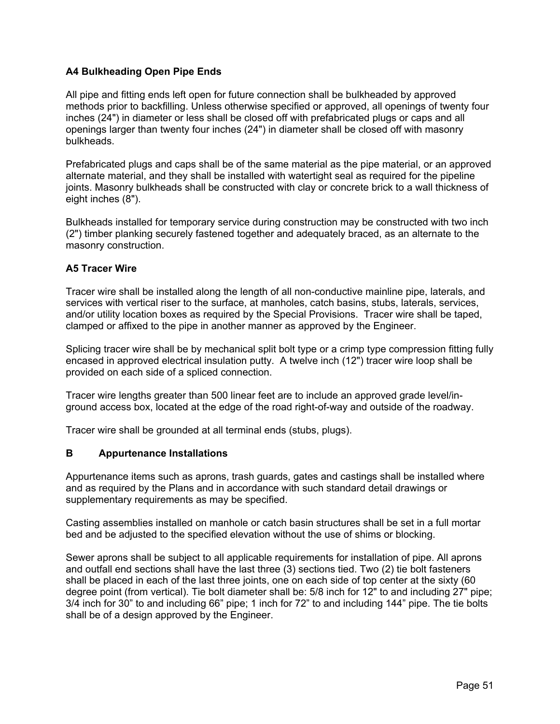## **A4 Bulkheading Open Pipe Ends**

All pipe and fitting ends left open for future connection shall be bulkheaded by approved methods prior to backfilling. Unless otherwise specified or approved, all openings of twenty four inches (24") in diameter or less shall be closed off with prefabricated plugs or caps and all openings larger than twenty four inches (24") in diameter shall be closed off with masonry bulkheads.

Prefabricated plugs and caps shall be of the same material as the pipe material, or an approved alternate material, and they shall be installed with watertight seal as required for the pipeline joints. Masonry bulkheads shall be constructed with clay or concrete brick to a wall thickness of eight inches (8").

Bulkheads installed for temporary service during construction may be constructed with two inch (2") timber planking securely fastened together and adequately braced, as an alternate to the masonry construction.

## **A5 Tracer Wire**

Tracer wire shall be installed along the length of all non-conductive mainline pipe, laterals, and services with vertical riser to the surface, at manholes, catch basins, stubs, laterals, services, and/or utility location boxes as required by the Special Provisions. Tracer wire shall be taped, clamped or affixed to the pipe in another manner as approved by the Engineer.

Splicing tracer wire shall be by mechanical split bolt type or a crimp type compression fitting fully encased in approved electrical insulation putty. A twelve inch (12") tracer wire loop shall be provided on each side of a spliced connection.

Tracer wire lengths greater than 500 linear feet are to include an approved grade level/inground access box, located at the edge of the road right-of-way and outside of the roadway.

Tracer wire shall be grounded at all terminal ends (stubs, plugs).

## **B Appurtenance Installations**

Appurtenance items such as aprons, trash guards, gates and castings shall be installed where and as required by the Plans and in accordance with such standard detail drawings or supplementary requirements as may be specified.

Casting assemblies installed on manhole or catch basin structures shall be set in a full mortar bed and be adjusted to the specified elevation without the use of shims or blocking.

Sewer aprons shall be subject to all applicable requirements for installation of pipe. All aprons and outfall end sections shall have the last three (3) sections tied. Two (2) tie bolt fasteners shall be placed in each of the last three joints, one on each side of top center at the sixty (60 degree point (from vertical). Tie bolt diameter shall be: 5/8 inch for 12" to and including 27" pipe; 3/4 inch for 30" to and including 66" pipe; 1 inch for 72" to and including 144" pipe. The tie bolts shall be of a design approved by the Engineer.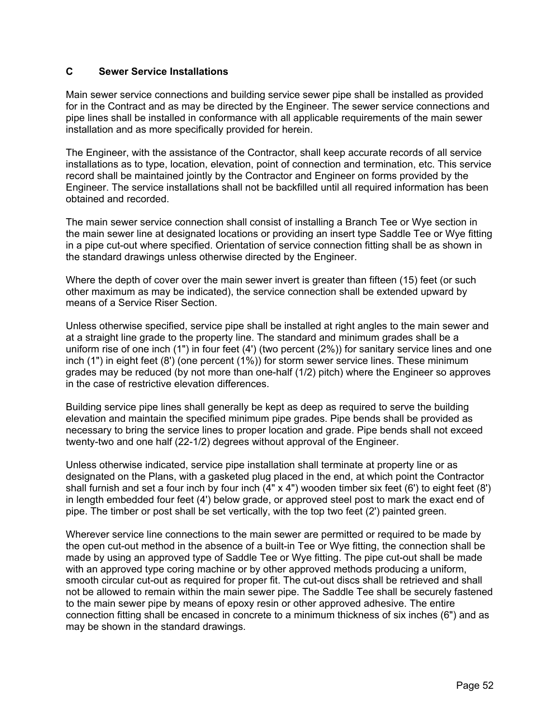## **C Sewer Service Installations**

Main sewer service connections and building service sewer pipe shall be installed as provided for in the Contract and as may be directed by the Engineer. The sewer service connections and pipe lines shall be installed in conformance with all applicable requirements of the main sewer installation and as more specifically provided for herein.

The Engineer, with the assistance of the Contractor, shall keep accurate records of all service installations as to type, location, elevation, point of connection and termination, etc. This service record shall be maintained jointly by the Contractor and Engineer on forms provided by the Engineer. The service installations shall not be backfilled until all required information has been obtained and recorded.

The main sewer service connection shall consist of installing a Branch Tee or Wye section in the main sewer line at designated locations or providing an insert type Saddle Tee or Wye fitting in a pipe cut-out where specified. Orientation of service connection fitting shall be as shown in the standard drawings unless otherwise directed by the Engineer.

Where the depth of cover over the main sewer invert is greater than fifteen (15) feet (or such other maximum as may be indicated), the service connection shall be extended upward by means of a Service Riser Section.

Unless otherwise specified, service pipe shall be installed at right angles to the main sewer and at a straight line grade to the property line. The standard and minimum grades shall be a uniform rise of one inch (1") in four feet (4') (two percent (2%)) for sanitary service lines and one inch (1") in eight feet (8') (one percent (1%)) for storm sewer service lines. These minimum grades may be reduced (by not more than one-half (1/2) pitch) where the Engineer so approves in the case of restrictive elevation differences.

Building service pipe lines shall generally be kept as deep as required to serve the building elevation and maintain the specified minimum pipe grades. Pipe bends shall be provided as necessary to bring the service lines to proper location and grade. Pipe bends shall not exceed twenty-two and one half (22-1/2) degrees without approval of the Engineer.

Unless otherwise indicated, service pipe installation shall terminate at property line or as designated on the Plans, with a gasketed plug placed in the end, at which point the Contractor shall furnish and set a four inch by four inch (4" x 4") wooden timber six feet (6') to eight feet (8') in length embedded four feet (4') below grade, or approved steel post to mark the exact end of pipe. The timber or post shall be set vertically, with the top two feet (2') painted green.

Wherever service line connections to the main sewer are permitted or required to be made by the open cut-out method in the absence of a built-in Tee or Wye fitting, the connection shall be made by using an approved type of Saddle Tee or Wye fitting. The pipe cut-out shall be made with an approved type coring machine or by other approved methods producing a uniform, smooth circular cut-out as required for proper fit. The cut-out discs shall be retrieved and shall not be allowed to remain within the main sewer pipe. The Saddle Tee shall be securely fastened to the main sewer pipe by means of epoxy resin or other approved adhesive. The entire connection fitting shall be encased in concrete to a minimum thickness of six inches (6") and as may be shown in the standard drawings.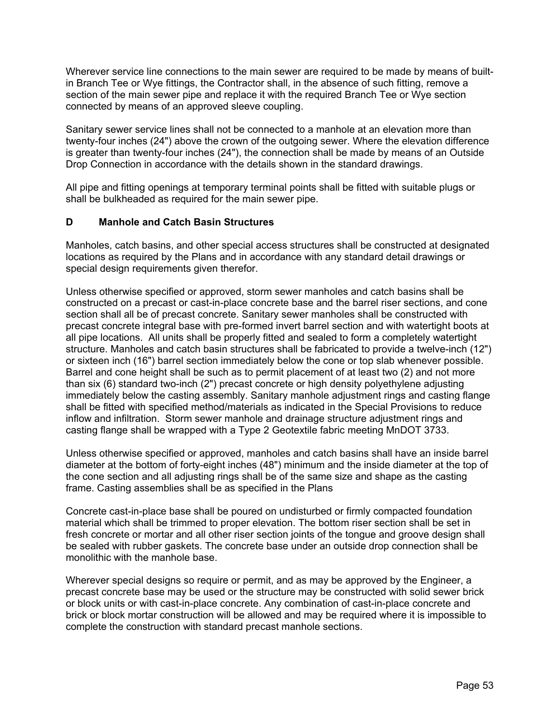Wherever service line connections to the main sewer are required to be made by means of builtin Branch Tee or Wye fittings, the Contractor shall, in the absence of such fitting, remove a section of the main sewer pipe and replace it with the required Branch Tee or Wye section connected by means of an approved sleeve coupling.

Sanitary sewer service lines shall not be connected to a manhole at an elevation more than twenty-four inches (24") above the crown of the outgoing sewer. Where the elevation difference is greater than twenty-four inches (24"), the connection shall be made by means of an Outside Drop Connection in accordance with the details shown in the standard drawings.

All pipe and fitting openings at temporary terminal points shall be fitted with suitable plugs or shall be bulkheaded as required for the main sewer pipe.

## **D Manhole and Catch Basin Structures**

Manholes, catch basins, and other special access structures shall be constructed at designated locations as required by the Plans and in accordance with any standard detail drawings or special design requirements given therefor.

Unless otherwise specified or approved, storm sewer manholes and catch basins shall be constructed on a precast or cast-in-place concrete base and the barrel riser sections, and cone section shall all be of precast concrete. Sanitary sewer manholes shall be constructed with precast concrete integral base with pre-formed invert barrel section and with watertight boots at all pipe locations. All units shall be properly fitted and sealed to form a completely watertight structure. Manholes and catch basin structures shall be fabricated to provide a twelve-inch (12") or sixteen inch (16") barrel section immediately below the cone or top slab whenever possible. Barrel and cone height shall be such as to permit placement of at least two (2) and not more than six (6) standard two-inch (2") precast concrete or high density polyethylene adjusting immediately below the casting assembly. Sanitary manhole adjustment rings and casting flange shall be fitted with specified method/materials as indicated in the Special Provisions to reduce inflow and infiltration. Storm sewer manhole and drainage structure adjustment rings and casting flange shall be wrapped with a Type 2 Geotextile fabric meeting MnDOT 3733.

Unless otherwise specified or approved, manholes and catch basins shall have an inside barrel diameter at the bottom of forty-eight inches (48") minimum and the inside diameter at the top of the cone section and all adjusting rings shall be of the same size and shape as the casting frame. Casting assemblies shall be as specified in the Plans

Concrete cast-in-place base shall be poured on undisturbed or firmly compacted foundation material which shall be trimmed to proper elevation. The bottom riser section shall be set in fresh concrete or mortar and all other riser section joints of the tongue and groove design shall be sealed with rubber gaskets. The concrete base under an outside drop connection shall be monolithic with the manhole base.

Wherever special designs so require or permit, and as may be approved by the Engineer, a precast concrete base may be used or the structure may be constructed with solid sewer brick or block units or with cast-in-place concrete. Any combination of cast-in-place concrete and brick or block mortar construction will be allowed and may be required where it is impossible to complete the construction with standard precast manhole sections.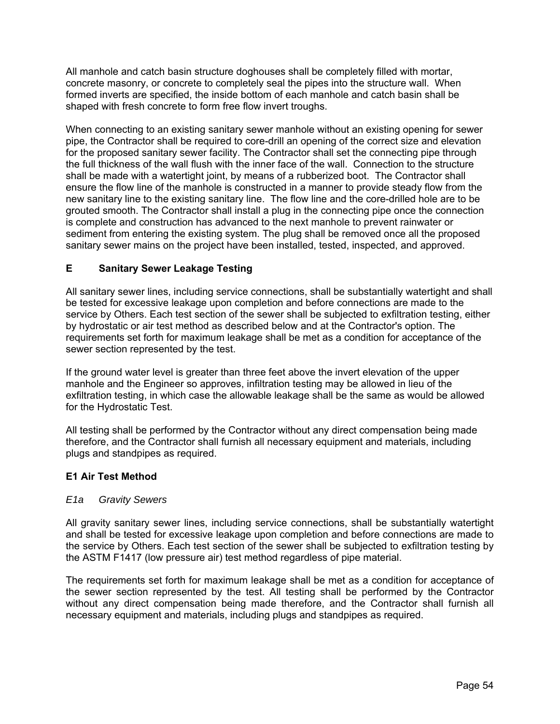All manhole and catch basin structure doghouses shall be completely filled with mortar, concrete masonry, or concrete to completely seal the pipes into the structure wall. When formed inverts are specified, the inside bottom of each manhole and catch basin shall be shaped with fresh concrete to form free flow invert troughs.

When connecting to an existing sanitary sewer manhole without an existing opening for sewer pipe, the Contractor shall be required to core-drill an opening of the correct size and elevation for the proposed sanitary sewer facility. The Contractor shall set the connecting pipe through the full thickness of the wall flush with the inner face of the wall. Connection to the structure shall be made with a watertight joint, by means of a rubberized boot. The Contractor shall ensure the flow line of the manhole is constructed in a manner to provide steady flow from the new sanitary line to the existing sanitary line. The flow line and the core-drilled hole are to be grouted smooth. The Contractor shall install a plug in the connecting pipe once the connection is complete and construction has advanced to the next manhole to prevent rainwater or sediment from entering the existing system. The plug shall be removed once all the proposed sanitary sewer mains on the project have been installed, tested, inspected, and approved.

## **E Sanitary Sewer Leakage Testing**

All sanitary sewer lines, including service connections, shall be substantially watertight and shall be tested for excessive leakage upon completion and before connections are made to the service by Others. Each test section of the sewer shall be subjected to exfiltration testing, either by hydrostatic or air test method as described below and at the Contractor's option. The requirements set forth for maximum leakage shall be met as a condition for acceptance of the sewer section represented by the test.

If the ground water level is greater than three feet above the invert elevation of the upper manhole and the Engineer so approves, infiltration testing may be allowed in lieu of the exfiltration testing, in which case the allowable leakage shall be the same as would be allowed for the Hydrostatic Test.

All testing shall be performed by the Contractor without any direct compensation being made therefore, and the Contractor shall furnish all necessary equipment and materials, including plugs and standpipes as required.

## **E1 Air Test Method**

#### *E1a Gravity Sewers*

All gravity sanitary sewer lines, including service connections, shall be substantially watertight and shall be tested for excessive leakage upon completion and before connections are made to the service by Others. Each test section of the sewer shall be subjected to exfiltration testing by the ASTM F1417 (low pressure air) test method regardless of pipe material.

The requirements set forth for maximum leakage shall be met as a condition for acceptance of the sewer section represented by the test. All testing shall be performed by the Contractor without any direct compensation being made therefore, and the Contractor shall furnish all necessary equipment and materials, including plugs and standpipes as required.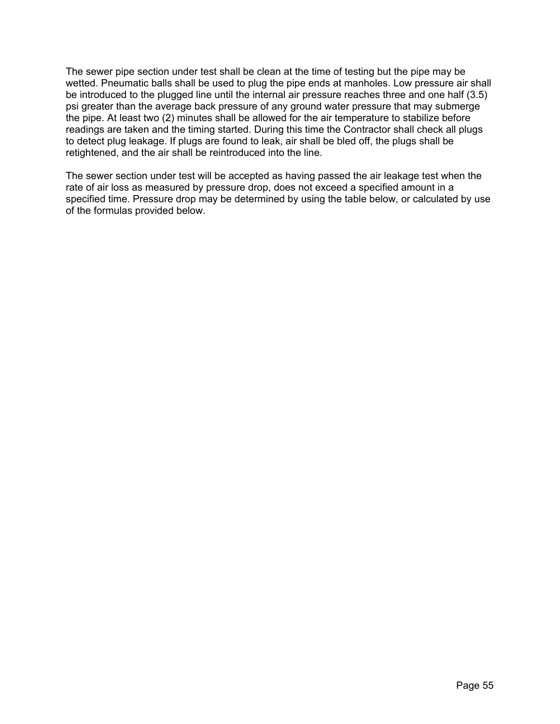The sewer pipe section under test shall be clean at the time of testing but the pipe may be wetted. Pneumatic balls shall be used to plug the pipe ends at manholes. Low pressure air shall be introduced to the plugged line until the internal air pressure reaches three and one half (3.5) psi greater than the average back pressure of any ground water pressure that may submerge the pipe. At least two (2) minutes shall be allowed for the air temperature to stabilize before readings are taken and the timing started. During this time the Contractor shall check all plugs to detect plug leakage. If plugs are found to leak, air shall be bled off, the plugs shall be retightened, and the air shall be reintroduced into the line.

The sewer section under test will be accepted as having passed the air leakage test when the rate of air loss as measured by pressure drop, does not exceed a specified amount in a specified time. Pressure drop may be determined by using the table below, or calculated by use of the formulas provided below.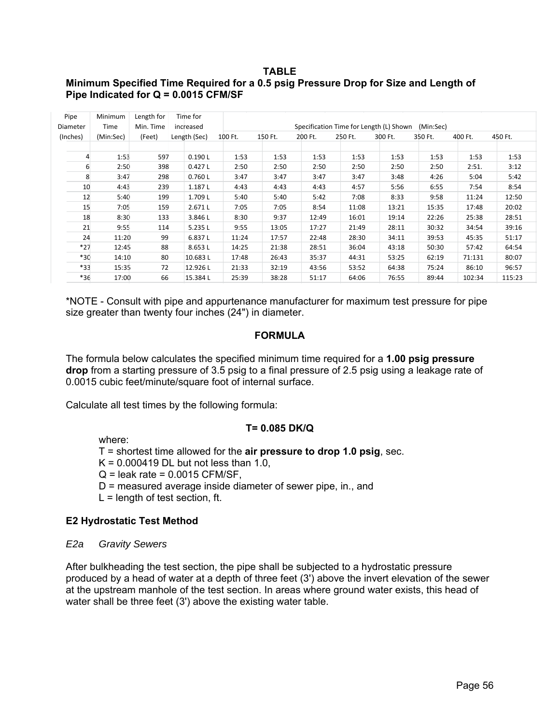#### **TABLE**

## **Minimum Specified Time Required for a 0.5 psig Pressure Drop for Size and Length of Pipe Indicated for Q = 0.0015 CFM/SF**

| Pipe<br>Diameter | <b>Minimum</b><br><b>Time</b> | Length for<br>Min. Time | Time for<br>increased |         |         |         |         | Specification Time for Length (L) Shown | (Min:Sec) |         |         |
|------------------|-------------------------------|-------------------------|-----------------------|---------|---------|---------|---------|-----------------------------------------|-----------|---------|---------|
| (Inches)         | (Min:Sec)                     | (Feet)                  | Length (Sec)          | 100 Ft. | 150 Ft. | 200 Ft. | 250 Ft. | 300 Ft.                                 | 350 Ft.   | 400 Ft. | 450 Ft. |
|                  |                               |                         |                       |         |         |         |         |                                         |           |         |         |
| 4                | 1:53                          | 597                     | 0.190L                | 1:53    | 1:53    | 1:53    | 1:53    | 1:53                                    | 1:53      | 1:53    | 1:53    |
| 6                | 2:50                          | 398                     | 0.427L                | 2:50    | 2:50    | 2:50    | 2:50    | 2:50                                    | 2:50      | 2:51.   | 3:12    |
| 8                | 3:47                          | 298                     | 0.760L                | 3:47    | 3:47    | 3:47    | 3:47    | 3:48                                    | 4:26      | 5:04    | 5:42    |
| 10               | 4:43                          | 239                     | 1.187L                | 4:43    | 4:43    | 4:43    | 4:57    | 5:56                                    | 6:55      | 7:54    | 8:54    |
| 12               | 5:40                          | 199                     | 1.709L                | 5:40    | 5:40    | 5:42    | 7:08    | 8:33                                    | 9:58      | 11:24   | 12:50   |
| 15               | 7:05                          | 159                     | 2.671L                | 7:05    | 7:05    | 8:54    | 11:08   | 13:21                                   | 15:35     | 17:48   | 20:02   |
| 18               | 8:30                          | 133                     | 3.846L                | 8:30    | 9:37    | 12:49   | 16:01   | 19:14                                   | 22:26     | 25:38   | 28:51   |
| 21               | 9:55                          | 114                     | 5.235L                | 9:55    | 13:05   | 17:27   | 21:49   | 28:11                                   | 30:32     | 34:54   | 39:16   |
| 24               | 11:20                         | 99                      | 6.837L                | 11:24   | 17:57   | 22:48   | 28:30   | 34:11                                   | 39:53     | 45:35   | 51:17   |
| $*27$            | 12:45                         | 88                      | 8.653L                | 14:25   | 21:38   | 28:51   | 36:04   | 43:18                                   | 50:30     | 57:42   | 64:54   |
| $*30$            | 14:10                         | 80                      | 10.683L               | 17:48   | 26:43   | 35:37   | 44:31   | 53:25                                   | 62:19     | 71:131  | 80:07   |
| $*33$            | 15:35                         | 72                      | 12.926L               | 21:33   | 32:19   | 43:56   | 53:52   | 64:38                                   | 75:24     | 86:10   | 96:57   |
| $*36$            | 17:00                         | 66                      | 15.384L               | 25:39   | 38:28   | 51:17   | 64:06   | 76:55                                   | 89:44     | 102:34  | 115:23  |

\*NOTE - Consult with pipe and appurtenance manufacturer for maximum test pressure for pipe size greater than twenty four inches (24") in diameter.

#### **FORMULA**

The formula below calculates the specified minimum time required for a **1.00 psig pressure drop** from a starting pressure of 3.5 psig to a final pressure of 2.5 psig using a leakage rate of 0.0015 cubic feet/minute/square foot of internal surface.

Calculate all test times by the following formula:

#### **T= 0.085 DK/Q**

where:

T = shortest time allowed for the **air pressure to drop 1.0 psig**, sec.

 $K = 0.000419$  DL but not less than 1.0,

 $Q =$  leak rate = 0.0015 CFM/SF,

D = measured average inside diameter of sewer pipe, in., and

 $L =$  length of test section, ft.

#### **E2 Hydrostatic Test Method**

*E2a Gravity Sewers* 

After bulkheading the test section, the pipe shall be subjected to a hydrostatic pressure produced by a head of water at a depth of three feet (3') above the invert elevation of the sewer at the upstream manhole of the test section. In areas where ground water exists, this head of water shall be three feet (3') above the existing water table.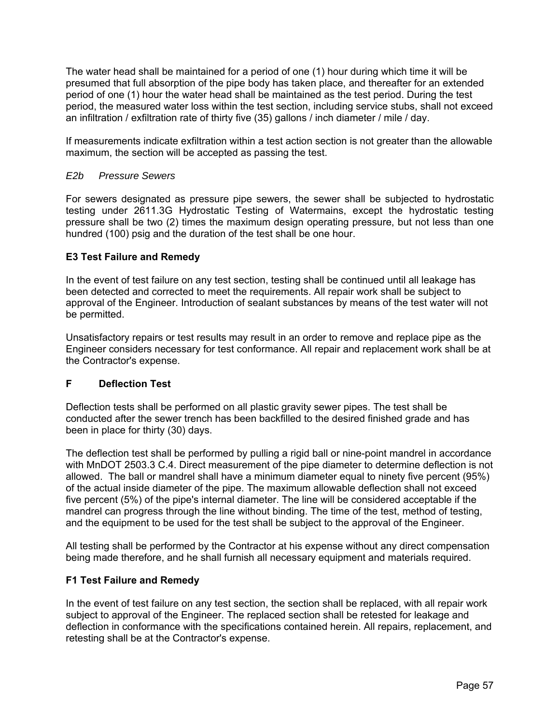The water head shall be maintained for a period of one (1) hour during which time it will be presumed that full absorption of the pipe body has taken place, and thereafter for an extended period of one (1) hour the water head shall be maintained as the test period. During the test period, the measured water loss within the test section, including service stubs, shall not exceed an infiltration / exfiltration rate of thirty five (35) gallons / inch diameter / mile / day.

If measurements indicate exfiltration within a test action section is not greater than the allowable maximum, the section will be accepted as passing the test.

### *E2b Pressure Sewers*

For sewers designated as pressure pipe sewers, the sewer shall be subjected to hydrostatic testing under 2611.3G Hydrostatic Testing of Watermains, except the hydrostatic testing pressure shall be two (2) times the maximum design operating pressure, but not less than one hundred (100) psig and the duration of the test shall be one hour.

### **E3 Test Failure and Remedy**

In the event of test failure on any test section, testing shall be continued until all leakage has been detected and corrected to meet the requirements. All repair work shall be subject to approval of the Engineer. Introduction of sealant substances by means of the test water will not be permitted.

Unsatisfactory repairs or test results may result in an order to remove and replace pipe as the Engineer considers necessary for test conformance. All repair and replacement work shall be at the Contractor's expense.

#### **F Deflection Test**

Deflection tests shall be performed on all plastic gravity sewer pipes. The test shall be conducted after the sewer trench has been backfilled to the desired finished grade and has been in place for thirty (30) days.

The deflection test shall be performed by pulling a rigid ball or nine-point mandrel in accordance with MnDOT 2503.3 C.4. Direct measurement of the pipe diameter to determine deflection is not allowed. The ball or mandrel shall have a minimum diameter equal to ninety five percent (95%) of the actual inside diameter of the pipe. The maximum allowable deflection shall not exceed five percent (5%) of the pipe's internal diameter. The line will be considered acceptable if the mandrel can progress through the line without binding. The time of the test, method of testing, and the equipment to be used for the test shall be subject to the approval of the Engineer.

All testing shall be performed by the Contractor at his expense without any direct compensation being made therefore, and he shall furnish all necessary equipment and materials required.

#### **F1 Test Failure and Remedy**

In the event of test failure on any test section, the section shall be replaced, with all repair work subject to approval of the Engineer. The replaced section shall be retested for leakage and deflection in conformance with the specifications contained herein. All repairs, replacement, and retesting shall be at the Contractor's expense.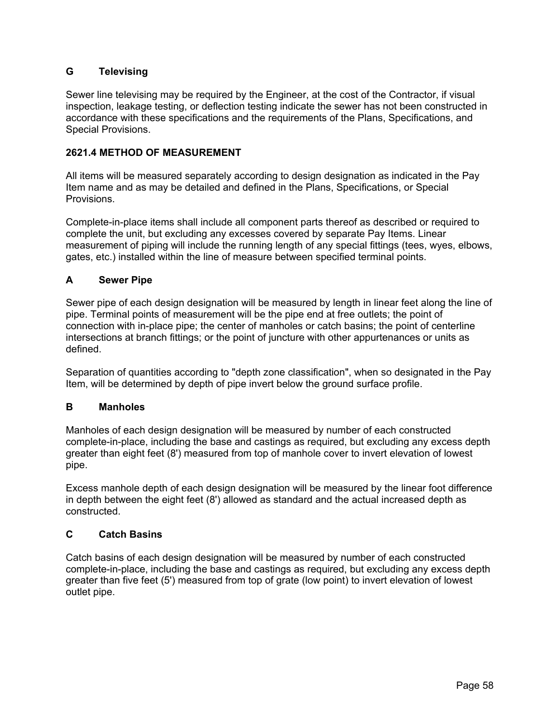# **G Televising**

Sewer line televising may be required by the Engineer, at the cost of the Contractor, if visual inspection, leakage testing, or deflection testing indicate the sewer has not been constructed in accordance with these specifications and the requirements of the Plans, Specifications, and Special Provisions.

### **2621.4 METHOD OF MEASUREMENT**

All items will be measured separately according to design designation as indicated in the Pay Item name and as may be detailed and defined in the Plans, Specifications, or Special Provisions.

Complete-in-place items shall include all component parts thereof as described or required to complete the unit, but excluding any excesses covered by separate Pay Items. Linear measurement of piping will include the running length of any special fittings (tees, wyes, elbows, gates, etc.) installed within the line of measure between specified terminal points.

## **A Sewer Pipe**

Sewer pipe of each design designation will be measured by length in linear feet along the line of pipe. Terminal points of measurement will be the pipe end at free outlets; the point of connection with in-place pipe; the center of manholes or catch basins; the point of centerline intersections at branch fittings; or the point of juncture with other appurtenances or units as defined.

Separation of quantities according to "depth zone classification", when so designated in the Pay Item, will be determined by depth of pipe invert below the ground surface profile.

## **B Manholes**

Manholes of each design designation will be measured by number of each constructed complete-in-place, including the base and castings as required, but excluding any excess depth greater than eight feet (8') measured from top of manhole cover to invert elevation of lowest pipe.

Excess manhole depth of each design designation will be measured by the linear foot difference in depth between the eight feet (8') allowed as standard and the actual increased depth as constructed.

## **C Catch Basins**

Catch basins of each design designation will be measured by number of each constructed complete-in-place, including the base and castings as required, but excluding any excess depth greater than five feet (5') measured from top of grate (low point) to invert elevation of lowest outlet pipe.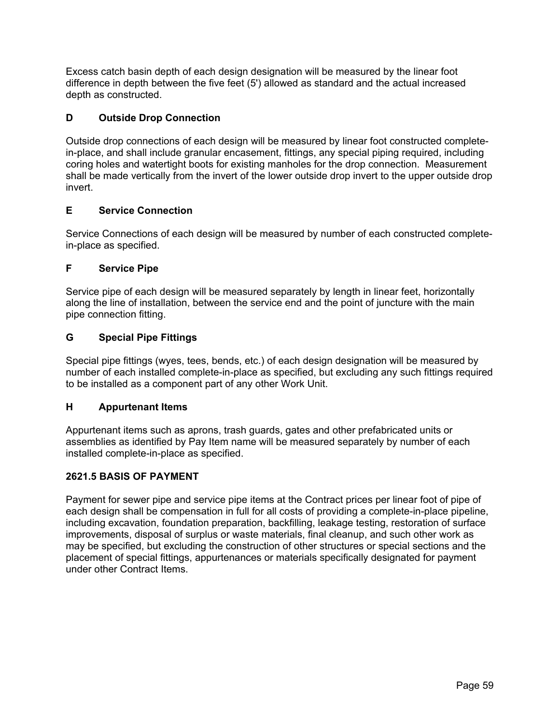Excess catch basin depth of each design designation will be measured by the linear foot difference in depth between the five feet (5') allowed as standard and the actual increased depth as constructed.

# **D Outside Drop Connection**

Outside drop connections of each design will be measured by linear foot constructed completein-place, and shall include granular encasement, fittings, any special piping required, including coring holes and watertight boots for existing manholes for the drop connection. Measurement shall be made vertically from the invert of the lower outside drop invert to the upper outside drop invert.

## **E Service Connection**

Service Connections of each design will be measured by number of each constructed completein-place as specified.

## **F Service Pipe**

Service pipe of each design will be measured separately by length in linear feet, horizontally along the line of installation, between the service end and the point of juncture with the main pipe connection fitting.

## **G Special Pipe Fittings**

Special pipe fittings (wyes, tees, bends, etc.) of each design designation will be measured by number of each installed complete-in-place as specified, but excluding any such fittings required to be installed as a component part of any other Work Unit.

## **H Appurtenant Items**

Appurtenant items such as aprons, trash guards, gates and other prefabricated units or assemblies as identified by Pay Item name will be measured separately by number of each installed complete-in-place as specified.

## **2621.5 BASIS OF PAYMENT**

Payment for sewer pipe and service pipe items at the Contract prices per linear foot of pipe of each design shall be compensation in full for all costs of providing a complete-in-place pipeline, including excavation, foundation preparation, backfilling, leakage testing, restoration of surface improvements, disposal of surplus or waste materials, final cleanup, and such other work as may be specified, but excluding the construction of other structures or special sections and the placement of special fittings, appurtenances or materials specifically designated for payment under other Contract Items.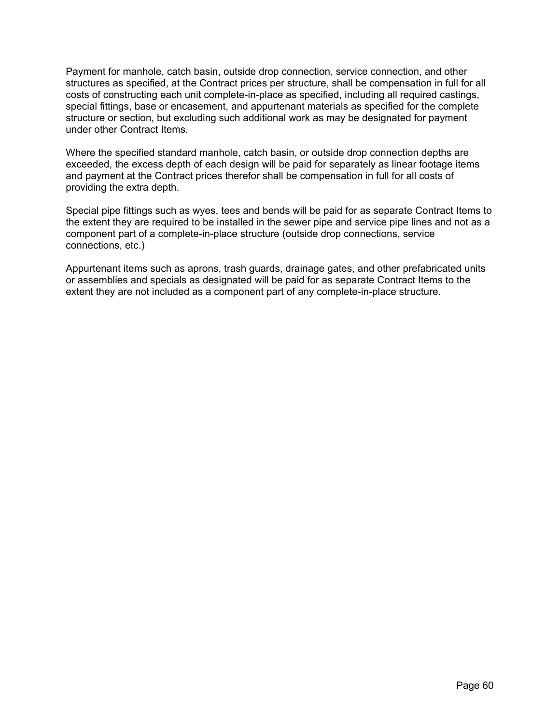Payment for manhole, catch basin, outside drop connection, service connection, and other structures as specified, at the Contract prices per structure, shall be compensation in full for all costs of constructing each unit complete-in-place as specified, including all required castings, special fittings, base or encasement, and appurtenant materials as specified for the complete structure or section, but excluding such additional work as may be designated for payment under other Contract Items.

Where the specified standard manhole, catch basin, or outside drop connection depths are exceeded, the excess depth of each design will be paid for separately as linear footage items and payment at the Contract prices therefor shall be compensation in full for all costs of providing the extra depth.

Special pipe fittings such as wyes, tees and bends will be paid for as separate Contract Items to the extent they are required to be installed in the sewer pipe and service pipe lines and not as a component part of a complete-in-place structure (outside drop connections, service connections, etc.)

Appurtenant items such as aprons, trash guards, drainage gates, and other prefabricated units or assemblies and specials as designated will be paid for as separate Contract Items to the extent they are not included as a component part of any complete-in-place structure.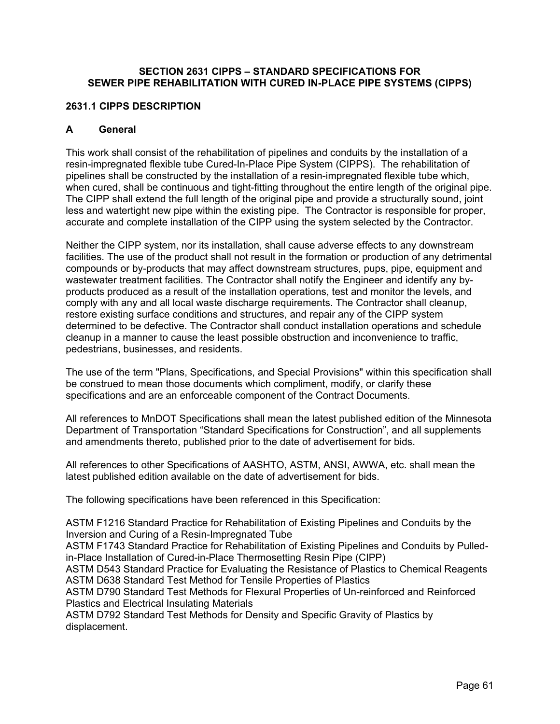### **SECTION 2631 CIPPS – STANDARD SPECIFICATIONS FOR SEWER PIPE REHABILITATION WITH CURED IN-PLACE PIPE SYSTEMS (CIPPS)**

### **2631.1 CIPPS DESCRIPTION**

### **A General**

This work shall consist of the rehabilitation of pipelines and conduits by the installation of a resin-impregnated flexible tube Cured-In-Place Pipe System (CIPPS). The rehabilitation of pipelines shall be constructed by the installation of a resin-impregnated flexible tube which, when cured, shall be continuous and tight-fitting throughout the entire length of the original pipe. The CIPP shall extend the full length of the original pipe and provide a structurally sound, joint less and watertight new pipe within the existing pipe. The Contractor is responsible for proper, accurate and complete installation of the CIPP using the system selected by the Contractor.

Neither the CIPP system, nor its installation, shall cause adverse effects to any downstream facilities. The use of the product shall not result in the formation or production of any detrimental compounds or by-products that may affect downstream structures, pups, pipe, equipment and wastewater treatment facilities. The Contractor shall notify the Engineer and identify any byproducts produced as a result of the installation operations, test and monitor the levels, and comply with any and all local waste discharge requirements. The Contractor shall cleanup, restore existing surface conditions and structures, and repair any of the CIPP system determined to be defective. The Contractor shall conduct installation operations and schedule cleanup in a manner to cause the least possible obstruction and inconvenience to traffic, pedestrians, businesses, and residents.

The use of the term "Plans, Specifications, and Special Provisions" within this specification shall be construed to mean those documents which compliment, modify, or clarify these specifications and are an enforceable component of the Contract Documents.

All references to MnDOT Specifications shall mean the latest published edition of the Minnesota Department of Transportation "Standard Specifications for Construction", and all supplements and amendments thereto, published prior to the date of advertisement for bids.

All references to other Specifications of AASHTO, ASTM, ANSI, AWWA, etc. shall mean the latest published edition available on the date of advertisement for bids.

The following specifications have been referenced in this Specification:

ASTM F1216 Standard Practice for Rehabilitation of Existing Pipelines and Conduits by the Inversion and Curing of a Resin-Impregnated Tube

ASTM F1743 Standard Practice for Rehabilitation of Existing Pipelines and Conduits by Pulledin-Place Installation of Cured-in-Place Thermosetting Resin Pipe (CIPP)

ASTM D543 Standard Practice for Evaluating the Resistance of Plastics to Chemical Reagents ASTM D638 Standard Test Method for Tensile Properties of Plastics

ASTM D790 Standard Test Methods for Flexural Properties of Un-reinforced and Reinforced Plastics and Electrical Insulating Materials

ASTM D792 Standard Test Methods for Density and Specific Gravity of Plastics by displacement.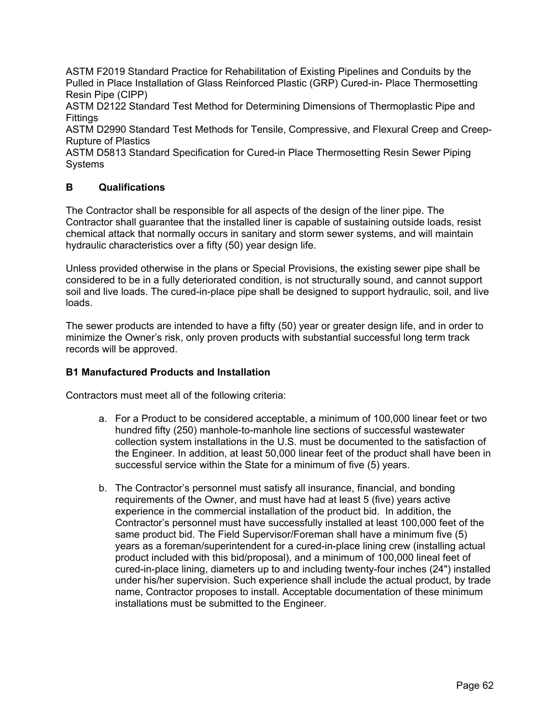ASTM F2019 Standard Practice for Rehabilitation of Existing Pipelines and Conduits by the Pulled in Place Installation of Glass Reinforced Plastic (GRP) Cured-in- Place Thermosetting Resin Pipe (CIPP)

ASTM D2122 Standard Test Method for Determining Dimensions of Thermoplastic Pipe and **Fittings** 

ASTM D2990 Standard Test Methods for Tensile, Compressive, and Flexural Creep and Creep-Rupture of Plastics

ASTM D5813 Standard Specification for Cured-in Place Thermosetting Resin Sewer Piping Systems

## **B Qualifications**

The Contractor shall be responsible for all aspects of the design of the liner pipe. The Contractor shall guarantee that the installed liner is capable of sustaining outside loads, resist chemical attack that normally occurs in sanitary and storm sewer systems, and will maintain hydraulic characteristics over a fifty (50) year design life.

Unless provided otherwise in the plans or Special Provisions, the existing sewer pipe shall be considered to be in a fully deteriorated condition, is not structurally sound, and cannot support soil and live loads. The cured-in-place pipe shall be designed to support hydraulic, soil, and live loads.

The sewer products are intended to have a fifty (50) year or greater design life, and in order to minimize the Owner's risk, only proven products with substantial successful long term track records will be approved.

## **B1 Manufactured Products and Installation**

Contractors must meet all of the following criteria:

- a. For a Product to be considered acceptable, a minimum of 100,000 linear feet or two hundred fifty (250) manhole-to-manhole line sections of successful wastewater collection system installations in the U.S. must be documented to the satisfaction of the Engineer. In addition, at least 50,000 linear feet of the product shall have been in successful service within the State for a minimum of five (5) years.
- b. The Contractor's personnel must satisfy all insurance, financial, and bonding requirements of the Owner, and must have had at least 5 (five) years active experience in the commercial installation of the product bid. In addition, the Contractor's personnel must have successfully installed at least 100,000 feet of the same product bid. The Field Supervisor/Foreman shall have a minimum five (5) years as a foreman/superintendent for a cured-in-place lining crew (installing actual product included with this bid/proposal), and a minimum of 100,000 lineal feet of cured-in-place lining, diameters up to and including twenty-four inches (24") installed under his/her supervision. Such experience shall include the actual product, by trade name, Contractor proposes to install. Acceptable documentation of these minimum installations must be submitted to the Engineer.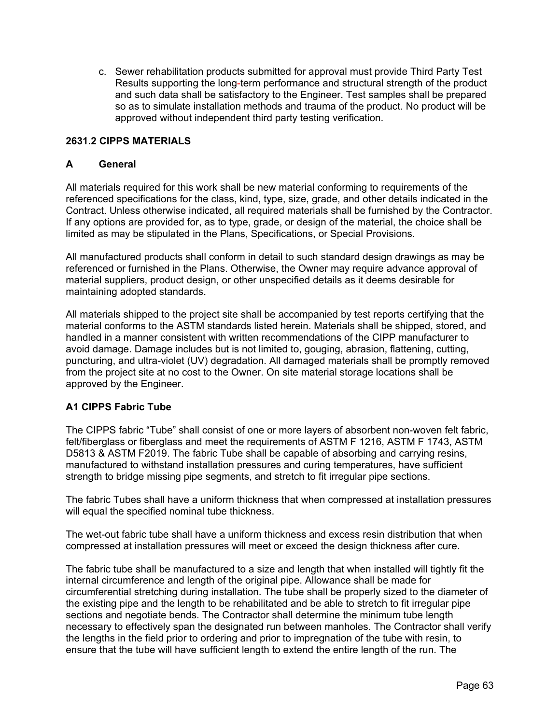c. Sewer rehabilitation products submitted for approval must provide Third Party Test Results supporting the long-term performance and structural strength of the product and such data shall be satisfactory to the Engineer. Test samples shall be prepared so as to simulate installation methods and trauma of the product. No product will be approved without independent third party testing verification.

## **2631.2 CIPPS MATERIALS**

#### **A General**

All materials required for this work shall be new material conforming to requirements of the referenced specifications for the class, kind, type, size, grade, and other details indicated in the Contract. Unless otherwise indicated, all required materials shall be furnished by the Contractor. If any options are provided for, as to type, grade, or design of the material, the choice shall be limited as may be stipulated in the Plans, Specifications, or Special Provisions.

All manufactured products shall conform in detail to such standard design drawings as may be referenced or furnished in the Plans. Otherwise, the Owner may require advance approval of material suppliers, product design, or other unspecified details as it deems desirable for maintaining adopted standards.

All materials shipped to the project site shall be accompanied by test reports certifying that the material conforms to the ASTM standards listed herein. Materials shall be shipped, stored, and handled in a manner consistent with written recommendations of the CIPP manufacturer to avoid damage. Damage includes but is not limited to, gouging, abrasion, flattening, cutting, puncturing, and ultra-violet (UV) degradation. All damaged materials shall be promptly removed from the project site at no cost to the Owner. On site material storage locations shall be approved by the Engineer.

## **A1 CIPPS Fabric Tube**

The CIPPS fabric "Tube" shall consist of one or more layers of absorbent non-woven felt fabric, felt/fiberglass or fiberglass and meet the requirements of ASTM F 1216, ASTM F 1743, ASTM D5813 & ASTM F2019. The fabric Tube shall be capable of absorbing and carrying resins, manufactured to withstand installation pressures and curing temperatures, have sufficient strength to bridge missing pipe segments, and stretch to fit irregular pipe sections.

The fabric Tubes shall have a uniform thickness that when compressed at installation pressures will equal the specified nominal tube thickness.

The wet-out fabric tube shall have a uniform thickness and excess resin distribution that when compressed at installation pressures will meet or exceed the design thickness after cure.

The fabric tube shall be manufactured to a size and length that when installed will tightly fit the internal circumference and length of the original pipe. Allowance shall be made for circumferential stretching during installation. The tube shall be properly sized to the diameter of the existing pipe and the length to be rehabilitated and be able to stretch to fit irregular pipe sections and negotiate bends. The Contractor shall determine the minimum tube length necessary to effectively span the designated run between manholes. The Contractor shall verify the lengths in the field prior to ordering and prior to impregnation of the tube with resin, to ensure that the tube will have sufficient length to extend the entire length of the run. The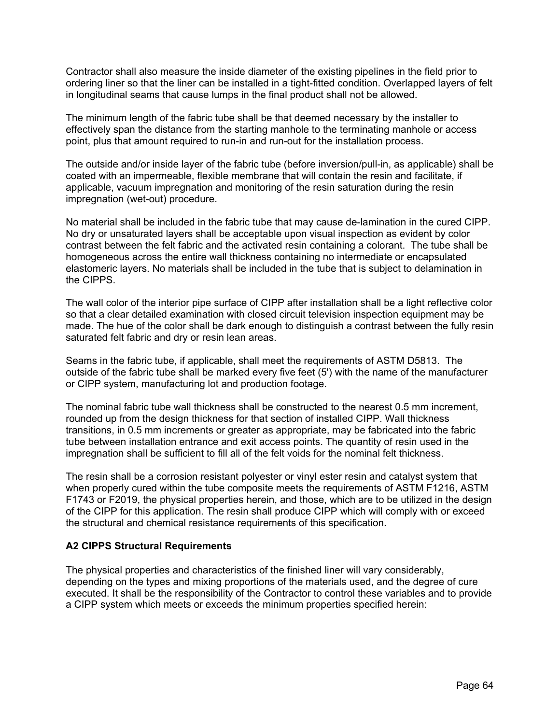Contractor shall also measure the inside diameter of the existing pipelines in the field prior to ordering liner so that the liner can be installed in a tight-fitted condition. Overlapped layers of felt in longitudinal seams that cause lumps in the final product shall not be allowed.

The minimum length of the fabric tube shall be that deemed necessary by the installer to effectively span the distance from the starting manhole to the terminating manhole or access point, plus that amount required to run-in and run-out for the installation process.

The outside and/or inside layer of the fabric tube (before inversion/pull-in, as applicable) shall be coated with an impermeable, flexible membrane that will contain the resin and facilitate, if applicable, vacuum impregnation and monitoring of the resin saturation during the resin impregnation (wet-out) procedure.

No material shall be included in the fabric tube that may cause de-lamination in the cured CIPP. No dry or unsaturated layers shall be acceptable upon visual inspection as evident by color contrast between the felt fabric and the activated resin containing a colorant. The tube shall be homogeneous across the entire wall thickness containing no intermediate or encapsulated elastomeric layers. No materials shall be included in the tube that is subject to delamination in the CIPPS.

The wall color of the interior pipe surface of CIPP after installation shall be a light reflective color so that a clear detailed examination with closed circuit television inspection equipment may be made. The hue of the color shall be dark enough to distinguish a contrast between the fully resin saturated felt fabric and dry or resin lean areas.

Seams in the fabric tube, if applicable, shall meet the requirements of ASTM D5813. The outside of the fabric tube shall be marked every five feet (5') with the name of the manufacturer or CIPP system, manufacturing lot and production footage.

The nominal fabric tube wall thickness shall be constructed to the nearest 0.5 mm increment, rounded up from the design thickness for that section of installed CIPP. Wall thickness transitions, in 0.5 mm increments or greater as appropriate, may be fabricated into the fabric tube between installation entrance and exit access points. The quantity of resin used in the impregnation shall be sufficient to fill all of the felt voids for the nominal felt thickness.

The resin shall be a corrosion resistant polyester or vinyl ester resin and catalyst system that when properly cured within the tube composite meets the requirements of ASTM F1216, ASTM F1743 or F2019, the physical properties herein, and those, which are to be utilized in the design of the CIPP for this application. The resin shall produce CIPP which will comply with or exceed the structural and chemical resistance requirements of this specification.

## **A2 CIPPS Structural Requirements**

The physical properties and characteristics of the finished liner will vary considerably, depending on the types and mixing proportions of the materials used, and the degree of cure executed. It shall be the responsibility of the Contractor to control these variables and to provide a CIPP system which meets or exceeds the minimum properties specified herein: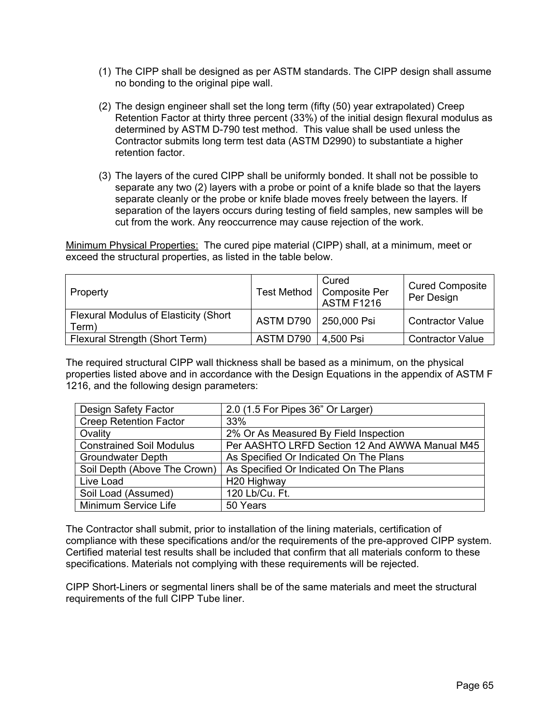- (1) The CIPP shall be designed as per ASTM standards. The CIPP design shall assume no bonding to the original pipe wall.
- (2) The design engineer shall set the long term (fifty (50) year extrapolated) Creep Retention Factor at thirty three percent (33%) of the initial design flexural modulus as determined by ASTM D-790 test method. This value shall be used unless the Contractor submits long term test data (ASTM D2990) to substantiate a higher retention factor.
- (3) The layers of the cured CIPP shall be uniformly bonded. It shall not be possible to separate any two (2) layers with a probe or point of a knife blade so that the layers separate cleanly or the probe or knife blade moves freely between the layers. If separation of the layers occurs during testing of field samples, new samples will be cut from the work. Any reoccurrence may cause rejection of the work.

Minimum Physical Properties: The cured pipe material (CIPP) shall, at a minimum, meet or exceed the structural properties, as listed in the table below.

| Property                                                | Test Method | Cured<br><b>Composite Per</b><br><b>ASTM F1216</b> | <b>Cured Composite</b><br>Per Design |
|---------------------------------------------------------|-------------|----------------------------------------------------|--------------------------------------|
| <b>Flexural Modulus of Elasticity (Short</b> )<br>Term) | ASTM D790   | 250,000 Psi                                        | <b>Contractor Value</b>              |
| Flexural Strength (Short Term)                          | ASTM D790   | 4,500 Psi                                          | <b>Contractor Value</b>              |

The required structural CIPP wall thickness shall be based as a minimum, on the physical properties listed above and in accordance with the Design Equations in the appendix of ASTM F 1216, and the following design parameters:

| Design Safety Factor            | 2.0 (1.5 For Pipes 36" Or Larger)              |  |  |
|---------------------------------|------------------------------------------------|--|--|
| <b>Creep Retention Factor</b>   | 33%                                            |  |  |
| Ovality                         | 2% Or As Measured By Field Inspection          |  |  |
| <b>Constrained Soil Modulus</b> | Per AASHTO LRFD Section 12 And AWWA Manual M45 |  |  |
| <b>Groundwater Depth</b>        | As Specified Or Indicated On The Plans         |  |  |
| Soil Depth (Above The Crown)    | As Specified Or Indicated On The Plans         |  |  |
| Live Load                       | H <sub>20</sub> Highway                        |  |  |
| Soil Load (Assumed)             | 120 Lb/Cu. Ft.                                 |  |  |
| Minimum Service Life            | 50 Years                                       |  |  |

The Contractor shall submit, prior to installation of the lining materials, certification of compliance with these specifications and/or the requirements of the pre-approved CIPP system. Certified material test results shall be included that confirm that all materials conform to these specifications. Materials not complying with these requirements will be rejected.

CIPP Short-Liners or segmental liners shall be of the same materials and meet the structural requirements of the full CIPP Tube liner.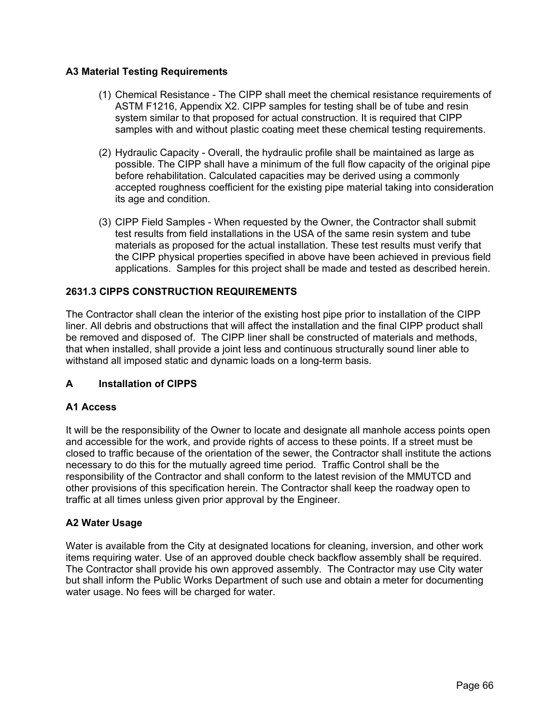## **A3 Material Testing Requirements**

- (1) Chemical Resistance The CIPP shall meet the chemical resistance requirements of ASTM F1216, Appendix X2. CIPP samples for testing shall be of tube and resin system similar to that proposed for actual construction. It is required that CIPP samples with and without plastic coating meet these chemical testing requirements.
- (2) Hydraulic Capacity Overall, the hydraulic profile shall be maintained as large as possible. The CIPP shall have a minimum of the full flow capacity of the original pipe before rehabilitation. Calculated capacities may be derived using a commonly accepted roughness coefficient for the existing pipe material taking into consideration its age and condition.
- (3) CIPP Field Samples When requested by the Owner, the Contractor shall submit test results from field installations in the USA of the same resin system and tube materials as proposed for the actual installation. These test results must verify that the CIPP physical properties specified in above have been achieved in previous field applications. Samples for this project shall be made and tested as described herein.

## **2631.3 CIPPS CONSTRUCTION REQUIREMENTS**

The Contractor shall clean the interior of the existing host pipe prior to installation of the CIPP liner. All debris and obstructions that will affect the installation and the final CIPP product shall be removed and disposed of. The CIPP liner shall be constructed of materials and methods, that when installed, shall provide a joint less and continuous structurally sound liner able to withstand all imposed static and dynamic loads on a long-term basis.

### **A Installation of CIPPS**

### **A1 Access**

It will be the responsibility of the Owner to locate and designate all manhole access points open and accessible for the work, and provide rights of access to these points. If a street must be closed to traffic because of the orientation of the sewer, the Contractor shall institute the actions necessary to do this for the mutually agreed time period. Traffic Control shall be the responsibility of the Contractor and shall conform to the latest revision of the MMUTCD and other provisions of this specification herein. The Contractor shall keep the roadway open to traffic at all times unless given prior approval by the Engineer.

### **A2 Water Usage**

Water is available from the City at designated locations for cleaning, inversion, and other work items requiring water. Use of an approved double check backflow assembly shall be required. The Contractor shall provide his own approved assembly. The Contractor may use City water but shall inform the Public Works Department of such use and obtain a meter for documenting water usage. No fees will be charged for water.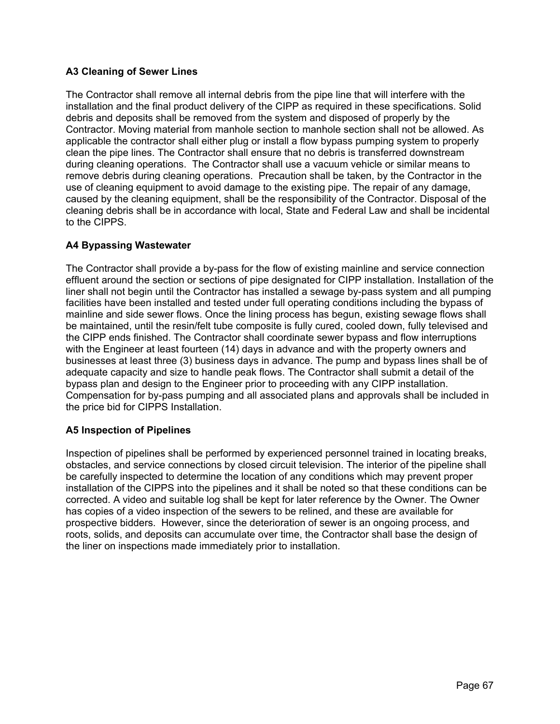# **A3 Cleaning of Sewer Lines**

The Contractor shall remove all internal debris from the pipe line that will interfere with the installation and the final product delivery of the CIPP as required in these specifications. Solid debris and deposits shall be removed from the system and disposed of properly by the Contractor. Moving material from manhole section to manhole section shall not be allowed. As applicable the contractor shall either plug or install a flow bypass pumping system to properly clean the pipe lines. The Contractor shall ensure that no debris is transferred downstream during cleaning operations. The Contractor shall use a vacuum vehicle or similar means to remove debris during cleaning operations. Precaution shall be taken, by the Contractor in the use of cleaning equipment to avoid damage to the existing pipe. The repair of any damage, caused by the cleaning equipment, shall be the responsibility of the Contractor. Disposal of the cleaning debris shall be in accordance with local, State and Federal Law and shall be incidental to the CIPPS.

## **A4 Bypassing Wastewater**

The Contractor shall provide a by-pass for the flow of existing mainline and service connection effluent around the section or sections of pipe designated for CIPP installation. Installation of the liner shall not begin until the Contractor has installed a sewage by-pass system and all pumping facilities have been installed and tested under full operating conditions including the bypass of mainline and side sewer flows. Once the lining process has begun, existing sewage flows shall be maintained, until the resin/felt tube composite is fully cured, cooled down, fully televised and the CIPP ends finished. The Contractor shall coordinate sewer bypass and flow interruptions with the Engineer at least fourteen (14) days in advance and with the property owners and businesses at least three (3) business days in advance. The pump and bypass lines shall be of adequate capacity and size to handle peak flows. The Contractor shall submit a detail of the bypass plan and design to the Engineer prior to proceeding with any CIPP installation. Compensation for by-pass pumping and all associated plans and approvals shall be included in the price bid for CIPPS Installation.

### **A5 Inspection of Pipelines**

Inspection of pipelines shall be performed by experienced personnel trained in locating breaks, obstacles, and service connections by closed circuit television. The interior of the pipeline shall be carefully inspected to determine the location of any conditions which may prevent proper installation of the CIPPS into the pipelines and it shall be noted so that these conditions can be corrected. A video and suitable log shall be kept for later reference by the Owner. The Owner has copies of a video inspection of the sewers to be relined, and these are available for prospective bidders. However, since the deterioration of sewer is an ongoing process, and roots, solids, and deposits can accumulate over time, the Contractor shall base the design of the liner on inspections made immediately prior to installation.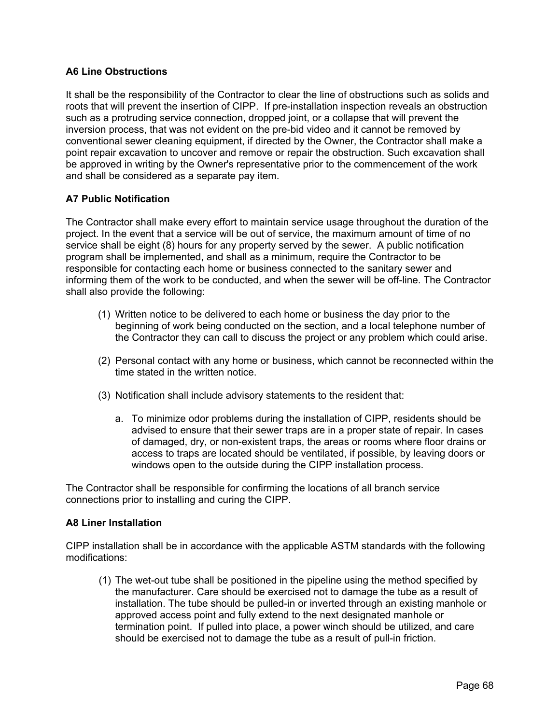## **A6 Line Obstructions**

It shall be the responsibility of the Contractor to clear the line of obstructions such as solids and roots that will prevent the insertion of CIPP. If pre-installation inspection reveals an obstruction such as a protruding service connection, dropped joint, or a collapse that will prevent the inversion process, that was not evident on the pre-bid video and it cannot be removed by conventional sewer cleaning equipment, if directed by the Owner, the Contractor shall make a point repair excavation to uncover and remove or repair the obstruction. Such excavation shall be approved in writing by the Owner's representative prior to the commencement of the work and shall be considered as a separate pay item.

## **A7 Public Notification**

The Contractor shall make every effort to maintain service usage throughout the duration of the project. In the event that a service will be out of service, the maximum amount of time of no service shall be eight (8) hours for any property served by the sewer. A public notification program shall be implemented, and shall as a minimum, require the Contractor to be responsible for contacting each home or business connected to the sanitary sewer and informing them of the work to be conducted, and when the sewer will be off-line. The Contractor shall also provide the following:

- (1) Written notice to be delivered to each home or business the day prior to the beginning of work being conducted on the section, and a local telephone number of the Contractor they can call to discuss the project or any problem which could arise.
- (2) Personal contact with any home or business, which cannot be reconnected within the time stated in the written notice.
- (3) Notification shall include advisory statements to the resident that:
	- a. To minimize odor problems during the installation of CIPP, residents should be advised to ensure that their sewer traps are in a proper state of repair. In cases of damaged, dry, or non-existent traps, the areas or rooms where floor drains or access to traps are located should be ventilated, if possible, by leaving doors or windows open to the outside during the CIPP installation process.

The Contractor shall be responsible for confirming the locations of all branch service connections prior to installing and curing the CIPP.

### **A8 Liner Installation**

CIPP installation shall be in accordance with the applicable ASTM standards with the following modifications:

(1) The wet-out tube shall be positioned in the pipeline using the method specified by the manufacturer. Care should be exercised not to damage the tube as a result of installation. The tube should be pulled-in or inverted through an existing manhole or approved access point and fully extend to the next designated manhole or termination point. If pulled into place, a power winch should be utilized, and care should be exercised not to damage the tube as a result of pull-in friction.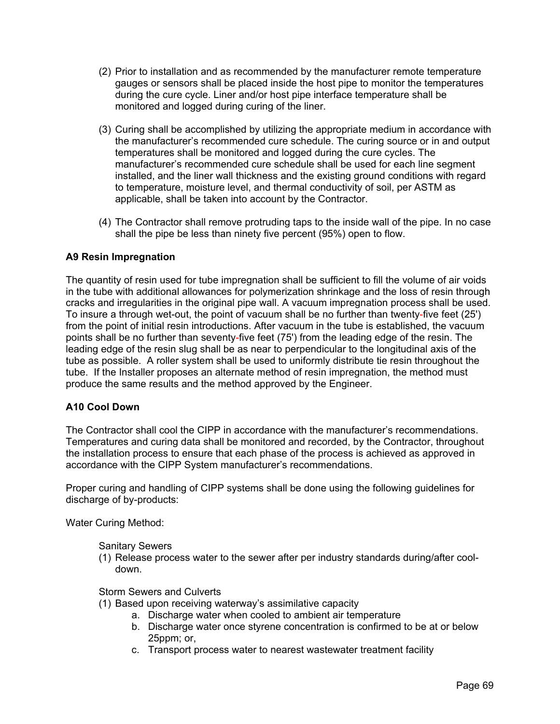- (2) Prior to installation and as recommended by the manufacturer remote temperature gauges or sensors shall be placed inside the host pipe to monitor the temperatures during the cure cycle. Liner and/or host pipe interface temperature shall be monitored and logged during curing of the liner.
- (3) Curing shall be accomplished by utilizing the appropriate medium in accordance with the manufacturer's recommended cure schedule. The curing source or in and output temperatures shall be monitored and logged during the cure cycles. The manufacturer's recommended cure schedule shall be used for each line segment installed, and the liner wall thickness and the existing ground conditions with regard to temperature, moisture level, and thermal conductivity of soil, per ASTM as applicable, shall be taken into account by the Contractor.
- (4) The Contractor shall remove protruding taps to the inside wall of the pipe. In no case shall the pipe be less than ninety five percent (95%) open to flow.

## **A9 Resin Impregnation**

The quantity of resin used for tube impregnation shall be sufficient to fill the volume of air voids in the tube with additional allowances for polymerization shrinkage and the loss of resin through cracks and irregularities in the original pipe wall. A vacuum impregnation process shall be used. To insure a through wet-out, the point of vacuum shall be no further than twenty-five feet (25') from the point of initial resin introductions. After vacuum in the tube is established, the vacuum points shall be no further than seventy-five feet (75') from the leading edge of the resin. The leading edge of the resin slug shall be as near to perpendicular to the longitudinal axis of the tube as possible. A roller system shall be used to uniformly distribute tie resin throughout the tube. If the Installer proposes an alternate method of resin impregnation, the method must produce the same results and the method approved by the Engineer.

### **A10 Cool Down**

The Contractor shall cool the CIPP in accordance with the manufacturer's recommendations. Temperatures and curing data shall be monitored and recorded, by the Contractor, throughout the installation process to ensure that each phase of the process is achieved as approved in accordance with the CIPP System manufacturer's recommendations.

Proper curing and handling of CIPP systems shall be done using the following guidelines for discharge of by-products:

Water Curing Method:

Sanitary Sewers

(1) Release process water to the sewer after per industry standards during/after cooldown.

Storm Sewers and Culverts

- (1) Based upon receiving waterway's assimilative capacity
	- a. Discharge water when cooled to ambient air temperature
		- b. Discharge water once styrene concentration is confirmed to be at or below 25ppm; or,
		- c. Transport process water to nearest wastewater treatment facility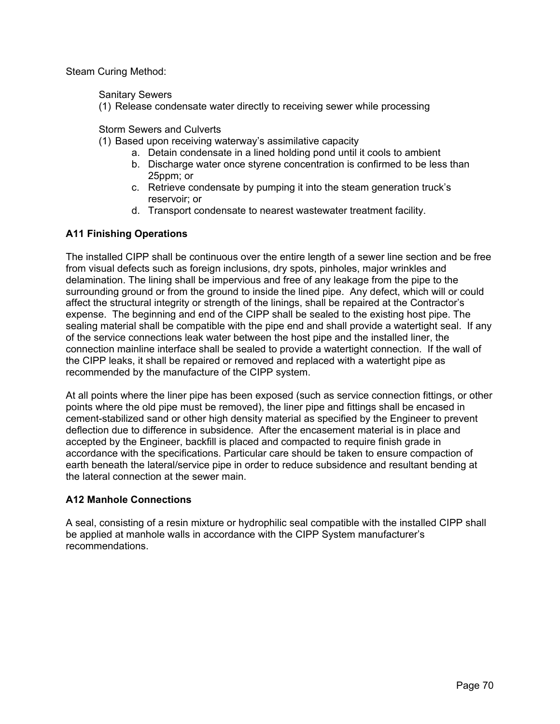Steam Curing Method:

Sanitary Sewers

(1) Release condensate water directly to receiving sewer while processing

Storm Sewers and Culverts

- (1) Based upon receiving waterway's assimilative capacity
	- a. Detain condensate in a lined holding pond until it cools to ambient
	- b. Discharge water once styrene concentration is confirmed to be less than 25ppm; or
	- c. Retrieve condensate by pumping it into the steam generation truck's reservoir; or
	- d. Transport condensate to nearest wastewater treatment facility.

## **A11 Finishing Operations**

The installed CIPP shall be continuous over the entire length of a sewer line section and be free from visual defects such as foreign inclusions, dry spots, pinholes, major wrinkles and delamination. The lining shall be impervious and free of any leakage from the pipe to the surrounding ground or from the ground to inside the lined pipe. Any defect, which will or could affect the structural integrity or strength of the linings, shall be repaired at the Contractor's expense. The beginning and end of the CIPP shall be sealed to the existing host pipe. The sealing material shall be compatible with the pipe end and shall provide a watertight seal. If any of the service connections leak water between the host pipe and the installed liner, the connection mainline interface shall be sealed to provide a watertight connection. If the wall of the CIPP leaks, it shall be repaired or removed and replaced with a watertight pipe as recommended by the manufacture of the CIPP system.

At all points where the liner pipe has been exposed (such as service connection fittings, or other points where the old pipe must be removed), the liner pipe and fittings shall be encased in cement-stabilized sand or other high density material as specified by the Engineer to prevent deflection due to difference in subsidence. After the encasement material is in place and accepted by the Engineer, backfill is placed and compacted to require finish grade in accordance with the specifications. Particular care should be taken to ensure compaction of earth beneath the lateral/service pipe in order to reduce subsidence and resultant bending at the lateral connection at the sewer main.

### **A12 Manhole Connections**

A seal, consisting of a resin mixture or hydrophilic seal compatible with the installed CIPP shall be applied at manhole walls in accordance with the CIPP System manufacturer's recommendations.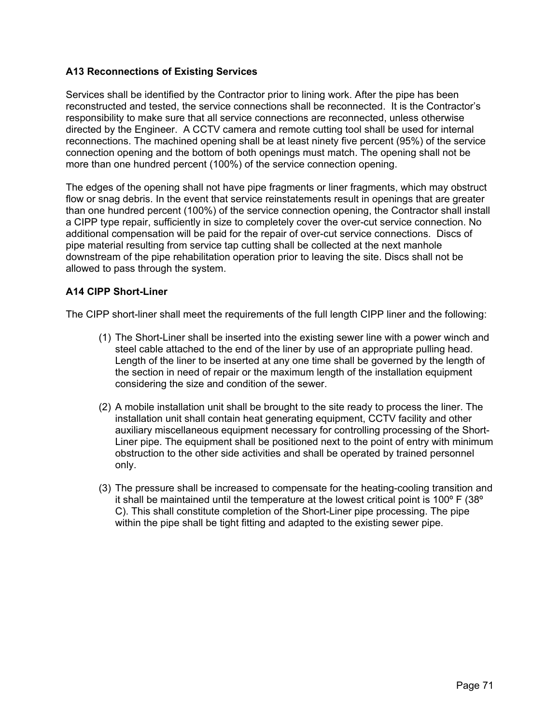## **A13 Reconnections of Existing Services**

Services shall be identified by the Contractor prior to lining work. After the pipe has been reconstructed and tested, the service connections shall be reconnected. It is the Contractor's responsibility to make sure that all service connections are reconnected, unless otherwise directed by the Engineer. A CCTV camera and remote cutting tool shall be used for internal reconnections. The machined opening shall be at least ninety five percent (95%) of the service connection opening and the bottom of both openings must match. The opening shall not be more than one hundred percent (100%) of the service connection opening.

The edges of the opening shall not have pipe fragments or liner fragments, which may obstruct flow or snag debris. In the event that service reinstatements result in openings that are greater than one hundred percent (100%) of the service connection opening, the Contractor shall install a CIPP type repair, sufficiently in size to completely cover the over-cut service connection. No additional compensation will be paid for the repair of over-cut service connections. Discs of pipe material resulting from service tap cutting shall be collected at the next manhole downstream of the pipe rehabilitation operation prior to leaving the site. Discs shall not be allowed to pass through the system.

## **A14 CIPP Short-Liner**

The CIPP short-liner shall meet the requirements of the full length CIPP liner and the following:

- (1) The Short-Liner shall be inserted into the existing sewer line with a power winch and steel cable attached to the end of the liner by use of an appropriate pulling head. Length of the liner to be inserted at any one time shall be governed by the length of the section in need of repair or the maximum length of the installation equipment considering the size and condition of the sewer.
- (2) A mobile installation unit shall be brought to the site ready to process the liner. The installation unit shall contain heat generating equipment, CCTV facility and other auxiliary miscellaneous equipment necessary for controlling processing of the Short-Liner pipe. The equipment shall be positioned next to the point of entry with minimum obstruction to the other side activities and shall be operated by trained personnel only.
- (3) The pressure shall be increased to compensate for the heating-cooling transition and it shall be maintained until the temperature at the lowest critical point is 100 $\degree$  F (38 $\degree$ ) C). This shall constitute completion of the Short-Liner pipe processing. The pipe within the pipe shall be tight fitting and adapted to the existing sewer pipe.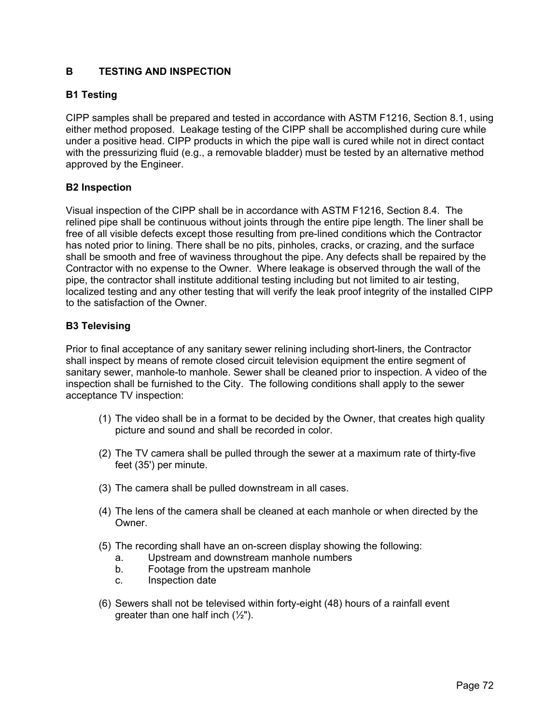# **B TESTING AND INSPECTION**

## **B1 Testing**

CIPP samples shall be prepared and tested in accordance with ASTM F1216, Section 8.1, using either method proposed. Leakage testing of the CIPP shall be accomplished during cure while under a positive head. CIPP products in which the pipe wall is cured while not in direct contact with the pressurizing fluid (e.g., a removable bladder) must be tested by an alternative method approved by the Engineer.

### **B2 Inspection**

Visual inspection of the CIPP shall be in accordance with ASTM F1216, Section 8.4. The relined pipe shall be continuous without joints through the entire pipe length. The liner shall be free of all visible defects except those resulting from pre-lined conditions which the Contractor has noted prior to lining. There shall be no pits, pinholes, cracks, or crazing, and the surface shall be smooth and free of waviness throughout the pipe. Any defects shall be repaired by the Contractor with no expense to the Owner. Where leakage is observed through the wall of the pipe, the contractor shall institute additional testing including but not limited to air testing, localized testing and any other testing that will verify the leak proof integrity of the installed CIPP to the satisfaction of the Owner.

### **B3 Televising**

Prior to final acceptance of any sanitary sewer relining including short-liners, the Contractor shall inspect by means of remote closed circuit television equipment the entire segment of sanitary sewer, manhole-to manhole. Sewer shall be cleaned prior to inspection. A video of the inspection shall be furnished to the City. The following conditions shall apply to the sewer acceptance TV inspection:

- (1) The video shall be in a format to be decided by the Owner, that creates high quality picture and sound and shall be recorded in color.
- (2) The TV camera shall be pulled through the sewer at a maximum rate of thirty-five feet (35') per minute.
- (3) The camera shall be pulled downstream in all cases.
- (4) The lens of the camera shall be cleaned at each manhole or when directed by the Owner.
- (5) The recording shall have an on-screen display showing the following:
	- a. Upstream and downstream manhole numbers
	- b. Footage from the upstream manhole
	- c. Inspection date
- (6) Sewers shall not be televised within forty-eight (48) hours of a rainfall event greater than one half inch  $(\frac{1}{2})$ .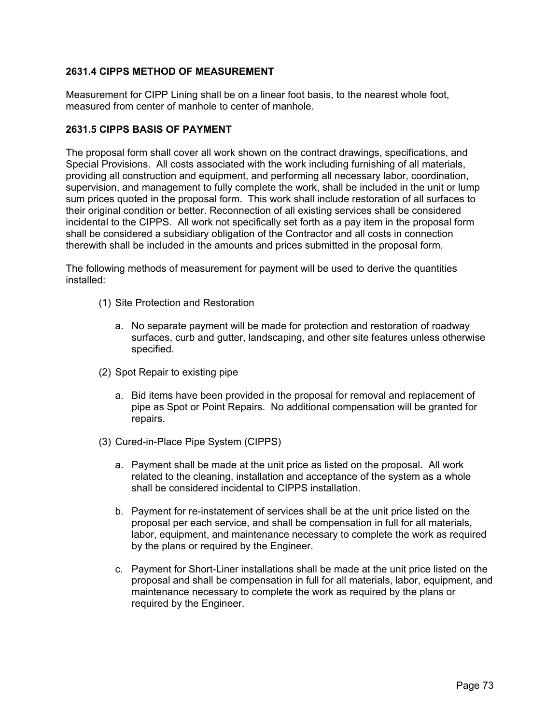## **2631.4 CIPPS METHOD OF MEASUREMENT**

Measurement for CIPP Lining shall be on a linear foot basis, to the nearest whole foot, measured from center of manhole to center of manhole.

#### **2631.5 CIPPS BASIS OF PAYMENT**

The proposal form shall cover all work shown on the contract drawings, specifications, and Special Provisions. All costs associated with the work including furnishing of all materials, providing all construction and equipment, and performing all necessary labor, coordination, supervision, and management to fully complete the work, shall be included in the unit or lump sum prices quoted in the proposal form. This work shall include restoration of all surfaces to their original condition or better. Reconnection of all existing services shall be considered incidental to the CIPPS. All work not specifically set forth as a pay item in the proposal form shall be considered a subsidiary obligation of the Contractor and all costs in connection therewith shall be included in the amounts and prices submitted in the proposal form.

The following methods of measurement for payment will be used to derive the quantities installed:

- (1) Site Protection and Restoration
	- a. No separate payment will be made for protection and restoration of roadway surfaces, curb and gutter, landscaping, and other site features unless otherwise specified.
- (2) Spot Repair to existing pipe
	- a. Bid items have been provided in the proposal for removal and replacement of pipe as Spot or Point Repairs. No additional compensation will be granted for repairs.
- (3) Cured-in-Place Pipe System (CIPPS)
	- a. Payment shall be made at the unit price as listed on the proposal. All work related to the cleaning, installation and acceptance of the system as a whole shall be considered incidental to CIPPS installation.
	- b. Payment for re-instatement of services shall be at the unit price listed on the proposal per each service, and shall be compensation in full for all materials, labor, equipment, and maintenance necessary to complete the work as required by the plans or required by the Engineer.
	- c. Payment for Short-Liner installations shall be made at the unit price listed on the proposal and shall be compensation in full for all materials, labor, equipment, and maintenance necessary to complete the work as required by the plans or required by the Engineer.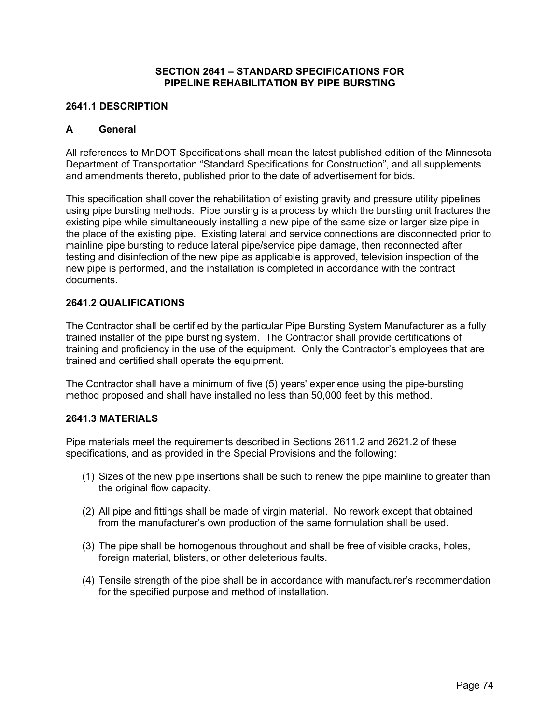#### **SECTION 2641 – STANDARD SPECIFICATIONS FOR PIPELINE REHABILITATION BY PIPE BURSTING**

#### **2641.1 DESCRIPTION**

#### **A General**

All references to MnDOT Specifications shall mean the latest published edition of the Minnesota Department of Transportation "Standard Specifications for Construction", and all supplements and amendments thereto, published prior to the date of advertisement for bids.

This specification shall cover the rehabilitation of existing gravity and pressure utility pipelines using pipe bursting methods. Pipe bursting is a process by which the bursting unit fractures the existing pipe while simultaneously installing a new pipe of the same size or larger size pipe in the place of the existing pipe. Existing lateral and service connections are disconnected prior to mainline pipe bursting to reduce lateral pipe/service pipe damage, then reconnected after testing and disinfection of the new pipe as applicable is approved, television inspection of the new pipe is performed, and the installation is completed in accordance with the contract documents.

#### **2641.2 QUALIFICATIONS**

The Contractor shall be certified by the particular Pipe Bursting System Manufacturer as a fully trained installer of the pipe bursting system. The Contractor shall provide certifications of training and proficiency in the use of the equipment. Only the Contractor's employees that are trained and certified shall operate the equipment.

The Contractor shall have a minimum of five (5) years' experience using the pipe-bursting method proposed and shall have installed no less than 50,000 feet by this method.

#### **2641.3 MATERIALS**

Pipe materials meet the requirements described in Sections 2611.2 and 2621.2 of these specifications, and as provided in the Special Provisions and the following:

- (1) Sizes of the new pipe insertions shall be such to renew the pipe mainline to greater than the original flow capacity.
- (2) All pipe and fittings shall be made of virgin material. No rework except that obtained from the manufacturer's own production of the same formulation shall be used.
- (3) The pipe shall be homogenous throughout and shall be free of visible cracks, holes, foreign material, blisters, or other deleterious faults.
- (4) Tensile strength of the pipe shall be in accordance with manufacturer's recommendation for the specified purpose and method of installation.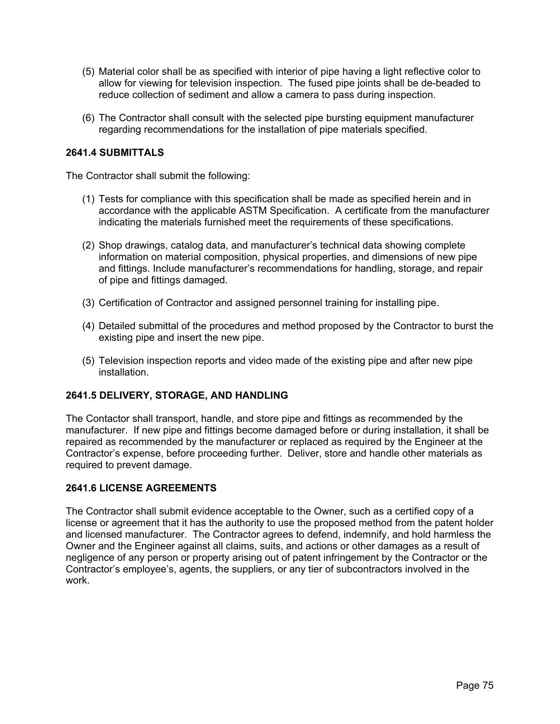- (5) Material color shall be as specified with interior of pipe having a light reflective color to allow for viewing for television inspection. The fused pipe joints shall be de-beaded to reduce collection of sediment and allow a camera to pass during inspection.
- (6) The Contractor shall consult with the selected pipe bursting equipment manufacturer regarding recommendations for the installation of pipe materials specified.

### **2641.4 SUBMITTALS**

The Contractor shall submit the following:

- (1) Tests for compliance with this specification shall be made as specified herein and in accordance with the applicable ASTM Specification. A certificate from the manufacturer indicating the materials furnished meet the requirements of these specifications.
- (2) Shop drawings, catalog data, and manufacturer's technical data showing complete information on material composition, physical properties, and dimensions of new pipe and fittings. Include manufacturer's recommendations for handling, storage, and repair of pipe and fittings damaged.
- (3) Certification of Contractor and assigned personnel training for installing pipe.
- (4) Detailed submittal of the procedures and method proposed by the Contractor to burst the existing pipe and insert the new pipe.
- (5) Television inspection reports and video made of the existing pipe and after new pipe installation.

### **2641.5 DELIVERY, STORAGE, AND HANDLING**

The Contactor shall transport, handle, and store pipe and fittings as recommended by the manufacturer. If new pipe and fittings become damaged before or during installation, it shall be repaired as recommended by the manufacturer or replaced as required by the Engineer at the Contractor's expense, before proceeding further. Deliver, store and handle other materials as required to prevent damage.

### **2641.6 LICENSE AGREEMENTS**

The Contractor shall submit evidence acceptable to the Owner, such as a certified copy of a license or agreement that it has the authority to use the proposed method from the patent holder and licensed manufacturer. The Contractor agrees to defend, indemnify, and hold harmless the Owner and the Engineer against all claims, suits, and actions or other damages as a result of negligence of any person or property arising out of patent infringement by the Contractor or the Contractor's employee's, agents, the suppliers, or any tier of subcontractors involved in the work.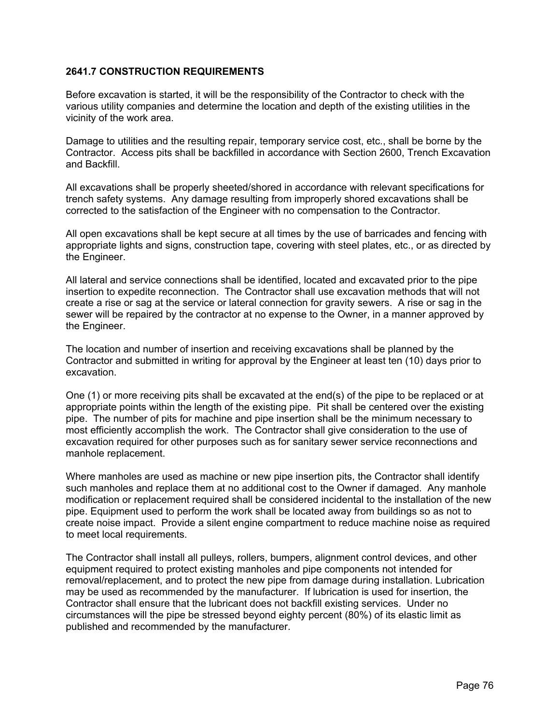### **2641.7 CONSTRUCTION REQUIREMENTS**

Before excavation is started, it will be the responsibility of the Contractor to check with the various utility companies and determine the location and depth of the existing utilities in the vicinity of the work area.

Damage to utilities and the resulting repair, temporary service cost, etc., shall be borne by the Contractor. Access pits shall be backfilled in accordance with Section 2600, Trench Excavation and Backfill.

All excavations shall be properly sheeted/shored in accordance with relevant specifications for trench safety systems. Any damage resulting from improperly shored excavations shall be corrected to the satisfaction of the Engineer with no compensation to the Contractor.

All open excavations shall be kept secure at all times by the use of barricades and fencing with appropriate lights and signs, construction tape, covering with steel plates, etc., or as directed by the Engineer.

All lateral and service connections shall be identified, located and excavated prior to the pipe insertion to expedite reconnection. The Contractor shall use excavation methods that will not create a rise or sag at the service or lateral connection for gravity sewers. A rise or sag in the sewer will be repaired by the contractor at no expense to the Owner, in a manner approved by the Engineer.

The location and number of insertion and receiving excavations shall be planned by the Contractor and submitted in writing for approval by the Engineer at least ten (10) days prior to excavation.

One (1) or more receiving pits shall be excavated at the end(s) of the pipe to be replaced or at appropriate points within the length of the existing pipe. Pit shall be centered over the existing pipe. The number of pits for machine and pipe insertion shall be the minimum necessary to most efficiently accomplish the work. The Contractor shall give consideration to the use of excavation required for other purposes such as for sanitary sewer service reconnections and manhole replacement.

Where manholes are used as machine or new pipe insertion pits, the Contractor shall identify such manholes and replace them at no additional cost to the Owner if damaged. Any manhole modification or replacement required shall be considered incidental to the installation of the new pipe. Equipment used to perform the work shall be located away from buildings so as not to create noise impact. Provide a silent engine compartment to reduce machine noise as required to meet local requirements.

The Contractor shall install all pulleys, rollers, bumpers, alignment control devices, and other equipment required to protect existing manholes and pipe components not intended for removal/replacement, and to protect the new pipe from damage during installation. Lubrication may be used as recommended by the manufacturer. If lubrication is used for insertion, the Contractor shall ensure that the lubricant does not backfill existing services. Under no circumstances will the pipe be stressed beyond eighty percent (80%) of its elastic limit as published and recommended by the manufacturer.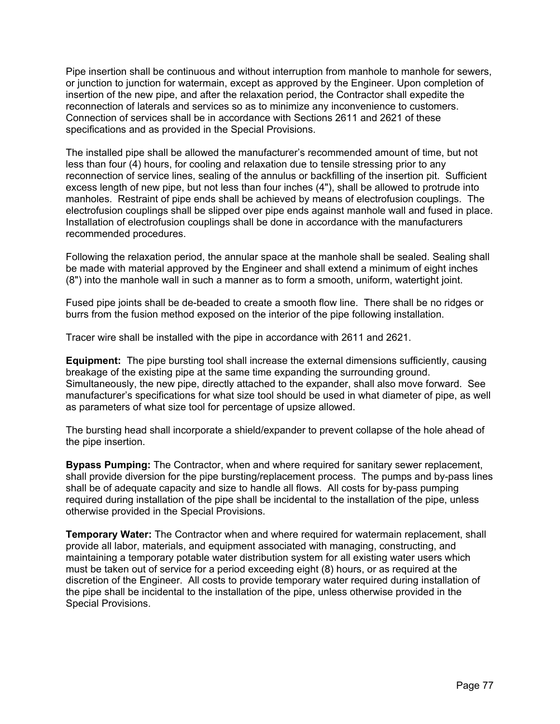Pipe insertion shall be continuous and without interruption from manhole to manhole for sewers, or junction to junction for watermain, except as approved by the Engineer. Upon completion of insertion of the new pipe, and after the relaxation period, the Contractor shall expedite the reconnection of laterals and services so as to minimize any inconvenience to customers. Connection of services shall be in accordance with Sections 2611 and 2621 of these specifications and as provided in the Special Provisions.

The installed pipe shall be allowed the manufacturer's recommended amount of time, but not less than four (4) hours, for cooling and relaxation due to tensile stressing prior to any reconnection of service lines, sealing of the annulus or backfilling of the insertion pit. Sufficient excess length of new pipe, but not less than four inches (4"), shall be allowed to protrude into manholes. Restraint of pipe ends shall be achieved by means of electrofusion couplings. The electrofusion couplings shall be slipped over pipe ends against manhole wall and fused in place. Installation of electrofusion couplings shall be done in accordance with the manufacturers recommended procedures.

Following the relaxation period, the annular space at the manhole shall be sealed. Sealing shall be made with material approved by the Engineer and shall extend a minimum of eight inches (8") into the manhole wall in such a manner as to form a smooth, uniform, watertight joint.

Fused pipe joints shall be de-beaded to create a smooth flow line. There shall be no ridges or burrs from the fusion method exposed on the interior of the pipe following installation.

Tracer wire shall be installed with the pipe in accordance with 2611 and 2621.

**Equipment:** The pipe bursting tool shall increase the external dimensions sufficiently, causing breakage of the existing pipe at the same time expanding the surrounding ground. Simultaneously, the new pipe, directly attached to the expander, shall also move forward. See manufacturer's specifications for what size tool should be used in what diameter of pipe, as well as parameters of what size tool for percentage of upsize allowed.

The bursting head shall incorporate a shield/expander to prevent collapse of the hole ahead of the pipe insertion.

**Bypass Pumping:** The Contractor, when and where required for sanitary sewer replacement, shall provide diversion for the pipe bursting/replacement process. The pumps and by-pass lines shall be of adequate capacity and size to handle all flows. All costs for by-pass pumping required during installation of the pipe shall be incidental to the installation of the pipe, unless otherwise provided in the Special Provisions.

**Temporary Water:** The Contractor when and where required for watermain replacement, shall provide all labor, materials, and equipment associated with managing, constructing, and maintaining a temporary potable water distribution system for all existing water users which must be taken out of service for a period exceeding eight (8) hours, or as required at the discretion of the Engineer. All costs to provide temporary water required during installation of the pipe shall be incidental to the installation of the pipe, unless otherwise provided in the Special Provisions.